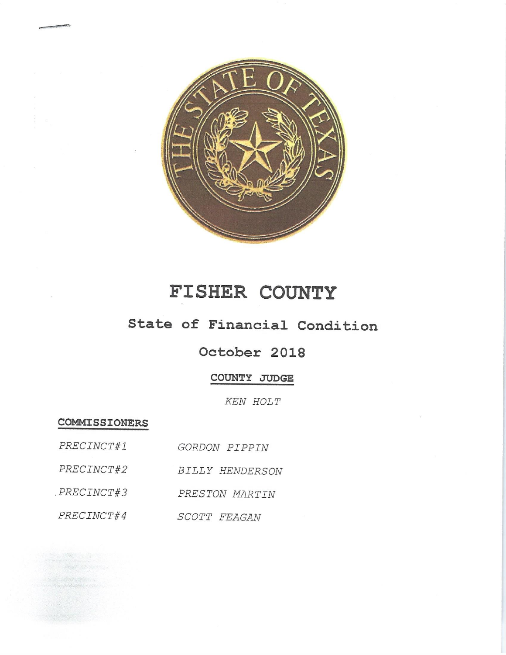

# FISHER COUNTY

# State of Financial Condition

## October 2018

## COUNTY JUDGE

KEN HOLT

**COMMISSIONERS** 

| PRECINCT#1 | <i>GORDON PIPPIN</i> |  |
|------------|----------------------|--|
|            |                      |  |

- BILLY HENDERSON PRECINCT#2
- PRECINCT#3 PRESTON MARTIN

PRECINCT#4 SCOTT FEAGAN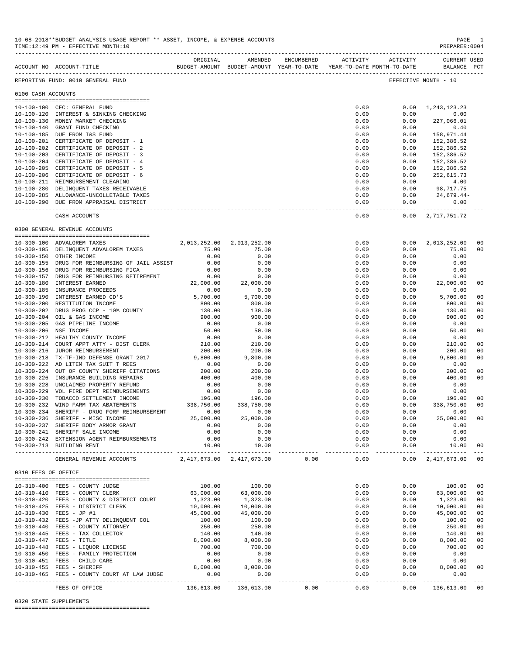|                     | 10-08-2018**BUDGET ANALYSIS USAGE REPORT ** ASSET, INCOME, & EXPENSE ACCOUNTS<br>TIME:12:49 PM - EFFECTIVE MONTH:10 |                   |                                      |                |                      | PAGE<br>PREPARER: 0004                  | $\sim$ 1 |
|---------------------|---------------------------------------------------------------------------------------------------------------------|-------------------|--------------------------------------|----------------|----------------------|-----------------------------------------|----------|
|                     | BUDGET-AMOUNT BUDGET-AMOUNT YEAR-TO-DATE YEAR-TO-DATE MONTH-TO-DATE     BALANCE PCT<br>ACCOUNT NO ACCOUNT-TITLE     |                   | ORIGINAL AMENDED ENCUMBERED          |                | ACTIVITY ACTIVITY    | CURRENT USED                            |          |
|                     | REPORTING FUND: 0010 GENERAL FUND                                                                                   |                   |                                      |                |                      | EFFECTIVE MONTH - 10                    |          |
| 0100 CASH ACCOUNTS  |                                                                                                                     |                   |                                      |                |                      |                                         |          |
|                     | 10-100-100 CFC: GENERAL FUND                                                                                        |                   |                                      | 0.00           |                      | $0.00 \quad 1,243,123.23$               |          |
|                     | 10-100-120 INTEREST & SINKING CHECKING                                                                              |                   |                                      | 0.00           | 0.00                 | 0.00                                    |          |
|                     | 10-100-130 MONEY MARKET CHECKING                                                                                    |                   |                                      | 0.00           | 0.00                 | 227,066.01                              |          |
|                     | 10-100-140 GRANT FUND CHECKING<br>10-100-185 DUE FROM I&S FUND                                                      |                   |                                      | 0.00<br>0.00   | 0.00<br>0.00         | 0.40<br>158,971.44                      |          |
|                     | 10-100-201 CERTIFICATE OF DEPOSIT - 1                                                                               |                   |                                      | 0.00           | 0.00                 | 152,386.52                              |          |
|                     | 10-100-202 CERTIFICATE OF DEPOSIT - 2                                                                               |                   |                                      | 0.00           | 0.00                 | 152,386.52                              |          |
|                     | 10-100-203 CERTIFICATE OF DEPOSIT - 3                                                                               |                   |                                      | 0.00           | 0.00                 | 152,386.52                              |          |
|                     | 10-100-204 CERTIFICATE OF DEPOSIT - 4                                                                               |                   |                                      | 0.00           | 0.00                 | 152,386.52                              |          |
|                     | 10-100-205 CERTIFICATE OF DEPOSIT - 5<br>10-100-206 CERTIFICATE OF DEPOSIT - 6                                      |                   |                                      | 0.00<br>0.00   | 0.00<br>0.00         | 152,386.52<br>252,615.73                |          |
|                     | 10-100-211 REIMBURSEMENT CLEARING                                                                                   |                   |                                      | 0.00           | 0.00                 | 4.00                                    |          |
|                     | 10-100-280 DELINQUENT TAXES RECEIVABLE                                                                              |                   |                                      | 0.00           | 0.00                 | 98,717.75                               |          |
|                     | 10-100-285 ALLOWANCE-UNCOLLETABLE TAXES                                                                             |                   |                                      | 0.00           |                      | $0.00$ $24,679.44-$                     |          |
|                     | 10-100-290 DUE FROM APPRAISAL DISTRICT                                                                              |                   |                                      | 0.00<br>------ | 0.00                 | $\sim$ 0.00<br>---------- ------------- |          |
|                     | CASH ACCOUNTS                                                                                                       |                   |                                      |                | 0.00                 | $0.00 \quad 2,717,751.72$               |          |
|                     | 0300 GENERAL REVENUE ACCOUNTS                                                                                       |                   |                                      |                |                      |                                         |          |
|                     | 10-300-100 ADVALOREM TAXES                                                                                          |                   | 2,013,252.00 2,013,252.00            | 0.00           | 0.00                 | 2,013,252.00 00                         |          |
|                     | 10-300-105 DELINQUENT ADVALOREM TAXES                                                                               | 75.00             | 75.00                                | 0.00           | 0.00                 | 75.00                                   | 00       |
|                     | 10-300-150 OTHER INCOME                                                                                             | 0.00              | 0.00                                 | 0.00           | 0.00                 | 0.00                                    |          |
|                     | 10-300-155 DRUG FOR REIMBURSING GF JAIL ASSIST                                                                      | 0.00              | 0.00                                 | 0.00           | 0.00                 | 0.00                                    |          |
|                     | 10-300-156 DRUG FOR REIMBURSING FICA                                                                                | 0.00              | 0.00                                 | 0.00           | 0.00                 | 0.00                                    |          |
|                     | 10-300-157 DRUG FOR REIMBURSING RETIREMENT                                                                          | 0.00<br>22,000.00 | 0.00                                 | 0.00           | 0.00                 | $0.00$<br>22,000.00                     |          |
|                     | 10-300-180 INTEREST EARNED<br>10-300-185 INSURANCE PROCEEDS                                                         | 0.00              | 22,000.00<br>0.00                    | 0.00<br>0.00   | 0.00<br>0.00         | 0.00                                    | 00       |
|                     | 10-300-190 INTEREST EARNED CD'S                                                                                     | 5,700.00          | 5,700.00                             | 0.00           | 0.00                 | 5,700.00                                | 00       |
|                     | 10-300-200 RESTITUTION INCOME                                                                                       | 800.00            | 800.00                               | 0.00           | 0.00                 | 800.00                                  | 00       |
|                     | 10-300-202 DRUG PROG CCP - 10% COUNTY                                                                               | 130.00            | 130.00                               | 0.00           | 0.00                 | 130.00                                  | 00       |
|                     | 10-300-204 OIL & GAS INCOME                                                                                         | 900.00            | 900.00                               | 0.00           | 0.00                 | 900.00                                  | 00       |
|                     | 10-300-205 GAS PIPELINE INCOME                                                                                      | 0.00              | 0.00                                 | 0.00           | 0.00                 | 0.00                                    |          |
|                     | 10-300-206 NSF INCOME<br>10-300-212 HEALTHY COUNTY INCOME                                                           | 50.00<br>0.00     | 50.00<br>0.00                        | 0.00<br>0.00   | 0.00<br>0.00         | 50.00<br>0.00                           | 00       |
|                     | $10-300-214$ COURT APPT ATTY - DIST CLERK 210.00                                                                    |                   |                                      | 0.00           | 0.00                 | 210.00                                  | 00       |
|                     | 10-300-216 JUROR REIMBURSEMENT                                                                                      | 200.00            | 210.00<br>200.00                     | 0.00           | 0.00                 | 200.00                                  | 00       |
|                     | 10-300-218 TX-TF-IND DEFENSE GRANT 2017                                                                             | 9,800.00          | 9,800.00                             | 0.00           | 0.00                 | 9,800.00                                | 00       |
|                     | 10-300-222 AD LITEM TAX SUIT T REES                                                                                 | 0.00              | 0.00                                 | 0.00           | 0.00                 | 0.00                                    |          |
|                     | 10-300-224 OUT OF COUNTY SHERIFF CITATIONS<br>10-300-226 INSURANCE BUILDING REPAIRS                                 | 200.00<br>400.00  | 200.00<br>400.00                     | 0.00<br>0.00   | 0.00<br>0.00         | 200.00<br>400.00                        | 00<br>00 |
|                     | 10-300-228 UNCLAIMED PROPERTY REFUND                                                                                | 0.00              | 0.00                                 | 0.00           | 0.00                 | 0.00                                    |          |
|                     | 10-300-229 VOL FIRE DEPT REIMBURSEMENTS                                                                             | 0.00              | 0.00                                 | 0.00           | 0.00                 | 0.00                                    |          |
|                     | 10-300-230 TOBACCO SETTLEMENT INCOME                                                                                | 196.00            | 196.00                               | 0.00           | 0.00                 | 196.00                                  | 00       |
|                     | 10-300-232 WIND FARM TAX ABATEMENTS                                                                                 | 338,750.00        | 338,750.00                           | 0.00           | 0.00                 | 338,750.00                              | 00       |
|                     | 10-300-234 SHERIFF - DRUG FORF REIMBURSEMENT                                                                        | 0.00              | 0.00                                 | 0.00           | 0.00                 | 0.00                                    |          |
|                     | 10-300-236 SHERIFF - MISC INCOME<br>10-300-237 SHERIFF BODY ARMOR GRANT                                             | 25,000.00<br>0.00 | 25,000.00<br>0.00                    | 0.00<br>0.00   | 0.00<br>0.00         | 25,000.00<br>0.00                       | 00       |
|                     | 10-300-241 SHERIFF SALE INCOME                                                                                      | 0.00              | 0.00                                 | 0.00           | 0.00                 | 0.00                                    |          |
|                     | 10-300-242 EXTENSION AGENT REIMBURSEMENTS                                                                           | 0.00              | 0.00                                 | 0.00           | 0.00                 | 0.00                                    |          |
|                     | 10-300-713 BUILDING RENT                                                                                            | 10.00             | 10.00                                | 0.00<br>------ | 0.00<br>------------ | 10.00                                   | 00       |
|                     | GENERAL REVENUE ACCOUNTS                                                                                            |                   | $2.417.673.00$ $2.417.673.00$ $0.00$ | 0.00           | 0.00                 | 2,417,673.00 00                         |          |
| 0310 FEES OF OFFICE |                                                                                                                     |                   |                                      |                |                      |                                         |          |
|                     | 10-310-400 FEES - COUNTY JUDGE                                                                                      | 100.00            | 100.00                               | 0.00           | 0.00                 | 100.00                                  | 00       |
|                     | 10-310-410 FEES - COUNTY CLERK                                                                                      | 63,000.00         | 63,000.00                            | 0.00           | 0.00                 | 63,000.00                               | 00       |
|                     | 10-310-420 FEES - COUNTY & DISTRICT COURT                                                                           | 1,323.00          | 1,323.00                             | 0.00           | 0.00                 | 1,323.00                                | 00       |
|                     | 10-310-425 FEES - DISTRICT CLERK                                                                                    | 10,000.00         | 10,000.00                            | 0.00           | 0.00                 | 10,000.00                               | 00       |
|                     | 10-310-430 FEES - JP #1                                                                                             | 45,000.00         | 45,000.00                            | 0.00           | 0.00                 | 45,000.00                               | 00       |
|                     | 10-310-432 FEES -JP ATTY DELINQUENT COL<br>10-310-440 FEES - COUNTY ATTORNEY                                        | 100.00<br>250.00  | 100.00<br>250.00                     | 0.00<br>0.00   | 0.00<br>0.00         | 100.00<br>250.00                        | 00<br>00 |
|                     | 10-310-445 FEES - TAX COLLECTOR                                                                                     | 140.00            | 140.00                               | 0.00           | 0.00                 | 140.00                                  | 00       |
|                     | 10-310-447 FEES - TITLE                                                                                             | 8,000.00          | 8,000.00                             | 0.00           | 0.00                 | 8,000.00                                | 00       |
|                     | 10-310-448 FEES - LIQUOR LICENSE                                                                                    | 700.00            | 700.00                               | 0.00           | 0.00                 | 700.00                                  | 00       |
|                     | 10-310-450 FEES - FAMILY PROTECTION                                                                                 | 0.00              | 0.00                                 | 0.00           | 0.00                 | 0.00                                    |          |
|                     | 10-310-451 FEES - CHILD CARE                                                                                        | 0.00              | 0.00                                 | 0.00           | 0.00                 | 0.00                                    |          |
|                     | 10-310-455 FEES - SHERIFF<br>10-310-465 FEES - COUNTY COURT AT LAW JUDGE                                            | 8,000.00<br>0.00  | 8,000.00<br>0.00                     | 0.00<br>0.00   | 0.00<br>0.00         | 8,000.00<br>0.00                        | 00       |
|                     |                                                                                                                     |                   |                                      |                | ----------           | ______________                          |          |
|                     | FEES OF OFFICE                                                                                                      |                   | 136,613.00 136,613.00 0.00           | 0.00           | 0.00                 | 136,613.00 00                           |          |

0320 STATE SUPPLEMENTS

========================================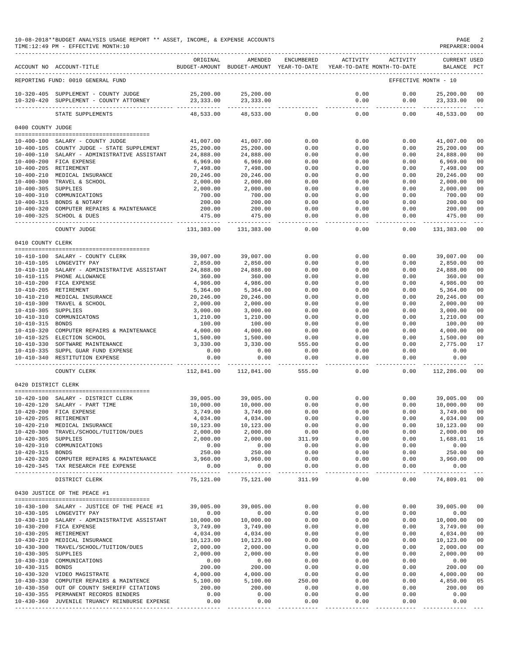### 10-08-2018\*\*BUDGET ANALYSIS USAGE REPORT \*\* ASSET, INCOME, & EXPENSE ACCOUNTS PAGE 2  $TIME:12:49 PM - EFFECTIVE MOMTH:10$

|                                      | ACCOUNT NO ACCOUNT-TITLE                                            | ORIGINAL                | AMENDED<br>BUDGET-AMOUNT BUDGET-AMOUNT YEAR-TO-DATE | ENCUMBERED           | ACTIVITY            | ACTIVITY<br>YEAR-TO-DATE MONTH-TO-DATE | <b>CURRENT USED</b><br><b>BALANCE</b> | PCT                  |
|--------------------------------------|---------------------------------------------------------------------|-------------------------|-----------------------------------------------------|----------------------|---------------------|----------------------------------------|---------------------------------------|----------------------|
|                                      | REPORTING FUND: 0010 GENERAL FUND                                   |                         |                                                     |                      |                     |                                        | EFFECTIVE MONTH - 10                  |                      |
|                                      |                                                                     |                         |                                                     |                      |                     |                                        |                                       |                      |
| $10 - 320 - 405$<br>$10 - 320 - 420$ | SUPPLEMENT - COUNTY JUDGE<br>SUPPLEMENT - COUNTY ATTORNEY           | 25,200.00<br>23, 333.00 | 25,200.00<br>23, 333.00                             |                      | 0.00<br>0.00        | 0.00<br>0.00                           | 25,200.00<br>23, 333.00               | 00<br>0 <sub>0</sub> |
|                                      | STATE SUPPLEMENTS                                                   | 48,533.00               | 48,533.00                                           | 0.00                 | 0.00                | 0.00                                   | 48,533.00                             | 00                   |
| 0400 COUNTY JUDGE                    |                                                                     |                         |                                                     |                      |                     |                                        |                                       |                      |
|                                      |                                                                     |                         |                                                     |                      |                     |                                        |                                       |                      |
| $10 - 400 - 100$                     | SALARY - COUNTY JUDGE<br>10-400-105 COUNTY JUDGE - STATE SUPPLEMENT | 41,007.00<br>25,200.00  | 41,007.00<br>25,200.00                              | 0.00<br>0.00         | 0.00<br>0.00        | 0.00<br>0.00                           | 41,007.00<br>25,200.00                | 00<br>00             |
|                                      | 10-400-110 SALARY - ADMINISTRATIVE ASSISTANT                        | 24,888.00               | 24,888.00                                           | 0.00                 | 0.00                | 0.00                                   | 24,888.00                             | 00                   |
|                                      | 10-400-200 FICA EXPENSE                                             | 6,969.00                | 6,969.00                                            | 0.00                 | 0.00                | 0.00                                   | 6,969.00                              | 0 <sub>0</sub>       |
|                                      | 10-400-205 RETIREMENT                                               | 7,498.00                | 7,498.00                                            | 0.00                 | 0.00                | 0.00                                   | 7,498.00                              | 00                   |
| $10 - 400 - 210$                     | MEDICAL INSURANCE                                                   | 20,246.00               | 20,246.00                                           | 0.00                 | 0.00                | 0.00                                   | 20,246.00                             | 0 <sub>0</sub>       |
|                                      | 10-400-300 TRAVEL & SCHOOL                                          | 2,000.00                | 2,000.00                                            | 0.00                 | 0.00                | 0.00                                   | 2,000.00                              | 00                   |
| 10-400-305 SUPPLIES                  |                                                                     | 2,000.00                | 2,000.00                                            | 0.00                 | 0.00                | 0.00                                   | 2,000.00                              | 00                   |
| $10 - 400 - 310$                     | COMMUNICATIONS                                                      | 700.00                  | 700.00                                              | 0.00                 | 0.00                | 0.00                                   | 700.00                                | 00                   |
| $10 - 400 - 315$                     | BONDS & NOTARY                                                      | 200.00                  | 200.00                                              | 0.00                 | 0.00                | 0.00                                   | 200.00                                | 00                   |
|                                      | 10-400-320 COMPUTER REPAIRS & MAINTENANCE                           | 200.00                  | 200.00                                              | 0.00                 | 0.00                | 0.00                                   | 200.00                                | 0 <sub>0</sub>       |
| $10 - 400 - 325$                     | SCHOOL & DUES                                                       | 475.00                  | 475.00                                              | 0.00                 | 0.00                | 0.00                                   | 475.00                                | 00                   |
|                                      | COUNTY JUDGE                                                        | 131,383.00              | 131,383.00                                          | 0.00                 | 0.00                | 0.00                                   | 131,383.00                            | 00                   |
| 0410 COUNTY CLERK                    |                                                                     |                         |                                                     |                      |                     |                                        |                                       |                      |
|                                      |                                                                     |                         |                                                     |                      |                     |                                        |                                       |                      |
|                                      | 10-410-100 SALARY - COUNTY CLERK                                    | 39,007.00               | 39,007.00                                           | 0.00                 | 0.00                | 0.00                                   | 39,007.00                             | 00                   |
|                                      | 10-410-105 LONGEVITY PAY                                            | 2,850.00                | 2,850.00                                            | 0.00                 | 0.00                | 0.00                                   | 2,850.00                              | 00                   |
| $10 - 410 - 110$                     | SALARY - ADMINISTRATIVE ASSISTANT                                   | 24,888.00               | 24,888.00                                           | 0.00                 | 0.00                | 0.00                                   | 24,888.00                             | 00                   |
|                                      | 10-410-115 PHONE ALLOWANCE                                          | 360.00                  | 360.00                                              | 0.00                 | 0.00                | 0.00                                   | 360.00                                | 00                   |
|                                      | 10-410-200 FICA EXPENSE<br>RETIREMENT                               | 4,986.00                | 4,986.00                                            | 0.00                 | 0.00                | 0.00                                   | 4,986.00                              | 00                   |
| $10 - 410 - 205$<br>$10 - 410 - 210$ | MEDICAL INSURANCE                                                   | 5,364.00                | 5,364.00                                            | 0.00<br>0.00         | 0.00                | 0.00<br>0.00                           | 5,364.00                              | 00<br>0 <sub>0</sub> |
| $10 - 410 - 300$                     | TRAVEL & SCHOOL                                                     | 20,246.00               | 20,246.00                                           |                      | 0.00<br>0.00        | 0.00                                   | 20,246.00<br>2,000.00                 | 00                   |
| $10 - 410 - 305$                     | SUPPLIES                                                            | 2,000.00                | 2,000.00                                            | 0.00<br>0.00         | 0.00                | 0.00                                   |                                       | 0 <sub>0</sub>       |
| $10 - 410 - 310$                     | COMMUNICATONS                                                       | 3,000.00<br>1,210.00    | 3,000.00<br>1,210.00                                | 0.00                 | 0.00                | 0.00                                   | 3,000.00<br>1,210.00                  | 00                   |
| $10 - 410 - 315$                     | <b>BONDS</b>                                                        | 100.00                  | 100.00                                              | 0.00                 | 0.00                | 0.00                                   | 100.00                                | 00                   |
| $10 - 410 - 320$                     | COMPUTER REPAIRS & MAINTENANCE                                      | 4,000.00                | 4,000.00                                            | 0.00                 | 0.00                | 0.00                                   | 4,000.00                              | 00                   |
| $10 - 410 - 325$                     | ELECTION SCHOOL                                                     | 1,500.00                | 1,500.00                                            | 0.00                 | 0.00                | 0.00                                   | 1,500.00                              | 00                   |
| $10 - 410 - 330$                     | SOFTWARE MAINTENANCE                                                | 3,330.00                | 3,330.00                                            | 555.00               | 0.00                | 0.00                                   | 2,775.00                              | 17                   |
|                                      | 10-410-335 SUPPL GUAR FUND EXPENSE                                  | 0.00                    | 0.00                                                | 0.00                 | 0.00                | 0.00                                   | 0.00                                  |                      |
|                                      | 10-410-340 RESTITUTION EXPENSE                                      | 0.00                    | 0.00                                                | 0.00                 | 0.00                | 0.00                                   | 0.00                                  |                      |
|                                      | _________________________________<br>COUNTY CLERK                   | 112,841.00              | 112,841.00                                          | 555.00               | 0.00                | 0.00                                   | 112,286.00                            | 00                   |
| 0420 DISTRICT CLERK                  |                                                                     |                         |                                                     |                      |                     |                                        |                                       |                      |
|                                      |                                                                     |                         |                                                     |                      |                     |                                        |                                       |                      |
|                                      | 10-420-100 SALARY - DISTRICT CLERK                                  | 39,005.00               | 39,005.00                                           | 0.00                 | 0.00                | 0.00                                   | 39,005.00                             | 00                   |
| $10 - 420 - 120$                     | SALARY - PART TIME                                                  | 10,000.00               | 10,000.00                                           | 0.00                 | 0.00                | 0.00                                   | 10,000.00                             | 00                   |
|                                      | 10-420-200 FICA EXPENSE                                             | 3,749.00                | 3,749.00                                            | 0.00                 | 0.00                | 0.00                                   | 3,749.00                              | 00                   |
| $10 - 420 - 205$                     | RETIREMENT                                                          | 4,034.00                | 4,034.00                                            | 0.00                 | 0.00                | 0.00                                   | 4,034.00                              | 0 <sub>0</sub>       |
|                                      | 10-420-210 MEDICAL INSURANCE                                        | 10,123.00               | 10,123.00                                           | 0.00                 | 0.00                | 0.00                                   | 10,123.00                             | 00                   |
|                                      | 10-420-300 TRAVEL/SCHOOL/TUITION/DUES                               | 2,000.00                | 2,000.00                                            | 0.00                 | 0.00                | 0.00                                   | 2,000.00                              | 00                   |
| 10-420-305 SUPPLIES                  |                                                                     | 2,000.00                | 2,000.00                                            | 311.99               | 0.00                | 0.00                                   | 1,688.01                              | 16                   |
|                                      | 10-420-310 COMMUNICATIONS                                           | 0.00                    | 0.00                                                | 0.00                 | 0.00                | 0.00                                   | 0.00                                  |                      |
| 10-420-315 BONDS                     |                                                                     | 250.00                  | 250.00                                              | 0.00                 | 0.00                | 0.00                                   | 250.00                                | 0 <sub>0</sub>       |
|                                      | 10-420-320 COMPUTER REPAIRS & MAINTENANCE                           | 3,960.00                | 3,960.00                                            | 0.00                 | 0.00                | 0.00                                   | 3,960.00                              | 00                   |
|                                      | 10-420-345 TAX RESEARCH FEE EXPENSE                                 | 0.00                    | 0.00<br>______________                              | 0.00<br>------------ | 0.00<br>$- - - - -$ | 0.00<br>----------                     | 0.00<br>------------                  |                      |
|                                      | DISTRICT CLERK                                                      | 75,121.00               | 75,121.00                                           | 311.99               | 0.00                | 0.00                                   | 74,809.01                             | 00                   |
|                                      | 0430 JUSTICE OF THE PEACE #1                                        |                         |                                                     |                      |                     |                                        |                                       |                      |
|                                      |                                                                     |                         |                                                     |                      |                     |                                        |                                       |                      |
|                                      | 10-430-100 SALARY - JUSTICE OF THE PEACE #1                         | 39,005,00               | 39,005.00                                           | 0.00                 | 0.00                | 0.00                                   | 39,005.00                             | 00                   |
|                                      | 10-430-105 LONGEVITY PAY                                            | 0.00                    | 0.00                                                | 0.00                 | 0.00                | 0.00                                   | 0.00                                  |                      |
|                                      | 10-430-110 SALARY - ADMINISTRATIVE ASSISTANT                        | 10,000.00               | 10,000.00                                           | 0.00                 | 0.00                | 0.00                                   | 10,000.00                             | 00                   |
|                                      | 10-430-200 FICA EXPENSE                                             | 3,749.00                | 3,749.00                                            | 0.00                 | 0.00                | 0.00                                   | 3,749.00                              | 00                   |
|                                      | 10-430-205 RETIREMENT                                               | 4,034.00                | 4,034.00                                            | 0.00                 | 0.00                | 0.00                                   | 4,034.00                              | 00                   |
|                                      | 10-430-210 MEDICAL INSURANCE                                        | 10,123.00               | 10,123.00                                           | 0.00                 | 0.00                | 0.00                                   | 10,123.00                             | 00<br>00             |
| 10-430-305 SUPPLIES                  | 10-430-300 TRAVEL/SCHOOL/TUITION/DUES                               | 2,000.00<br>2,000.00    | 2,000.00<br>2,000.00                                | 0.00<br>0.00         | 0.00                | 0.00                                   | 2,000.00<br>2,000.00                  | 0 <sub>0</sub>       |
|                                      | 10-430-310 COMMUNICATIONS                                           | 0.00                    | 0.00                                                | 0.00                 | 0.00<br>0.00        | 0.00<br>0.00                           | 0.00                                  |                      |
| 10-430-315 BONDS                     |                                                                     | 200.00                  | 200.00                                              | 0.00                 | 0.00                | 0.00                                   | 200.00                                | 00                   |
|                                      | 10-430-320 VIDEO MAGISTRATE                                         | 4,000.00                | 4,000.00                                            | 0.00                 | 0.00                | 0.00                                   | 4,000.00                              | 00                   |
|                                      | 10-430-330 COMPUTER REPAIRS & MAINTENCE                             | 5,100.00                | 5,100.00                                            | 250.00               | 0.00                | 0.00                                   | 4,850.00                              | 05                   |
|                                      | 10-430-350 OUT OF COUNTY SHERIFF CITATIONS                          | 200.00                  | 200.00                                              | 0.00                 | 0.00                | 0.00                                   | 200.00                                | 00                   |
|                                      | 10-430-355 PERMANENT RECORDS BINDERS                                | 0.00                    | 0.00                                                | 0.00                 | 0.00                | 0.00                                   | 0.00                                  |                      |
|                                      | 10-430-360 JUVENILE TRUANCY REINBURSE EXPENSE                       | 0.00                    | 0.00                                                | 0.00                 | 0.00                | 0.00                                   | 0.00                                  |                      |
|                                      |                                                                     |                         |                                                     | ----------           | -----------         | ----------                             | -------------                         |                      |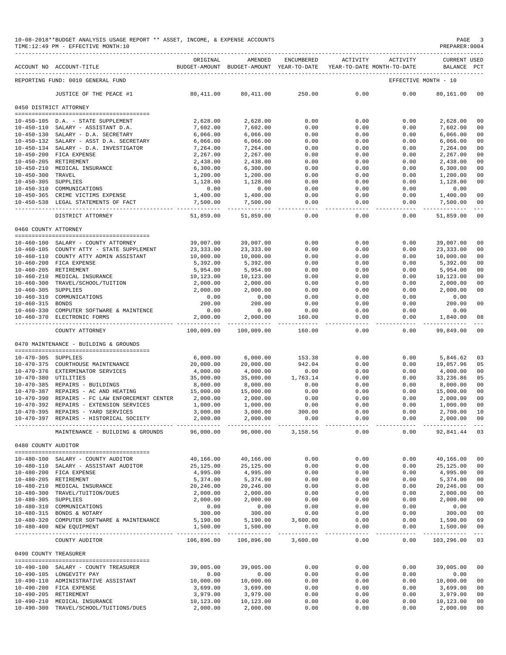|                                          | 10-08-2018**BUDGET ANALYSIS USAGE REPORT ** ASSET, INCOME, & EXPENSE ACCOUNTS<br>TIME:12:49 PM - EFFECTIVE MONTH:10 |                       |                                                                                |                |                |                    | PAGE<br>PREPARER: 0004  |              |
|------------------------------------------|---------------------------------------------------------------------------------------------------------------------|-----------------------|--------------------------------------------------------------------------------|----------------|----------------|--------------------|-------------------------|--------------|
|                                          | ACCOUNT NO ACCOUNT-TITLE                                                                                            | ORIGINAL              | AMENDED<br>BUDGET-AMOUNT BUDGET-AMOUNT YEAR-TO-DATE YEAR-TO-DATE MONTH-TO-DATE | ENCUMBERED     | ACTIVITY       | ACTIVITY           | CURRENT USED<br>BALANCE | $_{\rm PCT}$ |
|                                          | REPORTING FUND: 0010 GENERAL FUND                                                                                   |                       |                                                                                |                |                |                    | EFFECTIVE MONTH - 10    |              |
|                                          | JUSTICE OF THE PEACE #1                                                                                             | 80,411.00             | 80, 411.00                                                                     | 250.00         | 0.00           | 0.00               | 80,161.00               | 00           |
|                                          | 0450 DISTRICT ATTORNEY                                                                                              |                       |                                                                                |                |                |                    |                         |              |
|                                          |                                                                                                                     |                       |                                                                                |                |                |                    |                         |              |
|                                          | 10-450-105 D.A. - STATE SUPPLEMENT                                                                                  | 2,628.00              | 2,628.00                                                                       | 0.00           | 0.00           | 0.00               | 2,628.00                | 00           |
|                                          | 10-450-110 SALARY - ASSISTANT D.A.<br>10-450-130 SALARY - D.A. SECRETARY                                            | 7,602.00              | 7,602.00<br>6,066.00                                                           | 0.00           | 0.00           | 0.00<br>0.00       | 7,602.00                | 00           |
|                                          | 10-450-132 SALARY - ASST D.A. SECRETARY                                                                             | 6,066.00<br>6,066.00  | 6,066.00                                                                       | 0.00<br>0.00   | 0.00<br>0.00   | 0.00               | 6,066.00<br>6,066.00    | 00<br>00     |
|                                          | 10-450-134 SALARY - D.A. INVESTIGATOR                                                                               | 7,264.00              | 7,264.00                                                                       | 0.00           | 0.00           | 0.00               | 7,264.00                | 00           |
|                                          | 10-450-200 FICA EXPENSE                                                                                             | 2,267.00              | 2,267.00                                                                       | 0.00           | 0.00           | 0.00               | 2,267.00                | 00           |
| 10-450-205 RETIREMENT                    |                                                                                                                     | 2,438.00              | 2,438.00                                                                       | 0.00           | 0.00           | 0.00               | 2,438.00                | 00           |
|                                          | 10-450-210 MEDICAL INSURANCE                                                                                        | 6,300.00              | 6,300.00                                                                       | 0.00           | 0.00           | 0.00               | 6,300.00                | 00           |
| 10-450-300 TRAVEL<br>10-450-305 SUPPLIES |                                                                                                                     | 1,200.00<br>1,128.00  | 1,200.00<br>1,128.00                                                           | 0.00<br>0.00   | 0.00<br>0.00   | 0.00<br>0.00       | 1,200.00<br>1,128.00    | 00<br>00     |
|                                          | 10-450-310 COMMUNICATIONS                                                                                           | 0.00                  | 0.00                                                                           | 0.00           | 0.00           | 0.00               | 0.00                    |              |
|                                          | 10-450-365 CRIME VICTIMS EXPENSE                                                                                    | 1,400.00              | 1,400.00                                                                       | 0.00           | 0.00           | 0.00               | 1,400.00                | 00           |
|                                          | 10-450-538 LEGAL STATEMENTS OF FACT                                                                                 | 7,500.00              | 7,500.00                                                                       | 0.00           | 0.00           | 0.00               | 7,500.00                | 00           |
|                                          | DISTRICT ATTORNEY                                                                                                   | 51,859.00             | 51,859.00                                                                      | 0.00           | 0.00           | 0.00               | 51,859.00               | 00           |
| 0460 COUNTY ATTORNEY                     |                                                                                                                     |                       |                                                                                |                |                |                    |                         |              |
|                                          |                                                                                                                     |                       |                                                                                |                |                |                    |                         |              |
|                                          | 10-460-100 SALARY - COUNTY ATTORNEY                                                                                 | 39,007.00             | 39,007.00                                                                      | 0.00           | 0.00           | 0.00               | 39,007.00               | 00           |
|                                          | 10-460-105 COUNTY ATTY - STATE SUPPLEMENT                                                                           | 23, 333.00            | 23, 333.00                                                                     | 0.00           | 0.00           | 0.00               | 23, 333.00              | 00           |
|                                          | 10-460-110 COUNTY ATTY ADMIN ASSISTANT<br>10-460-200 FICA EXPENSE                                                   | 10,000.00             | 10,000.00                                                                      | 0.00           | 0.00           | 0.00               | 10,000.00<br>5,392.00   | 00           |
| 10-460-205 RETIREMENT                    |                                                                                                                     | 5,392.00<br>5,954.00  | 5,392.00<br>5,954.00                                                           | 0.00<br>0.00   | 0.00<br>0.00   | 0.00<br>0.00       | 5,954.00                | 00<br>00     |
|                                          | 10-460-210 MEDICAL INSURANCE                                                                                        | 10,123.00             | 10,123.00                                                                      | 0.00           | 0.00           | 0.00               | 10,123.00               | 00           |
|                                          | 10-460-300 TRAVEL/SCHOOL/TUITION                                                                                    | 2,000.00              | 2,000.00                                                                       | 0.00           | 0.00           | 0.00               | 2,000.00                | 00           |
| 10-460-305 SUPPLIES                      |                                                                                                                     | 2,000.00              | 2,000.00                                                                       | 0.00           | 0.00           | 0.00               | 2,000.00                | 00           |
|                                          | 10-460-310 COMMUNICATIONS                                                                                           | 0.00                  | 0.00                                                                           | 0.00           | 0.00           | 0.00               | 0.00                    |              |
| 10-460-315 BONDS                         |                                                                                                                     | 200.00                | 200.00                                                                         | 0.00           | 0.00           | 0.00               | 200.00                  | 00           |
|                                          | 10-460-330 COMPUTER SOFTWARE & MAINTENCE<br>10-460-370 ELECTRONIC FORMS                                             | 0.00<br>2,000.00      | 0.00<br>2,000.00                                                               | 0.00<br>160.00 | 0.00<br>0.00   | 0.00<br>0.00       | 0.00<br>1,840.00        | 08           |
|                                          |                                                                                                                     |                       |                                                                                |                |                |                    | .                       |              |
|                                          | COUNTY ATTORNEY                                                                                                     | 100,009.00            | 100,009.00                                                                     | 160.00         | 0.00           | 0.00               | 99,849.00               | 00           |
|                                          | 0470 MAINTENANCE - BUILDING & GROUNDS                                                                               |                       |                                                                                |                |                |                    |                         |              |
| 10-470-305 SUPPLIES                      |                                                                                                                     | 6,000.00              | 6,000.00                                                                       | 153.38         | 0.00           | 0.00               | 5,846.62                | 03           |
|                                          | 10-470-375 COURTHOUSE MAINTENANCE                                                                                   | 20,000.00             | 20,000.00                                                                      | 942.04         | 0.00           | 0.00               | 19,057.96               | 05           |
|                                          | 10-470-376 EXTERMINATOR SERVICES                                                                                    | 4,000.00              | 4,000.00                                                                       | 0.00           | 0.00           | 0.00               | 4,000.00                | 00           |
| 10-470-380 UTILITIES                     |                                                                                                                     | 35,000.00             | 35,000.00                                                                      | 1,763.14       | 0.00           | 0.00               | 33,236.86               | 05           |
|                                          | 10-470-385 REPAIRS - BUILDINGS                                                                                      | 8,000.00              | 8,000.00                                                                       | 0.00           | 0.00           | 0.00               | 8,000.00                | 00           |
|                                          | 10-470-387 REPAIRS - AC AND HEATING                                                                                 | 15,000.00             | 15,000.00                                                                      | 0.00           | 0.00           | 0.00               | 15,000.00               | 00           |
|                                          | 10-470-390 REPAIRS - FC LAW ENFORCEMENT CENTER                                                                      | 2,000.00              | 2,000.00                                                                       | 0.00           | 0.00           | 0.00               | 2,000.00                | 00           |
|                                          | 10-470-392 REPAIRS - EXTENSION SERVICES<br>10-470-395 REPAIRS - YARD SERVICES                                       | 1,000.00<br>3,000.00  | 1,000.00<br>3,000.00                                                           | 0.00<br>300.00 | 0.00<br>0.00   | 0.00<br>0.00       | 1,000.00<br>2,700.00 10 | 00           |
|                                          | 10-470-397 REPAIRS - HISTORICAL SOCIETY                                                                             | 2,000.00              | 2,000.00                                                                       | 0.00           | 0.00           | 0.00               | 2,000.00 00             |              |
|                                          |                                                                                                                     |                       |                                                                                |                |                |                    |                         |              |
|                                          | MAINTENANCE - BUILDING & GROUNDS 96,000.00                                                                          |                       | 96,000.00                                                                      | 3,158.56       | 0.00           | 0.00               | 92,841.44 03            |              |
| 0480 COUNTY AUDITOR                      |                                                                                                                     |                       |                                                                                |                |                |                    |                         |              |
|                                          | 10-480-100 SALARY - COUNTY AUDITOR                                                                                  | 40,166.00             | 40,166.00                                                                      | 0.00           | 0.00           | 0.00               | 40,166.00               | 00           |
|                                          | 10-480-110 SALARY - ASSISTANT AUDITOR                                                                               | 25,125.00             | 25,125.00                                                                      | 0.00           | 0.00           | 0.00               | 25,125.00               | 00           |
|                                          | 10-480-200 FICA EXPENSE                                                                                             | 4,995.00              | 4,995.00                                                                       | 0.00           | 0.00           | 0.00               | 4,995.00                | 00           |
| 10-480-205 RETIREMENT                    |                                                                                                                     | 5,374.00              | 5,374.00                                                                       | 0.00           | 0.00           | 0.00               | 5,374.00                | 00           |
|                                          | 10-480-210 MEDICAL INSURANCE                                                                                        | 20,246.00             | 20,246.00                                                                      | 0.00           | 0.00           | 0.00               | 20,246.00               | 00           |
| 10-480-305 SUPPLIES                      | 10-480-300 TRAVEL/TUITION/DUES                                                                                      | 2,000.00<br>2,000.00  | 2,000.00<br>2,000.00                                                           | 0.00<br>0.00   | 0.00<br>0.00   | 0.00<br>0.00       | 2,000.00<br>2,000.00    | 00<br>00     |
|                                          | 10-480-310 COMMUNICATIONS                                                                                           | 0.00                  | 0.00                                                                           | 0.00           | 0.00           | 0.00               | 0.00                    |              |
|                                          | 10-480-315 BONDS & NOTARY                                                                                           | 300.00                | 300.00                                                                         | 0.00           | 0.00           | 0.00               | 300.00                  | 00           |
|                                          | 10-480-320 COMPUTER SOFTWARE & MAINTENANCE                                                                          | 5,190.00              | 5,190.00                                                                       | 3,600.00       | 0.00           | 0.00               | 1,590.00                | 69           |
|                                          | 10-480-400 NEW EQUIPMENT                                                                                            | 1,500.00              | 1,500.00                                                                       | 0.00           | 0.00<br>------ | 0.00<br>---------- | 1,500.00                | 00           |
|                                          | COUNTY AUDITOR                                                                                                      | 106,896.00            | 106,896.00                                                                     | 3,600.00       | 0.00           | 0.00               | 103,296.00              | 03           |
| 0490 COUNTY TREASURER                    |                                                                                                                     |                       |                                                                                |                |                |                    |                         |              |
|                                          | 10-490-100 SALARY - COUNTY TREASURER                                                                                | 39,005.00             | 39,005.00                                                                      | 0.00           | 0.00           | 0.00               | 39,005.00               | 00           |
|                                          | 10-490-105 LONGEVITY PAY                                                                                            | 0.00                  | 0.00                                                                           | 0.00           | 0.00           | 0.00               | 0.00                    |              |
|                                          | 10-490-110 ADMINISTRATIVE ASSISTANT                                                                                 | 10,000.00             | 10,000.00                                                                      | 0.00           | 0.00           | 0.00               | 10,000.00               | 00           |
|                                          | 10-490-200 FICA EXPENSE                                                                                             | 3,699.00              | 3,699.00                                                                       | 0.00           | 0.00           | 0.00               | 3,699.00                | 00           |
| 10-490-205 RETIREMENT                    | 10-490-210 MEDICAL INSURANCE                                                                                        | 3,979.00<br>10,123.00 | 3,979.00<br>10,123.00                                                          | 0.00<br>0.00   | 0.00<br>0.00   | 0.00<br>0.00       | 3,979.00<br>10,123.00   | 00<br>00     |
|                                          | 10-490-300 TRAVEL/SCHOOL/TUITIONS/DUES                                                                              | 2,000.00              | 2,000.00                                                                       | 0.00           | 0.00           | 0.00               | 2,000.00                | $00\,$       |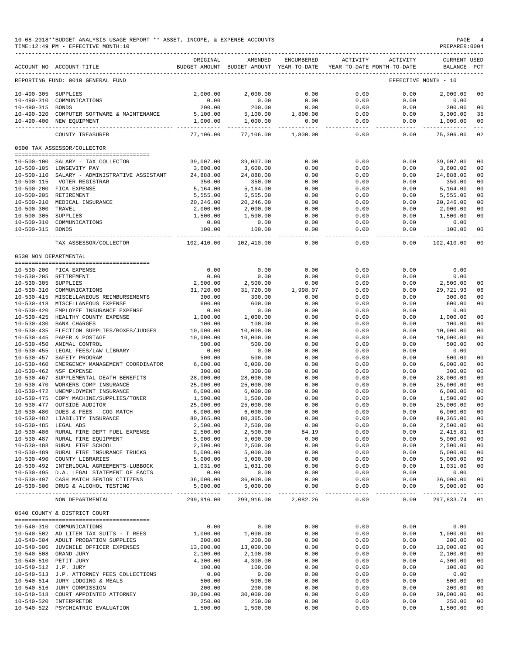### 10-08-2018\*\*BUDGET ANALYSIS USAGE REPORT \*\* ASSET, INCOME, & EXPENSE ACCOUNTS PAGE 4  $TIME:12:49 PM - EFFECTIVE MOMTH:10$

|                                      | ACCOUNT NO ACCOUNT-TITLE                                                             | ORIGINAL              | AMENDED<br>BUDGET-AMOUNT BUDGET-AMOUNT YEAR-TO-DATE | ENCUMBERED            | ACTIVITY               | ACTIVITY<br>YEAR-TO-DATE MONTH-TO-DATE | <b>CURRENT USED</b><br>BALANCE PCT |                                  |
|--------------------------------------|--------------------------------------------------------------------------------------|-----------------------|-----------------------------------------------------|-----------------------|------------------------|----------------------------------------|------------------------------------|----------------------------------|
|                                      | REPORTING FUND: 0010 GENERAL FUND                                                    |                       |                                                     |                       |                        |                                        | EFFECTIVE MONTH - 10               |                                  |
| 10-490-305 SUPPLIES                  |                                                                                      | 2,000.00              | 2.000.00                                            | 0.00                  | 0.00                   | 0.00                                   | 2,000.00                           | 00                               |
| $10 - 490 - 310$                     | COMMUNICATIONS                                                                       | 0.00                  | 0.00                                                | 0.00                  | 0.00                   | 0.00                                   | 0.00                               |                                  |
| 10-490-315 BONDS                     |                                                                                      | 200.00                | 200.00                                              | 0.00                  | 0.00                   | 0.00                                   | 200.00                             | 0 <sup>0</sup>                   |
| $10 - 490 - 320$                     | COMPUTER SOFTWARE & MAINTENANCE                                                      | 5,100.00              | 5,100.00                                            | 1,800.00              | 0.00                   | 0.00                                   | 3,300.00                           | 35                               |
|                                      | 10-490-400 NEW EQUIPMENT                                                             | 1,000.00              | 1,000.00                                            | 0.00<br>------------- | 0.00<br>-------------- | 0.00<br>$- - - - -$                    | 1,000.00<br>--------------         | 0 <sub>0</sub><br>$\frac{1}{2}$  |
|                                      | COUNTY TREASURER                                                                     | 77,106.00             | 77,106.00                                           | 1,800.00              | 0.00                   | 0.00                                   | 75,306.00                          | 02                               |
|                                      | 0500 TAX ASSESSOR/COLLECTOR                                                          |                       |                                                     |                       |                        |                                        |                                    |                                  |
| $10 - 500 - 100$                     | SALARY - TAX COLLECTOR                                                               | 39,007.00             | 39,007.00                                           | 0.00                  | 0.00                   | 0.00                                   | 39,007.00                          | 00                               |
|                                      | 10-500-105 LONGEVITY PAY                                                             | 3,600.00              | 3,600.00                                            | 0.00                  | 0.00                   | 0.00                                   | 3,600.00                           | 0 <sup>0</sup>                   |
| $10 - 500 - 110$                     | SALARY - ADMINISTRATIVE ASSISTANT                                                    | 24,888.00             | 24,888.00                                           | 0.00                  | 0.00                   | 0.00                                   | 24,888.00                          | 0 <sub>0</sub>                   |
| $10 - 500 - 115$                     | VOTER REGISTRAR                                                                      | 350.00                | 350.00                                              | 0.00                  | 0.00                   | 0.00                                   | 350.00                             | 0 <sup>0</sup>                   |
|                                      | 10-500-200 FICA EXPENSE                                                              | 5,164.00              | 5,164.00                                            | 0.00                  | 0.00                   | 0.00                                   | 5,164.00                           | 0 <sub>0</sub>                   |
|                                      | 10-500-205 RETIREMENT                                                                | 5,555.00              | 5,555.00                                            | 0.00                  | 0.00                   | 0.00                                   | 5,555.00                           | 0 <sub>0</sub>                   |
| $10 - 500 - 210$<br>$10 - 500 - 300$ | MEDICAL INSURANCE<br>TRAVEL                                                          | 20,246.00<br>2,000.00 | 20,246.00<br>2,000.00                               | 0.00<br>0.00          | 0.00<br>0.00           | 0.00<br>0.00                           | 20,246.00<br>2,000.00              | 00<br>00                         |
| 10-500-305 SUPPLIES                  |                                                                                      | 1,500.00              | 1,500.00                                            | 0.00                  | 0.00                   | 0.00                                   | 1,500.00                           | 0 <sub>0</sub>                   |
| $10 - 500 - 310$                     | COMMUNICATIONS                                                                       | 0.00                  | 0.00                                                | 0.00                  | 0.00                   | 0.00                                   | 0.00                               |                                  |
| 10-500-315 BONDS                     |                                                                                      | 100.00                | 100.00                                              | 0.00                  | 0.00                   | 0.00                                   | 100.00                             | 0 <sub>0</sub>                   |
|                                      | ------------------ --------------                                                    |                       | -------------                                       | -----                 | $- - - - -$            | -----                                  | -----------                        | $\frac{1}{2}$                    |
|                                      | TAX ASSESSOR/COLLECTOR                                                               | 102,410.00            | 102,410.00                                          | 0.00                  | 0.00                   | 0.00                                   | 102,410.00                         | 0 <sup>0</sup>                   |
| 0530 NON DEPARTMENTAL                | --------------------------------------                                               |                       |                                                     |                       |                        |                                        |                                    |                                  |
|                                      | 10-530-200 FICA EXPENSE                                                              | 0.00                  | 0.00                                                | 0.00                  | 0.00                   | 0.00                                   | 0.00                               |                                  |
|                                      | 10-530-205 RETIREMENT                                                                | 0.00                  | 0.00                                                | 0.00                  | 0.00                   | 0.00                                   | 0.00                               |                                  |
| $10 - 530 - 305$                     | SUPPLIES                                                                             | 2,500.00              | 2,500.00                                            | 0.00                  | 0.00                   | 0.00                                   | 2,500.00                           | 00                               |
| $10 - 530 - 310$                     | COMMUNICATIONS                                                                       | 31,720.00             | 31,720.00                                           | 1,998.07              | 0.00                   | 0.00                                   | 29,721.93                          | 06                               |
| $10 - 530 - 415$                     | MISCELLANEOUS REIMBURSEMENTS                                                         | 300.00                | 300.00                                              | 0.00                  | 0.00                   | 0.00                                   | 300.00                             | 0 <sup>0</sup>                   |
| $10 - 530 - 418$<br>$10 - 530 - 420$ | MISCELLANEOUS EXPENSE<br>EMPLOYEE INSURANCE EXPENSE                                  | 600.00<br>0.00        | 600.00<br>0.00                                      | 0.00<br>0.00          | 0.00<br>0.00           | 0.00<br>0.00                           | 600.00<br>0.00                     | 0 <sub>0</sub>                   |
| $10 - 530 - 425$                     | HEALTHY COUNTY EXPENSE                                                               | 1,000.00              | 1,000.00                                            | 0.00                  | 0.00                   | 0.00                                   | 1,000.00                           | 0 <sup>0</sup>                   |
| $10 - 530 - 430$                     | <b>BANK CHARGES</b>                                                                  | 100.00                | 100.00                                              | 0.00                  | 0.00                   | 0.00                                   | 100.00                             | 00                               |
| $10 - 530 - 435$                     | ELECTION SUPPLIES/BOXES/JUDGES                                                       | 10,000.00             | 10,000.00                                           | 0.00                  | 0.00                   | 0.00                                   | 10,000.00                          | 0 <sup>0</sup>                   |
| $10 - 530 - 445$                     | PAPER & POSTAGE                                                                      | 10,000.00             | 10,000.00                                           | 0.00                  | 0.00                   | 0.00                                   | 10,000.00                          | 0 <sub>0</sub>                   |
| $10 - 530 - 450$                     | ANIMAL CONTROL                                                                       | 500.00                | 500.00                                              | 0.00                  | 0.00                   | 0.00                                   | 500.00                             | 0 <sub>0</sub>                   |
| $10 - 530 - 455$<br>$10 - 530 - 457$ | LEGAL FEES/LAW LIBRARY<br>SAFETY PROGRAM                                             | 0.00<br>500.00        | 0.00<br>500.00                                      | 0.00<br>0.00          | 0.00<br>0.00           | 0.00<br>0.00                           | 0.00<br>500.00                     | 0 <sub>0</sub>                   |
| $10 - 530 - 460$                     | EMERGENCY MANAGEMENT COORDINATOR                                                     | 6,000.00              | 6,000.00                                            | 0.00                  | 0.00                   | 0.00                                   | 6,000.00                           | 00                               |
| $10 - 530 - 462$                     | NSF EXPENSE                                                                          | 300.00                | 300.00                                              | 0.00                  | 0.00                   | 0.00                                   | 300.00                             | 0 <sub>0</sub>                   |
| $10 - 530 - 467$                     | SUPPLEMENTAL DEATH BENEFITS                                                          | 28,000.00             | 28,000.00                                           | 0.00                  | 0.00                   | 0.00                                   | 28,000.00                          | 0 <sub>0</sub>                   |
| $10 - 530 - 470$                     | WORKERS COMP INSURANCE                                                               | 25,000.00             | 25,000.00                                           | 0.00                  | 0.00                   | 0.00                                   | 25,000.00                          | 0 <sub>0</sub>                   |
| $10 - 530 - 472$                     | UNEMPLOYMENT INSURANCE                                                               | 6,000.00              | 6,000.00                                            | 0.00                  | 0.00                   | 0.00                                   | 6,000.00                           | 0 <sub>0</sub>                   |
| $10 - 530 - 475$                     | COPY MACHINE/SUPPLIES/TONER                                                          | 1,500.00              | 1,500.00                                            | 0.00                  | 0.00                   | 0.00                                   | 1,500.00                           | 0 <sub>0</sub>                   |
| $10 - 530 - 477$                     | OUTSIDE AUDITOR                                                                      | 25,000.00             | 25,000.00                                           | 0.00                  | 0.00                   | 0.00                                   | 25,000.00                          | 0 <sup>0</sup>                   |
| $10 - 530 - 480$                     | DUES & FEES - COG MATCH<br>10-530-482 LIABILITY INSURANCE                            | 6,000.00<br>80,365.00 | 6,000.00<br>80,365.00                               | 0.00<br>0.00          | 0.00<br>0.00           | 0.00<br>0.00                           | 6,000.00<br>80,365.00              | 0 <sub>0</sub><br>0 <sub>0</sub> |
| 10-530-485 LEGAL ADS                 |                                                                                      | 2,500.00              | 2,500.00                                            | 0.00                  | 0.00                   | 0.00                                   | 2,500.00                           | 00                               |
|                                      | 10-530-486 RURAL FIRE DEPT FUEL EXPENSE                                              | 2,500.00              | 2,500.00                                            | 84.19                 | 0.00                   | 0.00                                   | 2,415.81                           | 03                               |
|                                      | 10-530-487 RURAL FIRE EQUIPMENT                                                      | 5,000.00              | 5,000.00                                            | 0.00                  | 0.00                   | 0.00                                   | 5,000.00                           | 0 <sub>0</sub>                   |
|                                      | 10-530-488 RURAL FIRE SCHOOL                                                         | 2,500.00              | 2,500.00                                            | 0.00                  | 0.00                   | 0.00                                   | 2,500.00                           | 0 <sub>0</sub>                   |
|                                      | 10-530-489 RURAL FIRE INSURANCE TRUCKS                                               | 5,000.00              | 5,000.00                                            | 0.00                  | 0.00                   | 0.00                                   | 5,000.00                           | 0 <sub>0</sub>                   |
|                                      | 10-530-490 COUNTY LIBRARIES                                                          | 5,000.00              | 5,000.00                                            | 0.00                  | 0.00                   | 0.00                                   | 5,000.00                           | 0 <sub>0</sub>                   |
|                                      | 10-530-492 INTERLOCAL AGREEMENTS-LUBBOCK<br>10-530-495 D.A. LEGAL STATEMENT OF FACTS | 1,031.00<br>0.00      | 1,031.00<br>0.00                                    | 0.00<br>0.00          | 0.00<br>0.00           | 0.00<br>0.00                           | 1,031.00<br>0.00                   | 0 <sub>0</sub>                   |
|                                      | 10-530-497 CASH MATCH SENIOR CITIZENS                                                | 36,000.00             | 36,000.00                                           | 0.00                  | 0.00                   | 0.00                                   | 36,000.00                          | 0 <sub>0</sub>                   |
|                                      | 10-530-500 DRUG & ALCOHOL TESTING                                                    | 5,000.00              | 5,000.00                                            | 0.00                  | 0.00                   | 0.00                                   | 5,000.00                           | 0 <sub>0</sub>                   |
|                                      | NON DEPARTMENTAL                                                                     | 299,916.00            |                                                     | 299,916.00 2,082.26   | -------------<br>0.00  | 0.00                                   | 297,833.74 01                      |                                  |
|                                      | 0540 COUNTY & DISTRICT COURT                                                         |                       |                                                     |                       |                        |                                        |                                    |                                  |
|                                      | 10-540-310 COMMUNICATIONS                                                            | 0.00                  | 0.00                                                | 0.00                  | 0.00                   | 0.00                                   | 0.00                               |                                  |
|                                      | 10-540-502 AD LITEM TAX SUITS - T REES                                               | 1,000.00              | 1,000.00                                            | 0.00                  | 0.00                   | 0.00                                   | 1,000.00                           | 0 <sub>0</sub>                   |
|                                      | 10-540-504 ADULT PROBATION SUPPLIES                                                  | 200.00                | 200.00                                              | 0.00                  | 0.00                   | 0.00                                   | 200.00                             | 0 <sub>0</sub>                   |
|                                      | 10-540-506 JUVENILE OFFICER EXPENSES                                                 | 13,000.00             | 13,000.00                                           | 0.00                  | 0.00                   | 0.00                                   | 13,000.00                          | 0 <sub>0</sub>                   |
|                                      | 10-540-508 GRAND JURY                                                                | 2,100.00              | 2,100.00                                            | 0.00                  | 0.00                   | 0.00                                   | 2,100.00                           | 0 <sub>0</sub>                   |
| 10-540-512 J.P. JURY                 | 10-540-510 PETIT JURY                                                                | 4,300.00<br>100.00    | 4,300.00<br>100.00                                  | 0.00<br>0.00          | 0.00<br>0.00           | 0.00<br>0.00                           | 4,300.00<br>100.00                 | 0 <sub>0</sub><br>0 <sub>0</sub> |
|                                      | 10-540-513 J.P. ATTORNEY FEES COLLECTIONS                                            | 0.00                  | 0.00                                                | 0.00                  | 0.00                   | 0.00                                   | 0.00                               |                                  |
|                                      | 10-540-514 JURY LODGING & MEALS                                                      | 500.00                | 500.00                                              | 0.00                  | 0.00                   | 0.00                                   | 500.00                             | 0 <sub>0</sub>                   |
|                                      | 10-540-516 JURY COMMISSION                                                           | 200.00                | 200.00                                              | 0.00                  | 0.00                   | 0.00                                   | 200.00                             | 0 <sub>0</sub>                   |
|                                      | 10-540-518 COURT APPOINTED ATTORNEY                                                  | 30,000.00             | 30,000.00                                           | 0.00                  | 0.00                   | 0.00                                   | 30,000.00                          | 0 <sub>0</sub>                   |
|                                      | 10-540-520 INTERPRETOR                                                               | 250.00                | 250.00                                              | 0.00                  | 0.00                   | 0.00                                   | 250.00                             | 00                               |

10-540-522 PSYCHIATRIC EVALUATION 1,500.00 1,500.00 0.00 0.00 0.00 1,500.00 00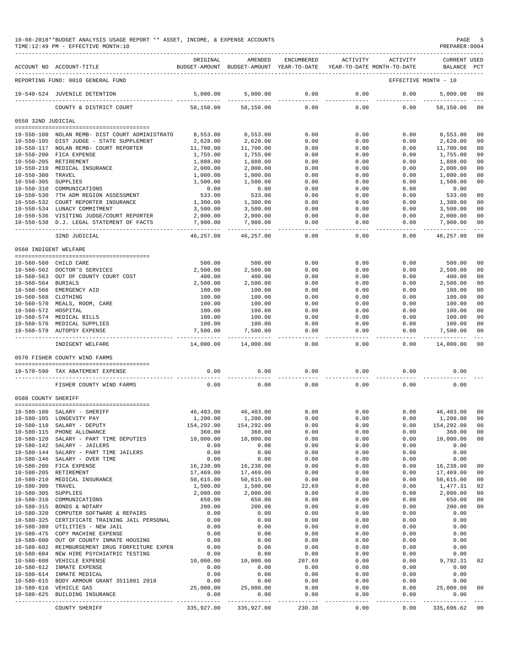|                                          | 10-08-2018**BUDGET ANALYSIS USAGE REPORT ** ASSET, INCOME, & EXPENSE ACCOUNTS<br>TIME: 12:49 PM - EFFECTIVE MONTH: 10 |                       |                                                                                |                      |                     |                     | PREPARER: 0004              | PAGE 5               |
|------------------------------------------|-----------------------------------------------------------------------------------------------------------------------|-----------------------|--------------------------------------------------------------------------------|----------------------|---------------------|---------------------|-----------------------------|----------------------|
|                                          | ACCOUNT NO ACCOUNT-TITLE                                                                                              | ORIGINAL              | AMENDED<br>BUDGET-AMOUNT BUDGET-AMOUNT YEAR-TO-DATE YEAR-TO-DATE MONTH-TO-DATE | ENCUMBERED           | ACTIVITY            | ACTIVITY            | CURRENT USED<br>BALANCE PCT |                      |
|                                          | REPORTING FUND: 0010 GENERAL FUND                                                                                     |                       |                                                                                |                      |                     |                     | EFFECTIVE MONTH - 10        |                      |
|                                          | 10-540-524 JUVENILE DETENTION                                                                                         | 5,000.00              | 5,000.00                                                                       | 0.00                 | 0.00                | 0.00                | 5,000.00                    | 00                   |
|                                          | COUNTY & DISTRICT COURT                                                                                               | 58,150.00             | 58,150.00                                                                      | 0.00                 | 0.00                | 0.00                | 58,150.00                   | 00                   |
| 0550 32ND JUDICIAL                       |                                                                                                                       |                       |                                                                                |                      |                     |                     |                             |                      |
|                                          |                                                                                                                       |                       |                                                                                |                      |                     |                     |                             |                      |
|                                          | 10-550-100 NOLAN REMB- DIST COURT ADMINISTRATO<br>10-550-105 DIST JUDGE - STATE SUPPLEMENT                            | 8,553.00<br>2,628.00  | 8,553.00<br>2,628.00                                                           | 0.00<br>0.00         | 0.00<br>0.00        | 0.00<br>0.00        | 8,553.00<br>2,628.00        | 00<br>00             |
|                                          | 10-550-117 NOLAN REMB- COURT REPORTER                                                                                 | 11,700.00             | 11,700.00                                                                      | 0.00                 | 0.00                | 0.00                | 11,700.00                   | 00                   |
|                                          | 10-550-200 FICA EXPENSE                                                                                               | 1,755.00              | 1,755.00                                                                       | 0.00                 | 0.00                | 0.00                | 1,755.00                    | 00                   |
|                                          | 10-550-205 RETIREMENT                                                                                                 | 1,888.00              | 1,888.00                                                                       | 0.00                 | 0.00                | 0.00                | 1,888.00                    | 00                   |
|                                          | 10-550-210 MEDICAL INSURANCE                                                                                          | 2,000.00              | 2,000.00                                                                       | 0.00                 | 0.00                | 0.00                | 2,000.00                    | 0 <sub>0</sub>       |
| 10-550-300 TRAVEL<br>10-550-305 SUPPLIES |                                                                                                                       | 1,000.00<br>1,500.00  | 1,000.00<br>1,500.00                                                           | 0.00<br>0.00         | 0.00<br>0.00        | 0.00<br>0.00        | 1,000.00<br>1,500.00        | 00<br>0 <sub>0</sub> |
|                                          | 10-550-310 COMMUNICATIONS                                                                                             | 0.00                  | 0.00                                                                           | 0.00                 | 0.00                | 0.00                | 0.00                        |                      |
|                                          | 10-550-530 7TH ADM REGION ASSESSMENT                                                                                  | 533.00                | 533.00                                                                         | 0.00                 | 0.00                | 0.00                | 533.00                      | 00                   |
|                                          | 10-550-532 COURT REPORTER INSURANCE                                                                                   | 1,300.00              | 1,300.00                                                                       | 0.00                 | 0.00                | 0.00                | 1,300.00                    | 0 <sup>0</sup>       |
|                                          | 10-550-534 LUNACY COMMITMENT                                                                                          | 3,500.00              | 3,500.00                                                                       | 0.00                 | 0.00                | 0.00                | 3,500.00                    | 00                   |
|                                          | 10-550-536 VISITING JUDGE/COURT REPORTER                                                                              | 2,000.00              | 2,000.00                                                                       | 0.00                 | 0.00                | 0.00                | 2,000.00                    | 00                   |
|                                          | 10-550-538 D.J. LEGAL STATEMENT OF FACTS                                                                              | 7,900.00              | 7,900.00                                                                       | 0.00                 | 0.00                | 0.00                | 7,900.00                    | 00                   |
|                                          | 32ND JUDICIAL                                                                                                         | --------<br>46,257.00 | ----------<br>46,257.00                                                        | $- - - -$<br>0.00    | 0.00                | 0.00                | -----------<br>46,257.00    | $- - -$<br>00        |
| 0560 INDIGENT WELFARE                    |                                                                                                                       |                       |                                                                                |                      |                     |                     |                             |                      |
|                                          |                                                                                                                       |                       |                                                                                |                      |                     |                     |                             |                      |
|                                          | 10-560-560 CHILD CARE                                                                                                 | 500.00                | 500.00                                                                         | 0.00                 | 0.00                | 0.00                | 500.00                      | 00                   |
|                                          | 10-560-562 DOCTOR'S SERVICES                                                                                          | 2,500.00              | 2,500.00                                                                       | 0.00<br>0.00         | 0.00<br>0.00        | 0.00                | 2,500.00                    | 00<br>0 <sup>0</sup> |
| 10-560-564 BURIALS                       | 10-560-563 OUT OF COUNTY COURT COST                                                                                   | 400.00<br>2,500.00    | 400.00<br>2,500.00                                                             | 0.00                 | 0.00                | 0.00<br>0.00        | 400.00<br>2,500.00          | 00                   |
|                                          | 10-560-566 EMERGENCY AID                                                                                              | 100.00                | 100.00                                                                         | 0.00                 | 0.00                | 0.00                | 100.00                      | 0 <sub>0</sub>       |
| 10-560-568 CLOTHING                      |                                                                                                                       | 100.00                | 100.00                                                                         | 0.00                 | 0.00                | 0.00                | 100.00                      | 0 <sub>0</sub>       |
|                                          | 10-560-570 MEALS, ROOM, CARE                                                                                          | 100.00                | 100.00                                                                         | 0.00                 | 0.00                | 0.00                | 100.00                      | 0 <sup>0</sup>       |
| 10-560-572 HOSPITAL                      |                                                                                                                       | 100.00                | 100.00                                                                         | 0.00                 | 0.00                | 0.00                | 100.00                      | 00                   |
|                                          | 10-560-574 MEDICAL BILLS                                                                                              | 100.00                | 100.00                                                                         | 0.00                 | 0.00                | 0.00                | 100.00                      | 0 <sub>0</sub>       |
|                                          | 10-560-576 MEDICAL SUPPLIES<br>10-560-579 AUTOPSY EXPENSE                                                             | 100.00<br>7,500.00    | 100.00<br>7,500.00                                                             | 0.00<br>0.00         | 0.00<br>0.00        | 0.00<br>0.00        | 100.00<br>7,500.00          | 0 <sup>0</sup><br>00 |
|                                          |                                                                                                                       |                       |                                                                                | $- - - - -$          | $- - - -$           | -------             | ----------                  |                      |
|                                          | INDIGENT WELFARE                                                                                                      | 14,000.00             | 14,000.00                                                                      | 0.00                 | 0.00                | 0.00                | 14,000.00                   | 00                   |
|                                          | 0570 FISHER COUNTY WIND FARMS                                                                                         |                       |                                                                                |                      |                     |                     |                             |                      |
|                                          | 10-570-590 TAX ABATEMENT EXPENSE                                                                                      | 0.00                  | 0.00                                                                           | 0.00                 | 0.00                | 0.00                | 0.00                        |                      |
|                                          | FISHER COUNTY WIND FARMS                                                                                              | 0.00                  | 0.00                                                                           | 0.00                 | 0.00                | 0.00                | 0.00                        |                      |
| 0580 COUNTY SHERIFF                      |                                                                                                                       |                       |                                                                                |                      |                     |                     |                             |                      |
|                                          | 10-580-100 SALARY - SHERIFF                                                                                           | 46,403.00             | 46,403.00                                                                      | 0.00                 | 0.00                | 0.00                | 46,403.00                   | 00                   |
|                                          | 10-580-105 LONGEVITY PAY                                                                                              | 1,200.00              | 1,200.00                                                                       | 0.00                 | 0.00                | 0.00                | 1,200.00                    | 00                   |
|                                          | 10-580-110 SALARY - DEPUTY                                                                                            | 154,292.00            | 154,292.00                                                                     | 0.00                 | 0.00                | 0.00                | 154,292.00                  | 00                   |
|                                          | 10-580-115 PHONE ALLOWANCE                                                                                            | 360.00                | 360.00                                                                         | 0.00                 | 0.00                | 0.00                | 360.00                      | $00\,$               |
|                                          | 10-580-120 SALARY - PART TIME DEPUTIES 10,000.00<br>10-580-142 SALARY - JAILERS                                       | 0.00                  | 10,000.00<br>0.00                                                              | 0.00<br>0.00         | 0.00<br>0.00        | 0.00<br>0.00        | 10,000.00<br>0.00           | 00                   |
|                                          | 10-580-144 SALARY - PART TIME JAILERS                                                                                 | 0.00                  | 0.00                                                                           | 0.00                 | 0.00                | 0.00                | 0.00                        |                      |
|                                          | 10-580-146 SALARY - OVER TIME                                                                                         | 0.00                  | 0.00                                                                           | 0.00                 | 0.00                | 0.00                | 0.00                        |                      |
|                                          | 10-580-200 FICA EXPENSE                                                                                               | 16,238.00             | 16,238.00                                                                      | 0.00                 | 0.00                | 0.00                | 16,238.00                   | 00                   |
|                                          | 10-580-205 RETIREMENT                                                                                                 | 17,469.00             | 17,469.00                                                                      | 0.00                 | 0.00                | 0.00                | 17,469.00                   | 00                   |
|                                          | 10-580-210 MEDICAL INSURANCE                                                                                          | 50,615.00             | 50,615.00                                                                      | 0.00                 | 0.00                | 0.00                | 50,615.00                   | 00                   |
| $10 - 580 - 300$                         | TRAVEL                                                                                                                | 1,500.00              | 1,500.00                                                                       | 22.69                | 0.00                | 0.00                | 1,477.31                    | 02                   |
| 10-580-305 SUPPLIES                      | 10-580-310 COMMUNICATIONS                                                                                             | 2,000.00              | 2,000.00                                                                       | 0.00                 | 0.00                | 0.00                | 2,000.00                    | 00                   |
|                                          | 10-580-315 BONDS & NOTARY                                                                                             | 650.00<br>200.00      | 650.00<br>200.00                                                               | 0.00<br>0.00         | 0.00<br>0.00        | 0.00<br>0.00        | 650.00<br>200.00            | 00<br>00             |
|                                          | 10-580-320 COMPUTER SOFTWARE & REPAIRS                                                                                | 0.00                  | 0.00                                                                           | 0.00                 | 0.00                | 0.00                | 0.00                        |                      |
|                                          | 10-580-325 CERTIFICATE TRAINING JAIL PERSONAL                                                                         | 0.00                  | 0.00                                                                           | 0.00                 | 0.00                | 0.00                | 0.00                        |                      |
|                                          | 10-580-380 UTILITIES - NEW JAIL                                                                                       | 0.00                  | 0.00                                                                           | 0.00                 | 0.00                | 0.00                | 0.00                        |                      |
|                                          | 10-580-475 COPY MACHINE EXPENSE                                                                                       | 0.00                  | 0.00                                                                           | 0.00                 | 0.00                | 0.00                | 0.00                        |                      |
|                                          | 10-580-600 OUT OF COUNTY INMATE HOUSING                                                                               | 0.00                  | 0.00                                                                           | 0.00                 | 0.00                | 0.00                | 0.00                        |                      |
|                                          | 10-580-602 REIMBURSEMENT DRUG FORFEITURE EXPEN                                                                        | 0.00                  | 0.00                                                                           | 0.00                 | 0.00                | 0.00                | 0.00                        |                      |
|                                          | 10-580-604 NEW HIRE PSYCHIATRIC TESTING<br>10-580-608 VEHICLE EXPENSE                                                 | 0.00<br>10,000.00     | 0.00<br>10,000.00                                                              | 0.00<br>207.69       | 0.00<br>0.00        | 0.00<br>0.00        | 0.00<br>9,792.31            | 02                   |
|                                          | 10-580-612 INMATE EXPENSE                                                                                             | 0.00                  | 0.00                                                                           | 0.00                 | 0.00                | 0.00                | 0.00                        |                      |
|                                          | 10-580-614 INMATE MEDICAL                                                                                             | 0.00                  | 0.00                                                                           | 0.00                 | 0.00                | 0.00                | 0.00                        |                      |
|                                          | 10-580-615 BODY ARMOUR GRANT 3511801 2018                                                                             | 0.00                  | 0.00                                                                           | 0.00                 | 0.00                | 0.00                | 0.00                        |                      |
|                                          | 10-580-616 VEHICLE GAS                                                                                                | 25,000.00             | 25,000.00                                                                      | 0.00                 | 0.00                | 0.00                | 25,000.00                   | 00                   |
|                                          | 10-580-625 BUILDING INSURANCE                                                                                         | 0.00                  | 0.00                                                                           | 0.00<br>------------ | 0.00<br>$- - - - -$ | 0.00<br>$- - - - -$ | 0.00<br>-----------         |                      |
|                                          | COUNTY SHERIFF                                                                                                        | 335,927.00            | 335,927.00                                                                     | 230.38               | 0.00                | 0.00                | 335,696.62 00               |                      |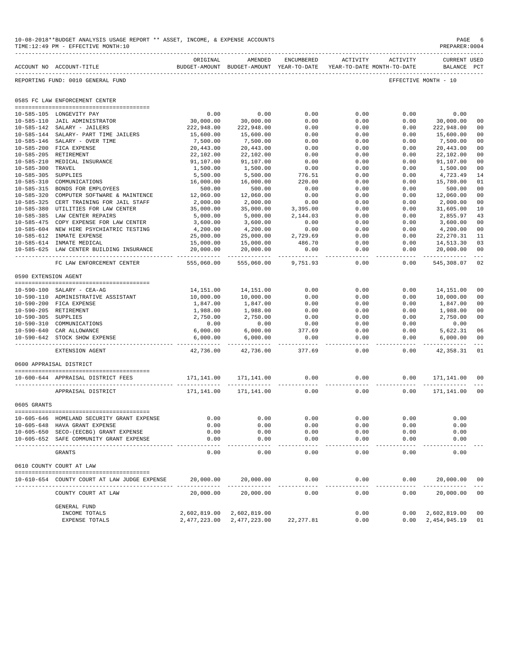| 10-08-2018**BUDGET ANALYSIS USAGE REPORT ** ASSET, INCOME, & EXPENSE ACCOUNTS | PAGE           |
|-------------------------------------------------------------------------------|----------------|
| TIME:12:49 PM - EFFECTIVE MONTH:10                                            | PREPARER: 0004 |

|                      | ACCOUNT NO ACCOUNT-TITLE                       | ORIGINAL             | AMENDED<br>BUDGET-AMOUNT BUDGET-AMOUNT YEAR-TO-DATE | ENCUMBERED     | ACTIVITY<br>YEAR-TO-DATE MONTH-TO-DATE | ACTIVITY     | CURRENT USED<br>BALANCE | PCT                  |
|----------------------|------------------------------------------------|----------------------|-----------------------------------------------------|----------------|----------------------------------------|--------------|-------------------------|----------------------|
|                      | REPORTING FUND: 0010 GENERAL FUND              |                      |                                                     |                |                                        |              | EFFECTIVE MONTH - 10    |                      |
|                      | 0585 FC LAW ENFORCEMENT CENTER                 |                      |                                                     |                |                                        |              |                         |                      |
|                      | 10-585-105 LONGEVITY PAY                       | 0.00                 | 0.00                                                | 0.00           | 0.00                                   | 0.00         | 0.00                    |                      |
| $10 - 585 - 110$     | JAIL ADMINISTRATOR                             | 30,000.00            | 30,000.00                                           | 0.00           | 0.00                                   | 0.00         | 30,000.00               | 00                   |
| $10 - 585 - 142$     | SALARY - JAILERS                               | 222,948.00           | 222,948.00                                          | 0.00           | 0.00                                   | 0.00         | 222,948.00              | 00                   |
| $10 - 585 - 144$     | SALARY- PART TIME JAILERS                      | 15,600.00            | 15,600.00                                           | 0.00           | 0.00                                   | 0.00         | 15,600.00               | 00                   |
| $10 - 585 - 146$     | SALARY - OVER TIME                             | 7,500.00             | 7,500.00                                            | 0.00           | 0.00                                   | 0.00         | 7,500.00                | 00                   |
| $10 - 585 - 200$     | FICA EXPENSE                                   | 20,443.00            | 20,443.00                                           | 0.00           | 0.00                                   | 0.00         | 20,443.00               | 00                   |
| $10 - 585 - 205$     | RETIREMENT                                     | 22,102.00            | 22,102.00                                           | 0.00           | 0.00                                   | 0.00         | 22,102.00               | 00                   |
| $10 - 585 - 210$     | MEDICAL INSURANCE                              | 91,107.00            | 91,107.00                                           | 0.00           | 0.00                                   | 0.00         | 91,107.00               | 00                   |
| $10 - 585 - 300$     | TRAVEL                                         | 1,500.00             | 1,500.00                                            | 0.00           | 0.00                                   | 0.00         | 1,500.00                | 00                   |
| $10 - 585 - 305$     | SUPPLIES                                       | 5,500.00             | 5,500.00                                            | 776.51         | 0.00                                   | 0.00         | 4,723.49                | 14                   |
| $10 - 585 - 310$     | COMMUNICATIONS                                 | 16,000.00            | 16,000.00                                           | 220.00         | 0.00                                   | 0.00         | 15,780.00               | 01                   |
| $10 - 585 - 315$     | BONDS FOR EMPLOYEES                            | 500.00               | 500.00                                              | 0.00           | 0.00                                   | 0.00         | 500.00                  | 00                   |
| $10 - 585 - 320$     | COMPUTER SOFTWARE & MAINTENCE                  | 12,060.00            | 12,060.00                                           | 0.00           | 0.00                                   | 0.00         | 12,060.00               | 00                   |
| $10 - 585 - 325$     | CERT TRAINING FOR JAIL STAFF                   | 2,000.00             | 2,000.00                                            | 0.00           | 0.00                                   | 0.00         | 2,000.00                | 00                   |
| $10 - 585 - 380$     | UTILITIES FOR LAW CENTER                       | 35,000.00            | 35,000.00                                           | 3,395.00       | 0.00                                   | 0.00         | 31,605.00               | 10                   |
| $10 - 585 - 385$     | LAW CENTER REPAIRS                             | 5,000.00             | 5,000.00                                            | 2,144.03       | 0.00                                   | 0.00         | 2,855.97                | 43                   |
| $10 - 585 - 475$     | COPY EXPENSE FOR LAW CENTER                    | 3,600.00             | 3,600.00                                            | 0.00           | 0.00                                   | 0.00         | 3,600.00                | 00                   |
| $10 - 585 - 604$     | NEW HIRE PSYCHIATRIC TESTING                   | 4,200.00             | 4,200.00                                            | 0.00           | 0.00                                   | 0.00         | 4,200.00                | 0 <sub>0</sub>       |
| $10 - 585 - 612$     | INMATE EXPENSE                                 | 25,000.00            | 25,000.00                                           | 2,729.69       | 0.00                                   | 0.00         | 22, 270.31              | 11                   |
|                      | 10-585-614 INMATE MEDICAL                      | 15,000.00            | 15,000.00                                           | 486.70         | 0.00                                   | 0.00         | 14,513.30               | 03                   |
| $10 - 585 - 625$     | LAW CENTER BUILDING INSURANCE                  | 20,000.00            | 20,000.00                                           | 0.00           | 0.00                                   | 0.00         | 20,000.00               | 0 <sup>0</sup>       |
|                      | FC LAW ENFORCEMENT CENTER                      | 555,060.00           | 555,060.00                                          | 9,751.93       | 0.00                                   | 0.00         | 545,308.07              | 02                   |
| 0590 EXTENSION AGENT |                                                |                      |                                                     |                |                                        |              |                         |                      |
|                      |                                                |                      |                                                     |                |                                        |              |                         |                      |
| $10 - 590 - 100$     | SALARY - CEA-AG                                | 14,151.00            | 14,151.00                                           | 0.00           | 0.00                                   | 0.00         | 14,151.00               | 00                   |
| $10 - 590 - 110$     | ADMINISTRATIVE ASSISTANT                       | 10,000.00            | 10,000.00                                           | 0.00           | 0.00                                   | 0.00         | 10,000.00               | 00                   |
| $10 - 590 - 200$     | FICA EXPENSE                                   | 1,847.00             | 1,847.00                                            | 0.00           | 0.00                                   | 0.00         | 1,847.00                | 00                   |
| $10 - 590 - 205$     | RETIREMENT                                     | 1,988.00             | 1,988.00                                            | 0.00           | 0.00                                   | 0.00         | 1,988.00                | 00                   |
| $10 - 590 - 305$     | SUPPLIES                                       | 2,750.00             | 2,750.00                                            | 0.00           | 0.00                                   | 0.00         | 2,750.00                | 00                   |
| $10 - 590 - 310$     | COMMUNICATIONS                                 | 0.00                 | 0.00                                                | 0.00           | 0.00                                   | 0.00         | 0.00                    |                      |
| $10 - 590 - 642$     | 10-590-640 CAR ALLOWANCE<br>STOCK SHOW EXPENSE | 6,000.00<br>6,000.00 | 6,000.00<br>6,000.00                                | 377.69<br>0.00 | 0.00<br>0.00                           | 0.00<br>0.00 | 5,622.31<br>6,000.00    | 06<br>0 <sup>0</sup> |
|                      |                                                |                      |                                                     |                |                                        |              |                         |                      |
|                      | EXTENSION AGENT                                | 42,736.00            | 42,736.00                                           | 377.69         | 0.00                                   | 0.00         | 42,358.31               | 01                   |
|                      | 0600 APPRAISAL DISTRICT                        |                      |                                                     |                |                                        |              |                         |                      |
|                      | 10-600-644 APPRAISAL DISTRICT FEES             | 171,141.00           | 171,141.00                                          | 0.00           | 0.00                                   | 0.00         | 171,141.00              | 00                   |
|                      | APPRAISAL DISTRICT                             | 171,141.00           | 171,141.00                                          | 0.00           | 0.00                                   | 0.00         | 171,141.00              | 00                   |
| 0605 GRANTS          |                                                |                      |                                                     |                |                                        |              |                         |                      |
|                      |                                                |                      |                                                     |                |                                        |              |                         |                      |
|                      | 10-605-646 HOMELAND SECURITY GRANT EXPENSE     | 0.00                 | 0.00                                                | 0.00           | 0.00                                   | 0.00         | 0.00                    |                      |
|                      | 10-605-648 HAVA GRANT EXPENSE                  | 0.00                 | 0.00                                                | 0.00           | 0.00                                   | 0.00         | 0.00                    |                      |
|                      | 10-605-650 SECO-(EECBG) GRANT EXPENSE          | 0.00                 | 0.00                                                | 0.00           | 0.00                                   | 0.00         | 0.00                    |                      |
|                      | 10-605-652 SAFE COMMUNITY GRANT EXPENSE        | 0.00                 | 0.00                                                | 0.00           | 0.00                                   | 0.00         | 0.00                    |                      |
|                      | GRANTS                                         | 0.00                 | 0.00                                                | 0.00           | 0.00                                   | 0.00         | 0.00                    |                      |
|                      | 0610 COUNTY COURT AT LAW                       |                      |                                                     |                |                                        |              |                         |                      |
| 10-610-654           | COUNTY COURT AT LAW JUDGE EXPENSE              | 20,000.00            | 20,000.00                                           | 0.00           | 0.00                                   | 0.00         | 20,000.00               | 00                   |
|                      |                                                |                      |                                                     |                |                                        |              |                         | $- - -$              |
|                      | COUNTY COURT AT LAW                            | 20,000.00            | 20,000.00                                           | 0.00           | 0.00                                   | 0.00         | 20,000.00               | 00                   |
|                      | <b>GENERAL FUND</b>                            |                      |                                                     |                |                                        |              |                         |                      |
|                      | INCOME TOTALS                                  | 2,602,819.00         | 2,602,819.00                                        |                | 0.00                                   | 0.00         | 2,602,819.00            | 00                   |
|                      | <b>EXPENSE TOTALS</b>                          | 2,477,223.00         | 2,477,223.00                                        | 22, 277.81     | 0.00                                   | 0.00         | 2,454,945.19            | 01                   |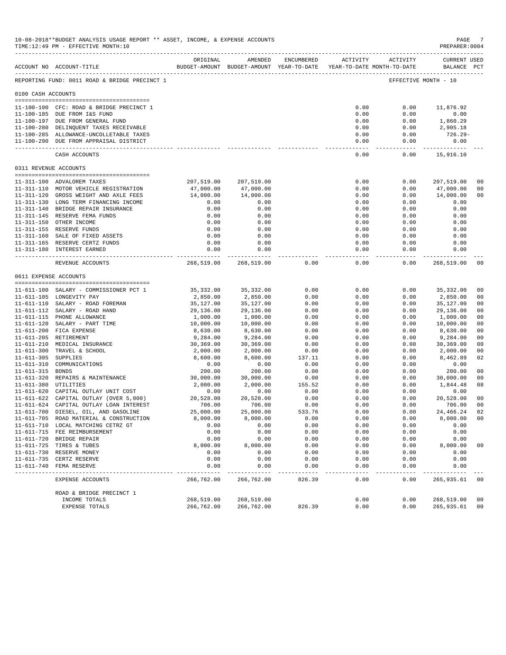|                                      | 10-08-2018**BUDGET ANALYSIS USAGE REPORT ** ASSET, INCOME, & EXPENSE ACCOUNTS<br>TIME:12:49 PM - EFFECTIVE MONTH:10 |                   |                                                                                |              |                        |                     | PAGE<br>PREPARER: 0004            |                |
|--------------------------------------|---------------------------------------------------------------------------------------------------------------------|-------------------|--------------------------------------------------------------------------------|--------------|------------------------|---------------------|-----------------------------------|----------------|
|                                      | ACCOUNT NO ACCOUNT-TITLE                                                                                            | ORIGINAL          | AMENDED<br>BUDGET-AMOUNT BUDGET-AMOUNT YEAR-TO-DATE YEAR-TO-DATE MONTH-TO-DATE | ENCUMBERED   |                        | ACTIVITY ACTIVITY   | CURRENT USED<br>BALANCE PCT       |                |
|                                      | REPORTING FUND: 0011 ROAD & BRIDGE PRECINCT 1                                                                       |                   |                                                                                |              |                        |                     | EFFECTIVE MONTH - 10              |                |
| 0100 CASH ACCOUNTS                   |                                                                                                                     |                   |                                                                                |              |                        |                     |                                   |                |
|                                      | 11-100-100 CFC: ROAD & BRIDGE PRECINCT 1                                                                            |                   |                                                                                |              | 0.00                   | 0.00                | 11,876.92                         |                |
|                                      | 11-100-185 DUE FROM I&S FUND                                                                                        |                   |                                                                                |              | 0.00                   | 0.00                | 0.00                              |                |
|                                      | 11-100-197 DUE FROM GENERAL FUND                                                                                    |                   |                                                                                |              | 0.00                   | 0.00                | 1,860.29                          |                |
|                                      | 11-100-280 DELINQUENT TAXES RECEIVABLE                                                                              |                   |                                                                                |              | 0.00                   | 0.00                | 2,905.18<br>726.29-               |                |
|                                      | 11-100-285 ALLOWANCE-UNCOLLETABLE TAXES<br>11-100-290 DUE FROM APPRAISAL DISTRICT                                   |                   |                                                                                |              | 0.00<br>0.00           | 0.00<br>0.00        | 0.00                              |                |
|                                      | CASH ACCOUNTS                                                                                                       |                   |                                                                                |              | 0.00                   | 0.00                | 15,916.10                         |                |
|                                      | 0311 REVENUE ACCOUNTS                                                                                               |                   |                                                                                |              |                        |                     |                                   |                |
|                                      |                                                                                                                     |                   |                                                                                |              |                        |                     |                                   |                |
|                                      | 11-311-100 ADVALOREM TAXES                                                                                          | 207,519.00        | 207,519.00                                                                     |              | 0.00                   | 0.00                | 207,519.00                        | 0 <sub>0</sub> |
|                                      | 11-311-110 MOTOR VEHICLE REGISTRATION                                                                               | 47,000.00         | 47,000.00                                                                      |              | 0.00                   | 0.00                | 47,000.00                         | 0 <sub>0</sub> |
|                                      | 11-311-120 GROSS WEIGHT AND AXLE FEES<br>11-311-130 LONG TERM FINANCING INCOME                                      | 14,000.00<br>0.00 | 14,000.00<br>0.00                                                              |              | 0.00<br>0.00           | 0.00<br>0.00        | 14,000.00<br>0.00                 | 0 <sub>0</sub> |
|                                      | 11-311-140 BRIDGE REPAIR INSURANCE                                                                                  | 0.00              | 0.00                                                                           |              | 0.00                   | 0.00                | 0.00                              |                |
|                                      | 11-311-145 RESERVE FEMA FUNDS                                                                                       | 0.00              | 0.00                                                                           |              | 0.00                   | 0.00                | 0.00                              |                |
|                                      | 11-311-150 OTHER INCOME                                                                                             | 0.00              | 0.00                                                                           |              | 0.00                   | 0.00                | 0.00                              |                |
|                                      | 11-311-155 RESERVE FUNDS                                                                                            | 0.00              | 0.00                                                                           |              | 0.00                   | 0.00                | 0.00                              |                |
|                                      | 11-311-160 SALE OF FIXED ASSETS                                                                                     | 0.00              | 0.00                                                                           |              | 0.00                   | 0.00                | 0.00                              |                |
|                                      | 11-311-165 RESERVE CERTZ FUNDS                                                                                      | 0.00              | 0.00                                                                           |              | 0.00                   | 0.00                | 0.00                              |                |
|                                      | 11-311-180 INTEREST EARNED                                                                                          | 0.00              | 0.00<br>.                                                                      |              | 0.00<br>-------------- | 0.00<br>$- - - - -$ | 0.00<br>. _ _ _ _ _ _ _ _ _ _ _ _ |                |
|                                      | REVENUE ACCOUNTS                                                                                                    | 268,519.00        | 268,519.00                                                                     | 0.00         | 0.00                   | 0.00                | 268,519.00                        | 00             |
| 0611 EXPENSE ACCOUNTS                |                                                                                                                     |                   |                                                                                |              |                        |                     |                                   |                |
|                                      | 11-611-100 SALARY - COMMISSIONER PCT 1                                                                              | 35,332.00         | 35,332.00                                                                      | 0.00         | 0.00                   | 0.00                | 35,332.00                         | 00             |
|                                      | 11-611-105 LONGEVITY PAY                                                                                            | 2,850.00          | 2,850.00                                                                       | 0.00         | 0.00                   | 0.00                | 2,850.00                          | 00             |
|                                      | 11-611-110 SALARY - ROAD FOREMAN                                                                                    | 35,127.00         | 35,127.00                                                                      | 0.00         | 0.00                   | 0.00                | 35,127.00                         | 0 <sub>0</sub> |
|                                      | 11-611-112 SALARY - ROAD HAND                                                                                       | 29,136.00         | 29,136.00                                                                      | 0.00         | 0.00                   | 0.00                | 29,136.00                         | 00             |
|                                      | 11-611-115 PHONE ALLOWANCE                                                                                          | 1,000.00          | 1,000.00                                                                       | 0.00         | 0.00                   | 0.00                | 1,000.00                          | 0 <sub>0</sub> |
|                                      | 11-611-120 SALARY - PART TIME                                                                                       | 10,000.00         | 10,000.00                                                                      | 0.00         | 0.00                   | 0.00                | 10,000.00                         | 00             |
|                                      | 11-611-200 FICA EXPENSE                                                                                             | 8,630.00          | 8,630.00                                                                       | 0.00         | 0.00                   | 0.00                | 8,630.00                          | 0 <sub>0</sub> |
|                                      | 11-611-205 RETIREMENT                                                                                               | 9,284.00          | 9,284.00                                                                       | 0.00         | 0.00                   | 0.00                | 9,284.00                          | 0 <sub>0</sub> |
|                                      | 11-611-210 MEDICAL INSURANCE                                                                                        | 30,369.00         | 30,369.00                                                                      | 0.00         | 0.00                   | 0.00                | 30,369.00                         | 0 <sub>0</sub> |
|                                      | 11-611-300 TRAVEL & SCHOOL                                                                                          | 2,000.00          | 2,000.00                                                                       | 0.00         | 0.00                   | 0.00                | 2,000.00                          | 0 <sub>0</sub> |
| $11 - 611 - 305$                     | SUPPLIES<br>COMMUNICATIONS                                                                                          | 8,600.00          | 8,600.00                                                                       | 137.11       | 0.00                   | 0.00                | 8,462.89                          | 02             |
| $11 - 611 - 310$<br>11-611-315 BONDS |                                                                                                                     | 0.00<br>200.00    | 0.00<br>200.00                                                                 | 0.00<br>0.00 | 0.00<br>0.00           | 0.00<br>0.00        | 0.00<br>200.00                    | 0 <sup>0</sup> |
|                                      | 11-611-320 REPAIRS & MAINTENANCE                                                                                    | 30,000.00         | 30,000.00                                                                      | 0.00         | 0.00                   | 0.00                | 30,000.00                         | 0 <sub>0</sub> |
| 11-611-380 UTILITIES                 |                                                                                                                     | 2,000.00          | 2,000.00                                                                       | 155.52       | 0.00                   | 0.00                | 1,844.48                          | 08             |
|                                      | 11-611-620 CAPITAL OUTLAY UNIT COST                                                                                 | 0.00              | 0.00                                                                           | 0.00         | 0.00                   | 0.00                | 0.00                              |                |
|                                      | 11-611-622 CAPITAL OUTLAY (OVER 5,000)                                                                              | 20,528.00         | 20,528.00                                                                      | 0.00         | 0.00                   | 0.00                | 20,528.00                         | 0 <sub>0</sub> |
|                                      | 11-611-624 CAPITAL OUTLAY LOAN INTEREST                                                                             | 706.00            | 706.00                                                                         | 0.00         | 0.00                   | 0.00                | 706.00                            | 00             |
|                                      | 11-611-700 DIESEL, OIL, AND GASOLINE                                                                                | 25,000.00         | 25,000.00                                                                      | 533.76       | 0.00                   | 0.00                | 24,466.24                         | 02             |
|                                      | 11-611-705 ROAD MATERIAL & CONSTRUCTION                                                                             | 8,000.00          | 8,000.00                                                                       | 0.00         | 0.00                   | 0.00                | 8,000.00                          | 0 <sub>0</sub> |
|                                      | 11-611-710 LOCAL MATCHING CETRZ GT                                                                                  | 0.00              | 0.00                                                                           | 0.00         | 0.00                   | 0.00                | 0.00                              |                |
|                                      | 11-611-715 FEE REIMBURSEMENT                                                                                        | 0.00              | 0.00                                                                           | 0.00         | 0.00                   | 0.00                | 0.00                              |                |
|                                      | 11-611-720 BRIDGE REPAIR<br>11-611-725 TIRES & TUBES                                                                | 0.00<br>8,000.00  | 0.00<br>8,000.00                                                               | 0.00<br>0.00 | 0.00<br>0.00           | 0.00<br>0.00        | 0.00<br>8,000.00                  | 00             |
|                                      | 11-611-730 RESERVE MONEY                                                                                            | 0.00              | 0.00                                                                           | 0.00         | 0.00                   | 0.00                | 0.00                              |                |
| $11 - 611 - 735$                     | CERTZ RESERVE                                                                                                       | 0.00              | 0.00                                                                           | 0.00         | 0.00                   | 0.00                | 0.00                              |                |
|                                      | 11-611-740 FEMA RESERVE                                                                                             | 0.00              | 0.00                                                                           | 0.00         | 0.00                   | 0.00                | 0.00                              |                |
|                                      | EXPENSE ACCOUNTS                                                                                                    | 266,762.00        | 266,762.00                                                                     | 826.39       | 0.00                   | 0.00                | 265,935.61                        | 0 <sub>0</sub> |
|                                      | ROAD & BRIDGE PRECINCT 1                                                                                            |                   |                                                                                |              |                        |                     |                                   |                |
|                                      | INCOME TOTALS                                                                                                       | 268,519.00        | 268,519.00                                                                     |              | 0.00                   | 0.00                | 268,519.00                        | 00             |
|                                      | EXPENSE TOTALS                                                                                                      | 266,762.00        | 266,762.00                                                                     | 826.39       | 0.00                   | 0.00                | 265,935.61                        | 00             |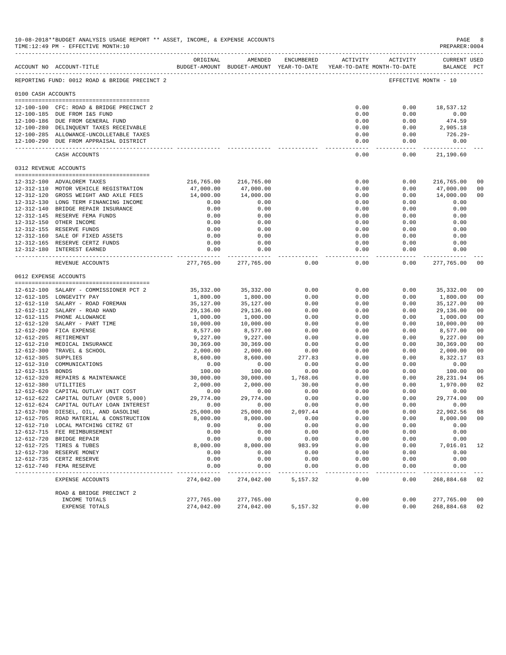|                       | 10-08-2018**BUDGET ANALYSIS USAGE REPORT ** ASSET, INCOME, & EXPENSE ACCOUNTS<br>TIME:12:49 PM - EFFECTIVE MONTH:10                                       |                      |                                                                                |                |                              |               | PAGE<br>PREPARER: 0004      | 8                    |
|-----------------------|-----------------------------------------------------------------------------------------------------------------------------------------------------------|----------------------|--------------------------------------------------------------------------------|----------------|------------------------------|---------------|-----------------------------|----------------------|
|                       | ACCOUNT NO ACCOUNT-TITLE                                                                                                                                  | ORIGINAL             | AMENDED<br>BUDGET-AMOUNT BUDGET-AMOUNT YEAR-TO-DATE YEAR-TO-DATE MONTH-TO-DATE | ENCUMBERED     | ACTIVITY ACTIVITY            |               | CURRENT USED<br>BALANCE PCT |                      |
|                       | REPORTING FUND: 0012 ROAD & BRIDGE PRECINCT 2                                                                                                             |                      |                                                                                |                |                              |               | EFFECTIVE MONTH - 10        |                      |
| 0100 CASH ACCOUNTS    |                                                                                                                                                           |                      |                                                                                |                |                              |               |                             |                      |
|                       | 12-100-100 CFC: ROAD & BRIDGE PRECINCT 2                                                                                                                  |                      |                                                                                |                | 0.00                         | 0.00          | 18,537.12                   |                      |
|                       | 12-100-185 DUE FROM I&S FUND                                                                                                                              |                      |                                                                                |                | 0.00                         | 0.00          | 0.00                        |                      |
|                       | 12-100-186 DUE FROM GENERAL FUND                                                                                                                          |                      |                                                                                |                | 0.00                         | 0.00          | 474.59                      |                      |
|                       | 12-100-280 DELINQUENT TAXES RECEIVABLE<br>12-100-285 ALLOWANCE-UNCOLLETABLE TAXES                                                                         |                      |                                                                                |                | 0.00<br>0.00                 | 0.00<br>0.00  | 2,905.18<br>$726.29-$       |                      |
|                       | 12-100-290 DUE FROM APPRAISAL DISTRICT                                                                                                                    |                      |                                                                                |                | 0.00                         | 0.00          | 0.00                        |                      |
|                       | CASH ACCOUNTS                                                                                                                                             |                      |                                                                                |                | --------------<br>0.00       | 0.00          | 21,190.60                   |                      |
|                       | 0312 REVENUE ACCOUNTS                                                                                                                                     |                      |                                                                                |                |                              |               |                             |                      |
|                       |                                                                                                                                                           |                      |                                                                                |                |                              |               |                             |                      |
|                       | 12-312-100 ADVALOREM TAXES                                                                                                                                | 216,765.00           | 216,765.00                                                                     |                | 0.00                         | 0.00          | 216,765.00                  | 0 <sub>0</sub>       |
|                       | 12-312-110 MOTOR VEHICLE REGISTRATION                                                                                                                     | 47,000.00            | 47,000.00                                                                      |                | 0.00                         | 0.00          | 47,000.00                   | 0 <sub>0</sub>       |
|                       | 12-312-120 GROSS WEIGHT AND AXLE FEES<br>12-312-130 LONG TERM FINANCING INCOME                                                                            | 14,000.00<br>0.00    | 14,000.00<br>0.00                                                              |                | 0.00<br>0.00                 | 0.00<br>0.00  | 14,000.00<br>0.00           | 0 <sub>0</sub>       |
|                       | 12-312-140 BRIDGE REPAIR INSURANCE                                                                                                                        | 0.00                 | 0.00                                                                           |                | 0.00                         | 0.00          | 0.00                        |                      |
|                       | 12-312-145 RESERVE FEMA FUNDS                                                                                                                             | 0.00                 | 0.00                                                                           |                | 0.00                         | 0.00          | 0.00                        |                      |
|                       | 12-312-150 OTHER INCOME                                                                                                                                   | 0.00                 | 0.00                                                                           |                | 0.00                         | 0.00          | 0.00                        |                      |
|                       | 12-312-155 RESERVE FUNDS                                                                                                                                  | 0.00                 | 0.00                                                                           |                | 0.00                         | 0.00          | 0.00                        |                      |
|                       | 12-312-160 SALE OF FIXED ASSETS                                                                                                                           | 0.00                 | 0.00                                                                           |                | 0.00                         | 0.00          | 0.00                        |                      |
|                       | 12-312-165 RESERVE CERTZ FUNDS                                                                                                                            | 0.00                 | 0.00                                                                           |                | 0.00                         | 0.00          | 0.00                        |                      |
|                       | 12-312-180 INTEREST EARNED                                                                                                                                | 0.00<br>.            | 0.00<br>------------                                                           |                | 0.00<br>----- -------------- | 0.00<br>----- | 0.00<br>------------        |                      |
|                       | REVENUE ACCOUNTS                                                                                                                                          | 277,765.00           | 277,765.00                                                                     | 0.00           | 0.00                         | 0.00          | 277,765.00                  | 0 <sub>0</sub>       |
| 0612 EXPENSE ACCOUNTS |                                                                                                                                                           |                      |                                                                                |                |                              |               |                             |                      |
|                       | 12-612-100 SALARY - COMMISSIONER PCT 2                                                                                                                    | 35,332.00            | 35,332.00                                                                      | 0.00           | 0.00                         | 0.00          | 35, 332.00                  | 0 <sub>0</sub>       |
|                       | 12-612-105 LONGEVITY PAY                                                                                                                                  | 1,800.00             | 1,800.00                                                                       | 0.00           | 0.00                         | 0.00          | 1,800.00                    | 0 <sub>0</sub>       |
|                       | 12-612-110 SALARY - ROAD FOREMAN                                                                                                                          | 35,127.00            | 35,127.00                                                                      | 0.00           | 0.00                         | 0.00          | 35,127.00                   | 0 <sub>0</sub>       |
|                       | 12-612-112 SALARY - ROAD HAND                                                                                                                             | 29,136.00            | 29,136.00                                                                      | 0.00           | 0.00                         | 0.00          | 29,136.00                   | 0 <sub>0</sub>       |
|                       | 12-612-115 PHONE ALLOWANCE                                                                                                                                | 1,000.00             | 1,000.00                                                                       | 0.00           | 0.00                         | 0.00          | 1,000.00                    | 0 <sub>0</sub>       |
|                       | 12-612-120 SALARY - PART TIME                                                                                                                             | 10,000.00            | 10,000.00                                                                      | 0.00           | 0.00                         | 0.00          | 10,000.00                   | 0 <sub>0</sub>       |
|                       | 12-612-200 FICA EXPENSE                                                                                                                                   | 8,577.00             | 8,577.00                                                                       | 0.00           | 0.00                         | 0.00          | 8,577.00                    | 0 <sub>0</sub>       |
|                       | 12-612-205 RETIREMENT                                                                                                                                     | 9,227.00             | 9,227.00                                                                       | 0.00           | 0.00                         | 0.00          | 9,227.00                    | 0 <sub>0</sub>       |
|                       | 12-612-210 MEDICAL INSURANCE                                                                                                                              | 30,369.00            | 30,369.00                                                                      | 0.00           | 0.00                         | 0.00          | 30,369.00                   | 0 <sub>0</sub>       |
| $12 - 612 - 305$      | 12-612-300 TRAVEL & SCHOOL<br>SUPPLIES                                                                                                                    | 2,000.00<br>8,600.00 | 2,000.00<br>8,600.00                                                           | 0.00<br>277.83 | 0.00<br>0.00                 | 0.00<br>0.00  | 2,000.00<br>8,322.17        | 0 <sub>0</sub><br>03 |
| 12-612-310            | COMMUNICATIONS                                                                                                                                            | 0.00                 | 0.00                                                                           | 0.00           | 0.00                         | 0.00          | 0.00                        |                      |
| 12-612-315            | <b>BONDS</b>                                                                                                                                              | 100.00               | 100.00                                                                         | 0.00           | 0.00                         | 0.00          | 100.00                      | 0 <sub>0</sub>       |
|                       | 12-612-320 REPAIRS & MAINTENANCE                                                                                                                          | 30,000.00            | 30,000.00                                                                      | 1,768.06       | 0.00                         | 0.00          | 28, 231.94                  | 06                   |
| 12-612-380 UTILITIES  |                                                                                                                                                           | 2,000.00             | 2,000.00                                                                       | 30.00          | 0.00                         | 0.00          | 1,970.00                    | 02                   |
|                       | 12-612-620 CAPITAL OUTLAY UNIT COST                                                                                                                       | 0.00                 | 0.00                                                                           | 0.00           | 0.00                         | 0.00          | 0.00                        |                      |
|                       | $12-612-622 \quad \text{CAPITAL OUTLAY (OVER 5,000) } \qquad \qquad 29,774.00 \\ 12-612-624 \quad \text{CAPITAL OUTLAY LOAN INTEREST} \qquad \qquad 0.00$ |                      | 29,774.00                                                                      | 0.00           | 0.00                         | 0.00          | 29,774.00                   | 0 <sub>0</sub>       |
|                       |                                                                                                                                                           |                      | 0.00                                                                           | 0.00           | 0.00                         | 0.00          | 0.00                        |                      |
|                       | 12-612-700 DIESEL, OIL, AND GASOLINE                                                                                                                      | 25,000.00            | 25,000.00                                                                      | 2,097.44       | 0.00                         | 0.00          | 22,902.56                   | 08                   |
|                       | 12-612-705 ROAD MATERIAL & CONSTRUCTION                                                                                                                   | 8,000.00             | 8,000.00                                                                       | 0.00           | 0.00                         | 0.00          | 8,000.00                    | 0 <sub>0</sub>       |
|                       | 12-612-710 LOCAL MATCHING CETRZ GT                                                                                                                        | 0.00                 | 0.00                                                                           | 0.00           | 0.00                         | 0.00          | 0.00                        |                      |
|                       | 12-612-715 FEE REIMBURSEMENT<br>12-612-720 BRIDGE REPAIR                                                                                                  | 0.00<br>0.00         | 0.00<br>0.00                                                                   | 0.00<br>0.00   | 0.00<br>0.00                 | 0.00<br>0.00  | 0.00<br>0.00                |                      |
|                       | 12-612-725 TIRES & TUBES                                                                                                                                  | 8,000.00             | 8,000.00                                                                       | 983.99         | 0.00                         | 0.00          | 7,016.01                    | 12                   |
|                       | 12-612-730 RESERVE MONEY                                                                                                                                  | 0.00                 | 0.00                                                                           | 0.00           | 0.00                         | 0.00          | 0.00                        |                      |
| 12-612-735            | CERTZ RESERVE                                                                                                                                             | 0.00                 | 0.00                                                                           | 0.00           | 0.00                         | 0.00          | 0.00                        |                      |
|                       | 12-612-740 FEMA RESERVE                                                                                                                                   | 0.00                 | 0.00                                                                           | 0.00           | 0.00                         | 0.00          | 0.00                        |                      |
|                       | EXPENSE ACCOUNTS                                                                                                                                          | 274,042.00           | 274,042.00                                                                     | 5,157.32       | 0.00                         | 0.00          | 268,884.68                  | 02                   |
|                       | ROAD & BRIDGE PRECINCT 2                                                                                                                                  |                      |                                                                                |                |                              |               |                             |                      |
|                       | INCOME TOTALS                                                                                                                                             | 277,765.00           | 277,765.00                                                                     |                | 0.00                         | 0.00          | 277,765.00                  | 0 <sub>0</sub>       |
|                       | <b>EXPENSE TOTALS</b>                                                                                                                                     | 274,042.00           | 274,042.00                                                                     | 5,157.32       | 0.00                         | 0.00          | 268,884.68                  | 02                   |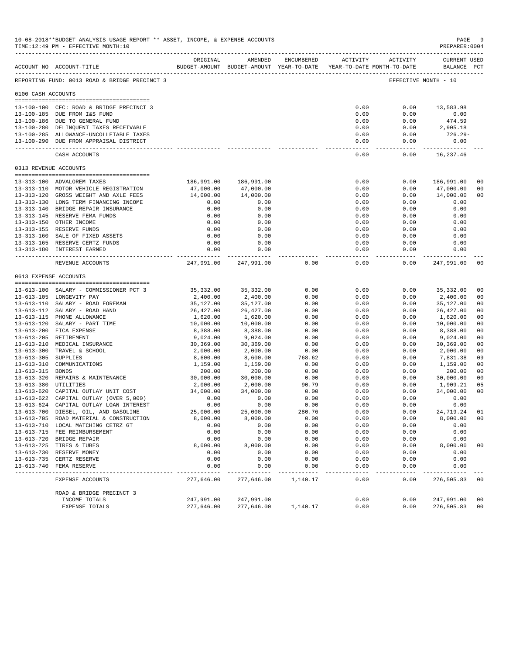|                    | 10-08-2018**BUDGET ANALYSIS USAGE REPORT ** ASSET, INCOME, & EXPENSE ACCOUNTS<br>TIME:12:49 PM - EFFECTIVE MONTH:10 |                        |                                                                                |              |                        |                     | PAGE<br>PREPARER: 0004            | 9                                |
|--------------------|---------------------------------------------------------------------------------------------------------------------|------------------------|--------------------------------------------------------------------------------|--------------|------------------------|---------------------|-----------------------------------|----------------------------------|
|                    | ACCOUNT NO ACCOUNT-TITLE                                                                                            | ORIGINAL               | AMENDED<br>BUDGET-AMOUNT BUDGET-AMOUNT YEAR-TO-DATE YEAR-TO-DATE MONTH-TO-DATE | ENCUMBERED   |                        | ACTIVITY ACTIVITY   | CURRENT USED<br>BALANCE PCT       |                                  |
|                    | REPORTING FUND: 0013 ROAD & BRIDGE PRECINCT 3                                                                       |                        |                                                                                |              |                        |                     | EFFECTIVE MONTH - 10              |                                  |
| 0100 CASH ACCOUNTS |                                                                                                                     |                        |                                                                                |              |                        |                     |                                   |                                  |
|                    | 13-100-100 CFC: ROAD & BRIDGE PRECINCT 3                                                                            |                        |                                                                                |              | 0.00                   | 0.00                | 13,583.98                         |                                  |
|                    | 13-100-185 DUE FROM I&S FUND                                                                                        |                        |                                                                                |              | 0.00                   | 0.00                | 0.00                              |                                  |
|                    | 13-100-186 DUE TO GENERAL FUND                                                                                      |                        |                                                                                |              | 0.00                   | 0.00                | 474.59                            |                                  |
|                    | 13-100-280 DELINQUENT TAXES RECEIVABLE<br>13-100-285 ALLOWANCE-UNCOLLETABLE TAXES                                   |                        |                                                                                |              | 0.00<br>0.00           | 0.00<br>0.00        | 2,905.18<br>726.29-               |                                  |
|                    | 13-100-290 DUE FROM APPRAISAL DISTRICT                                                                              |                        |                                                                                |              | 0.00                   | 0.00                | 0.00                              |                                  |
|                    | CASH ACCOUNTS                                                                                                       |                        |                                                                                |              | 0.00                   | 0.00                | 16,237.46                         |                                  |
|                    | 0313 REVENUE ACCOUNTS                                                                                               |                        |                                                                                |              |                        |                     |                                   |                                  |
|                    |                                                                                                                     |                        |                                                                                |              |                        |                     |                                   |                                  |
|                    | 13-313-100 ADVALOREM TAXES                                                                                          | 186,991.00             | 186,991.00                                                                     |              | 0.00                   | 0.00                | 186,991.00                        | 0 <sup>0</sup>                   |
|                    | 13-313-110 MOTOR VEHICLE REGISTRATION                                                                               | 47,000.00<br>14,000.00 | 47,000.00<br>14,000.00                                                         |              | 0.00<br>0.00           | 0.00                | 47,000.00                         | 0 <sub>0</sub><br>0 <sub>0</sub> |
|                    | 13-313-120 GROSS WEIGHT AND AXLE FEES<br>13-313-130 LONG TERM FINANCING INCOME                                      | 0.00                   | 0.00                                                                           |              | 0.00                   | 0.00<br>0.00        | 14,000.00<br>0.00                 |                                  |
|                    | 13-313-140 BRIDGE REPAIR INSURANCE                                                                                  | 0.00                   | 0.00                                                                           |              | 0.00                   | 0.00                | 0.00                              |                                  |
|                    | 13-313-145 RESERVE FEMA FUNDS                                                                                       | 0.00                   | 0.00                                                                           |              | 0.00                   | 0.00                | 0.00                              |                                  |
|                    | 13-313-150 OTHER INCOME                                                                                             | 0.00                   | 0.00                                                                           |              | 0.00                   | 0.00                | 0.00                              |                                  |
|                    | 13-313-155 RESERVE FUNDS                                                                                            | 0.00                   | 0.00                                                                           |              | 0.00                   | 0.00                | 0.00                              |                                  |
|                    | 13-313-160 SALE OF FIXED ASSETS                                                                                     | 0.00                   | 0.00                                                                           |              | 0.00                   | 0.00                | 0.00                              |                                  |
|                    | 13-313-165 RESERVE CERTZ FUNDS                                                                                      | 0.00                   | 0.00                                                                           |              | 0.00                   | 0.00                | 0.00                              |                                  |
|                    | 13-313-180 INTEREST EARNED                                                                                          | 0.00                   | 0.00                                                                           |              | 0.00<br>-------------- | 0.00<br>$- - - - -$ | 0.00<br>. _ _ _ _ _ _ _ _ _ _ _ _ |                                  |
|                    | REVENUE ACCOUNTS                                                                                                    | 247,991.00             | 247,991.00                                                                     | 0.00         | 0.00                   | 0.00                | 247,991.00                        | 00                               |
|                    | 0613 EXPENSE ACCOUNTS                                                                                               |                        |                                                                                |              |                        |                     |                                   |                                  |
|                    | 13-613-100 SALARY - COMMISSIONER PCT 3                                                                              | 35,332.00              | 35,332.00                                                                      | 0.00         | 0.00                   | 0.00                | 35,332.00                         | 00                               |
|                    | 13-613-105 LONGEVITY PAY                                                                                            | 2,400.00               | 2,400.00                                                                       | 0.00         | 0.00                   | 0.00                | 2,400.00                          | 00                               |
|                    | 13-613-110 SALARY - ROAD FOREMAN                                                                                    | 35,127.00              | 35,127.00                                                                      | 0.00         | 0.00                   | 0.00                | 35,127.00                         | 0 <sub>0</sub>                   |
|                    | 13-613-112 SALARY - ROAD HAND                                                                                       | 26,427.00              | 26,427.00                                                                      | 0.00         | 0.00                   | 0.00                | 26, 427.00                        | 00                               |
|                    | 13-613-115 PHONE ALLOWANCE                                                                                          | 1,620.00               | 1,620.00                                                                       | 0.00         | 0.00                   | 0.00                | 1,620.00                          | 0 <sub>0</sub>                   |
|                    | 13-613-120 SALARY - PART TIME                                                                                       | 10,000.00              | 10,000.00                                                                      | 0.00         | 0.00                   | 0.00                | 10,000.00                         | 00                               |
|                    | 13-613-200 FICA EXPENSE                                                                                             | 8,388.00               | 8,388.00                                                                       | 0.00         | 0.00                   | 0.00                | 8,388.00                          | 0 <sub>0</sub>                   |
|                    | 13-613-205 RETIREMENT<br>13-613-210 MEDICAL INSURANCE                                                               | 9,024.00<br>30,369.00  | 9,024.00<br>30,369.00                                                          | 0.00<br>0.00 | 0.00<br>0.00           | 0.00<br>0.00        | 9,024.00<br>30,369.00             | 0 <sub>0</sub><br>0 <sub>0</sub> |
|                    | 13-613-300 TRAVEL & SCHOOL                                                                                          | 2,000.00               | 2,000.00                                                                       | 0.00         | 0.00                   | 0.00                | 2,000.00                          | 0 <sub>0</sub>                   |
| $13 - 613 - 305$   | <b>SUPPLIES</b>                                                                                                     | 8,600.00               | 8,600.00                                                                       | 768.62       | 0.00                   | 0.00                | 7,831.38                          | 09                               |
| $13 - 613 - 310$   | COMMUNICATIONS                                                                                                      | 1,159.00               | 1,159.00                                                                       | 0.00         | 0.00                   | 0.00                | 1,159.00                          | 0 <sub>0</sub>                   |
| 13-613-315 BONDS   |                                                                                                                     | 200.00                 | 200.00                                                                         | 0.00         | 0.00                   | 0.00                | 200.00                            | 0 <sub>0</sub>                   |
|                    | 13-613-320 REPAIRS & MAINTENANCE                                                                                    | 30,000.00              | 30,000.00                                                                      | 0.00         | 0.00                   | 0.00                | 30,000.00                         | 0 <sub>0</sub>                   |
|                    | 13-613-380 UTILITIES                                                                                                | 2,000.00               | 2,000.00                                                                       | 90.79        | 0.00                   | 0.00                | 1,909.21                          | 05                               |
|                    | 13-613-620 CAPITAL OUTLAY UNIT COST                                                                                 | 34,000.00              | 34,000.00                                                                      | 0.00         | 0.00                   | 0.00                | 34,000.00                         | 0 <sub>0</sub>                   |
|                    | 13-613-622 CAPITAL OUTLAY (OVER 5,000)<br>13-613-624 CAPITAL OUTLAY LOAN INTEREST                                   | 0.00<br>0.00           | 0.00<br>0.00                                                                   | 0.00<br>0.00 | 0.00                   | 0.00<br>0.00        | 0.00<br>0.00                      |                                  |
|                    | 13-613-700 DIESEL, OIL, AND GASOLINE                                                                                | 25,000.00              | 25,000.00                                                                      | 280.76       | 0.00<br>0.00           | 0.00                | 24,719.24                         | 01                               |
|                    | 13-613-705 ROAD MATERIAL & CONSTRUCTION                                                                             | 8,000.00               | 8,000.00                                                                       | 0.00         | 0.00                   | 0.00                | 8,000.00                          | 0 <sub>0</sub>                   |
|                    | 13-613-710 LOCAL MATCHING CETRZ GT                                                                                  | 0.00                   | 0.00                                                                           | 0.00         | 0.00                   | 0.00                | 0.00                              |                                  |
|                    | 13-613-715 FEE REIMBURSEMENT                                                                                        | 0.00                   | 0.00                                                                           | 0.00         | 0.00                   | 0.00                | 0.00                              |                                  |
|                    | 13-613-720 BRIDGE REPAIR                                                                                            | 0.00                   | 0.00                                                                           | 0.00         | 0.00                   | 0.00                | 0.00                              |                                  |
|                    | 13-613-725 TIRES & TUBES                                                                                            | 8,000.00               | 8,000.00                                                                       | 0.00         | 0.00                   | 0.00                | 8,000.00                          | 00                               |
|                    | 13-613-730 RESERVE MONEY                                                                                            | 0.00                   | 0.00                                                                           | 0.00         | 0.00                   | 0.00                | 0.00                              |                                  |
| $13 - 613 - 735$   | CERTZ RESERVE<br>13-613-740 FEMA RESERVE                                                                            | 0.00<br>0.00           | 0.00<br>0.00                                                                   | 0.00<br>0.00 | 0.00<br>0.00           | 0.00<br>0.00        | 0.00<br>0.00                      |                                  |
|                    |                                                                                                                     |                        |                                                                                |              |                        |                     |                                   |                                  |
|                    | EXPENSE ACCOUNTS                                                                                                    | 277,646.00             | 277,646.00                                                                     | 1,140.17     | 0.00                   | 0.00                | 276,505.83                        | 0 <sub>0</sub>                   |
|                    | ROAD & BRIDGE PRECINCT 3<br>INCOME TOTALS                                                                           | 247,991.00             | 247,991.00                                                                     |              | 0.00                   | 0.00                | 247,991.00                        | 0 <sub>0</sub>                   |
|                    | EXPENSE TOTALS                                                                                                      | 277,646.00             | 277,646.00                                                                     | 1,140.17     | 0.00                   | 0.00                | 276,505.83                        | 00                               |
|                    |                                                                                                                     |                        |                                                                                |              |                        |                     |                                   |                                  |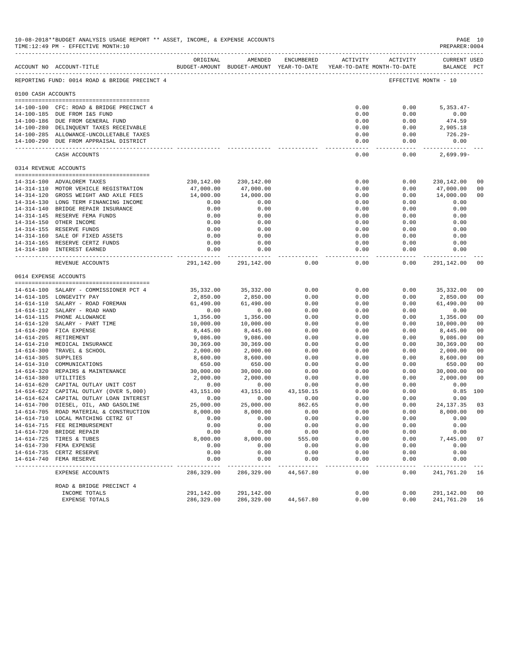|                     | 10-08-2018**BUDGET ANALYSIS USAGE REPORT ** ASSET, INCOME, & EXPENSE ACCOUNTS<br>TIME:12:49 PM - EFFECTIVE MONTH:10 |                   |                                                                     |                |                       |                                                                                    | PREPARER: 0004       | PAGE 10        |
|---------------------|---------------------------------------------------------------------------------------------------------------------|-------------------|---------------------------------------------------------------------|----------------|-----------------------|------------------------------------------------------------------------------------|----------------------|----------------|
|                     |                                                                                                                     | ORIGINAL          | AMENDED                                                             |                |                       | $\begin{tabular}{llll} \bf ENCUMBERED & \tt ACTIVITY & \tt ACTIVITY \end{tabular}$ | <b>CURRENT USED</b>  |                |
|                     | ACCOUNT NO ACCOUNT-TITLE                                                                                            |                   | BUDGET-AMOUNT BUDGET-AMOUNT YEAR-TO-DATE YEAR-TO-DATE MONTH-TO-DATE |                |                       |                                                                                    | BALANCE PCT          |                |
|                     | REPORTING FUND: 0014 ROAD & BRIDGE PRECINCT 4                                                                       |                   |                                                                     |                |                       |                                                                                    | EFFECTIVE MONTH - 10 |                |
| 0100 CASH ACCOUNTS  |                                                                                                                     |                   |                                                                     |                |                       |                                                                                    |                      |                |
|                     | 14-100-100 CFC: ROAD & BRIDGE PRECINCT 4                                                                            |                   |                                                                     |                | 0.00                  | 0.00                                                                               | $5,353.47-$          |                |
|                     | 14-100-185 DUE FROM I&S FUND                                                                                        |                   |                                                                     |                | 0.00                  | 0.00                                                                               | 0.00                 |                |
|                     | 14-100-186 DUE FROM GENERAL FUND                                                                                    |                   |                                                                     |                | 0.00                  | 0.00                                                                               | 474.59               |                |
|                     | 14-100-280 DELINQUENT TAXES RECEIVABLE                                                                              |                   |                                                                     |                | 0.00                  | 0.00                                                                               | 2,905.18             |                |
|                     | 14-100-285 ALLOWANCE-UNCOLLETABLE TAXES                                                                             |                   |                                                                     |                | 0.00                  | 0.00                                                                               | 726.29-              |                |
|                     | 14-100-290 DUE FROM APPRAISAL DISTRICT                                                                              |                   |                                                                     |                | 0.00                  | 0.00                                                                               | 0.00                 |                |
|                     | CASH ACCOUNTS                                                                                                       |                   |                                                                     |                | -------------<br>0.00 | 0.00                                                                               | $2,699.99-$          |                |
|                     | 0314 REVENUE ACCOUNTS                                                                                               |                   |                                                                     |                |                       |                                                                                    |                      |                |
|                     |                                                                                                                     |                   |                                                                     |                |                       |                                                                                    |                      |                |
|                     | 14-314-100 ADVALOREM TAXES                                                                                          |                   | 230, 142.00 230, 142.00                                             |                | 0.00                  | 0.00                                                                               | 230,142.00           | 0 <sup>0</sup> |
|                     | 14-314-110 MOTOR VEHICLE REGISTRATION                                                                               | 47,000.00         | 47,000.00                                                           |                | 0.00                  | 0.00                                                                               | 47,000.00            | 0 <sub>0</sub> |
|                     | 14-314-120 GROSS WEIGHT AND AXLE FEES<br>14-314-130 LONG TERM FINANCING INCOME                                      | 14,000.00<br>0.00 | 14,000.00<br>0.00                                                   |                | 0.00<br>0.00          | 0.00<br>0.00                                                                       | 14,000.00<br>0.00    | 0 <sub>0</sub> |
|                     | 14-314-140 BRIDGE REPAIR INSURANCE                                                                                  | 0.00              | 0.00                                                                |                | 0.00                  | 0.00                                                                               | 0.00                 |                |
|                     | 14-314-145 RESERVE FEMA FUNDS                                                                                       | 0.00              | 0.00                                                                |                | 0.00                  | 0.00                                                                               | 0.00                 |                |
|                     | 14-314-150 OTHER INCOME                                                                                             | 0.00              | 0.00                                                                |                | 0.00                  | 0.00                                                                               | 0.00                 |                |
|                     | 14-314-155 RESERVE FUNDS                                                                                            | 0.00              | 0.00                                                                |                | 0.00                  | 0.00                                                                               | 0.00                 |                |
|                     | 14-314-160 SALE OF FIXED ASSETS                                                                                     | 0.00              | 0.00                                                                |                | 0.00                  | 0.00                                                                               | 0.00                 |                |
|                     | 14-314-165 RESERVE CERTZ FUNDS                                                                                      | 0.00              | 0.00                                                                |                | 0.00                  | 0.00                                                                               | 0.00                 |                |
|                     | 14-314-180 INTEREST EARNED                                                                                          | 0.00<br>.         | 0.00<br>-------------                                               |                | 0.00                  | 0.00<br>$- - - - - - -$                                                            | 0.00<br>------------ |                |
|                     | REVENUE ACCOUNTS                                                                                                    | 291,142.00        | 291,142.00                                                          | 0.00           | 0.00                  | 0.00                                                                               | 291,142.00           | 00             |
|                     | 0614 EXPENSE ACCOUNTS                                                                                               |                   |                                                                     |                |                       |                                                                                    |                      |                |
|                     |                                                                                                                     |                   |                                                                     |                |                       |                                                                                    |                      |                |
|                     | 14-614-100 SALARY - COMMISSIONER PCT 4                                                                              | 35,332.00         | 35,332.00                                                           | 0.00           | 0.00                  | 0.00                                                                               | 35,332.00            | 0 <sub>0</sub> |
|                     | 14-614-105 LONGEVITY PAY                                                                                            | 2,850.00          | 2,850.00                                                            | 0.00           | 0.00                  | 0.00                                                                               | 2,850.00             | 00             |
|                     | 14-614-110 SALARY - ROAD FOREMAN<br>14-614-112 SALARY - ROAD HAND                                                   | 61,490.00<br>0.00 | 61,490.00<br>0.00                                                   | 0.00<br>0.00   | 0.00<br>0.00          | 0.00<br>0.00                                                                       | 61,490.00<br>0.00    | 0 <sub>0</sub> |
|                     | 14-614-115 PHONE ALLOWANCE                                                                                          | 1,356.00          | 1,356.00                                                            | 0.00           | 0.00                  | 0.00                                                                               | 1,356.00             | 0 <sup>0</sup> |
|                     | 14-614-120 SALARY - PART TIME                                                                                       | 10,000.00         | 10,000.00                                                           | 0.00           | 0.00                  | 0.00                                                                               | 10,000.00            | 00             |
|                     | 14-614-200 FICA EXPENSE                                                                                             | 8,445.00          | 8,445.00                                                            | 0.00           | 0.00                  | 0.00                                                                               | 8,445.00             | 0 <sub>0</sub> |
|                     | 14-614-205 RETIREMENT                                                                                               | 9,086.00          | 9,086.00                                                            | 0.00           | 0.00                  | 0.00                                                                               | 9,086.00             | 0 <sub>0</sub> |
|                     | 14-614-210 MEDICAL INSURANCE                                                                                        | 30,369.00         | 30,369.00                                                           | 0.00           | 0.00                  | 0.00                                                                               | 30,369.00            | 0 <sub>0</sub> |
|                     | 14-614-300 TRAVEL & SCHOOL                                                                                          | 2,000.00          | 2,000.00                                                            | 0.00           | 0.00                  | 0.00                                                                               | 2,000.00             | 0 <sub>0</sub> |
| 14-614-305 SUPPLIES |                                                                                                                     | 8,600.00          | 8,600.00                                                            | 0.00           | 0.00                  | 0.00                                                                               | 8,600.00             | 0 <sub>0</sub> |
|                     | 14-614-310 COMMUNICATIONS                                                                                           | 650.00            | 650.00                                                              | 0.00           | 0.00                  | 0.00                                                                               | 650.00               | 0 <sub>0</sub> |
|                     | 14-614-320 REPAIRS & MAINTENANCE                                                                                    | 30,000.00         | 30,000.00                                                           | 0.00           | 0.00                  | 0.00                                                                               | 30,000.00            | 00             |
|                     | 14-614-380 UTILITIES                                                                                                | 2,000.00          | 2,000.00                                                            | 0.00           | 0.00                  | 0.00                                                                               | 2,000.00             | 0 <sub>0</sub> |
|                     | 14-614-620 CAPITAL OUTLAY UNIT COST<br>14-614-622 CAPITAL OUTLAY (OVER 5,000)                                       | 0.00              | 0.00                                                                | 0.00           | 0.00                  | 0.00                                                                               | 0.00                 |                |
|                     |                                                                                                                     | 43,151.00         | 43,151.00                                                           | 43,150.15      | 0.00                  | 0.00                                                                               | 0.85                 | 100            |
|                     | 14-614-624 CAPITAL OUTLAY LOAN INTEREST<br>14-614-700 DIESEL, OIL, AND GASOLINE                                     | 0.00<br>25,000.00 | 0.00<br>25,000.00                                                   | 0.00<br>862.65 | 0.00<br>0.00          | 0.00<br>0.00                                                                       | 0.00<br>24, 137.35   | 03             |
|                     | 14-614-705 ROAD MATERIAL & CONSTRUCTION                                                                             | 8,000.00          | 8,000.00                                                            | 0.00           | 0.00                  | 0.00                                                                               | 8,000.00             | 00             |
|                     | 14-614-710 LOCAL MATCHING CETRZ GT                                                                                  | 0.00              | 0.00                                                                | 0.00           | 0.00                  | 0.00                                                                               | 0.00                 |                |
|                     | 14-614-715 FEE REIMBURSEMENT                                                                                        | 0.00              | 0.00                                                                | 0.00           | 0.00                  | 0.00                                                                               | 0.00                 |                |
|                     | 14-614-720 BRIDGE REPAIR                                                                                            | 0.00              | 0.00                                                                | 0.00           | 0.00                  | 0.00                                                                               | 0.00                 |                |
|                     | 14-614-725 TIRES & TUBES                                                                                            | 8,000.00          | 8,000.00                                                            | 555.00         | 0.00                  | 0.00                                                                               | 7,445.00             | 07             |
|                     | 14-614-730 FEMA EXPENSE                                                                                             | 0.00              | 0.00                                                                | 0.00           | 0.00                  | 0.00                                                                               | 0.00                 |                |
|                     | 14-614-735 CERTZ RESERVE                                                                                            | 0.00              | 0.00                                                                | 0.00           | 0.00                  | 0.00                                                                               | 0.00                 |                |
| $14 - 614 - 740$    | FEMA RESERVE                                                                                                        | 0.00              | 0.00                                                                | 0.00           | 0.00                  | 0.00                                                                               | 0.00                 |                |
|                     | EXPENSE ACCOUNTS                                                                                                    | 286,329.00        | 286,329.00                                                          | 44,567.80      | 0.00                  | 0.00                                                                               | 241,761.20           | 16             |
|                     | ROAD & BRIDGE PRECINCT 4                                                                                            |                   |                                                                     |                |                       |                                                                                    |                      |                |
|                     | INCOME TOTALS                                                                                                       | 291,142.00        | 291,142.00                                                          |                | 0.00                  | 0.00                                                                               | 291,142.00           | 0 <sub>0</sub> |
|                     | <b>EXPENSE TOTALS</b>                                                                                               | 286,329.00        | 286,329.00                                                          | 44,567.80      | 0.00                  | 0.00                                                                               | 241,761.20           | 16             |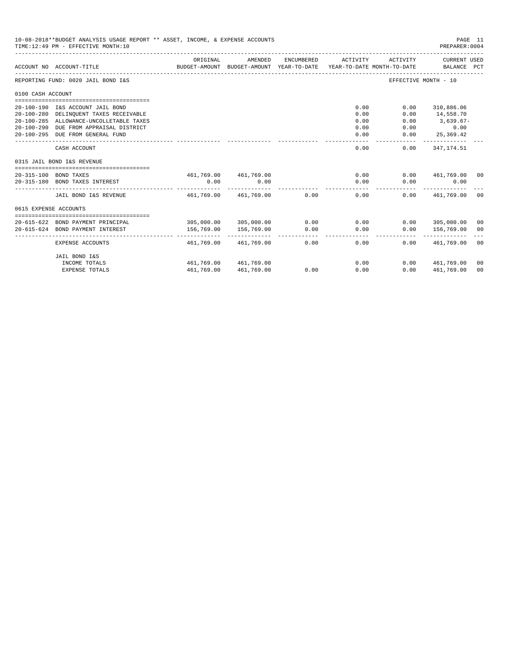|                       | 10-08-2018**BUDGET ANALYSIS USAGE REPORT ** ASSET, INCOME, & EXPENSE ACCOUNTS<br>TIME: 12:49 PM - EFFECTIVE MONTH: 10 |            |                                                     |            |                                        |          | PAGE 11<br>PREPARER:0004    |                |
|-----------------------|-----------------------------------------------------------------------------------------------------------------------|------------|-----------------------------------------------------|------------|----------------------------------------|----------|-----------------------------|----------------|
|                       | ACCOUNT NO ACCOUNT-TITLE                                                                                              | ORIGINAL   | AMENDED<br>BUDGET-AMOUNT BUDGET-AMOUNT YEAR-TO-DATE | ENCUMBERED | ACTIVITY<br>YEAR-TO-DATE MONTH-TO-DATE | ACTIVITY | CURRENT USED<br>BALANCE PCT |                |
|                       | REPORTING FUND: 0020 JAIL BOND I&S                                                                                    |            |                                                     |            |                                        |          | EFFECTIVE MONTH - 10        |                |
| 0100 CASH ACCOUNT     |                                                                                                                       |            |                                                     |            |                                        |          |                             |                |
|                       |                                                                                                                       |            |                                                     |            |                                        |          |                             |                |
|                       | 20-100-190 I&S ACCOUNT JAIL BOND                                                                                      |            |                                                     |            | 0.00                                   | 0.00     | 310,886.06                  |                |
|                       | 20-100-280 DELINQUENT TAXES RECEIVABLE                                                                                |            |                                                     |            | 0.00                                   | 0.00     | 14,558.70                   |                |
|                       | 20-100-285 ALLOWANCE-UNCOLLETABLE TAXES                                                                               |            |                                                     |            | 0.00                                   | 0.00     | $3,639.67-$                 |                |
|                       | 20-100-290 DUE FROM APPRAISAL DISTRICT                                                                                |            |                                                     |            | 0.00                                   | 0.00     | 0.00                        |                |
|                       | 20-100-295 DUE FROM GENERAL FUND                                                                                      |            |                                                     |            | 0.00                                   | 0.00     | 25,369.42<br>-----------    |                |
|                       | CASH ACCOUNT                                                                                                          |            |                                                     |            | 0.00                                   | 0.00     | 347,174.51                  |                |
|                       | 0315 JAIL BOND I&S REVENUE                                                                                            |            |                                                     |            |                                        |          |                             |                |
|                       |                                                                                                                       |            |                                                     |            |                                        |          |                             |                |
|                       | 20-315-100 BOND TAXES                                                                                                 |            | 461,769.00 461,769.00                               |            | 0.00                                   |          | $0.00$ $461.769.00$ 00      |                |
|                       | 20-315-180 BOND TAXES INTEREST                                                                                        | 0.00       | 0.00<br>--------------                              |            | 0.00                                   | 0.00     | 0.00<br>------------        |                |
|                       | JAIL BOND I&S REVENUE                                                                                                 |            | 461.769.00 461.769.00 0.00                          |            | 0.00                                   |          | $0.00$ $461.769.00$         | 0 <sup>0</sup> |
| 0615 EXPENSE ACCOUNTS |                                                                                                                       |            |                                                     |            |                                        |          |                             |                |
|                       |                                                                                                                       |            |                                                     |            |                                        |          |                             |                |
|                       | 20-615-622 BOND PAYMENT PRINCIPAL                                                                                     | 305,000.00 | 305,000.00                                          | 0.00       | 0.00                                   |          | $0.00$ 305,000.00           | 00             |
|                       | 20-615-624 BOND PAYMENT INTEREST                                                                                      | 156,769.00 | 156,769.00                                          | 0.00       | 0.00                                   | 0.00     | 156,769.00                  | 0 <sup>0</sup> |
|                       | EXPENSE ACCOUNTS                                                                                                      | 461,769.00 | 461,769.00                                          | 0.00       | 0.00                                   | 0.00     | 461,769.00                  | 0 <sup>0</sup> |
|                       | JAIL BOND I&S                                                                                                         |            |                                                     |            |                                        |          |                             |                |
|                       | INCOME TOTALS                                                                                                         |            | 461.769.00 461.769.00                               |            | 0.00                                   | 0.00     | 461,769.00                  | 00             |
|                       | <b>EXPENSE TOTALS</b>                                                                                                 | 461,769.00 | 461,769.00                                          | 0.00       | 0.00                                   | 0.00     | 461,769.00                  | 0 <sub>0</sub> |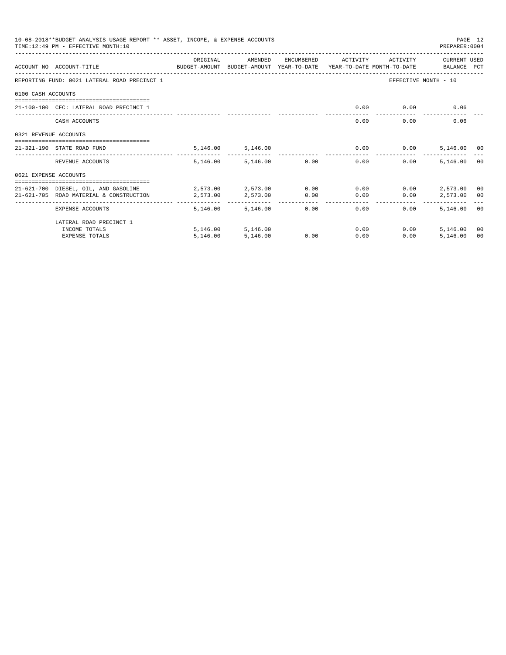|                       | 10-08-2018**BUDGET ANALYSIS USAGE REPORT ** ASSET, INCOME, & EXPENSE ACCOUNTS<br>PAGE 12<br>TIME: 12:49 PM - EFFECTIVE MONTH: 10<br>PREPARER: 0004 |                                          |                   |               |                     |              |                         |                |  |  |
|-----------------------|----------------------------------------------------------------------------------------------------------------------------------------------------|------------------------------------------|-------------------|---------------|---------------------|--------------|-------------------------|----------------|--|--|
|                       | ACCOUNT NO ACCOUNT-TITLE CONTROL SUDGET-AMOUNT BUDGET-AMOUNT YEAR-TO-DATE YEAR-TO-DATE MONTH-TO-DATE BALANCE PCT                                   | ORIGINAL                                 | AMENDED           |               | ENCUMBERED ACTIVITY | ACTIVITY     | CURRENT USED            |                |  |  |
|                       | REPORTING FUND: 0021 LATERAL ROAD PRECINCT 1                                                                                                       |                                          |                   |               |                     |              | EFFECTIVE MONTH - 10    |                |  |  |
| 0100 CASH ACCOUNTS    |                                                                                                                                                    |                                          |                   |               |                     |              |                         |                |  |  |
|                       | 21-100-100 CFC: LATERAL ROAD PRECINCT 1                                                                                                            |                                          |                   |               | 0.00                |              | 0.00<br>0.06            |                |  |  |
|                       | CASH ACCOUNTS                                                                                                                                      |                                          |                   |               | 0.00                | 0.00         | 0.06                    |                |  |  |
| 0321 REVENUE ACCOUNTS | ----------------------------------                                                                                                                 |                                          |                   |               |                     |              |                         |                |  |  |
|                       | 21-321-190 STATE ROAD FUND                                                                                                                         |                                          | 5,146.00 5,146.00 |               |                     | $0.00$ 0.00  | 5,146.00 00             |                |  |  |
|                       | REVENUE ACCOUNTS                                                                                                                                   | 5,146,00                                 |                   | 5,146.00 0.00 | 0.00                | $0.00 -$     | 5,146.00                | 0 <sub>0</sub> |  |  |
| 0621 EXPENSE ACCOUNTS |                                                                                                                                                    |                                          |                   |               |                     |              |                         |                |  |  |
|                       | 21-621-700 DIESEL, OIL, AND GASOLINE<br>21-621-705 ROAD MATERIAL & CONSTRUCTION                                                                    | $2.573.00$ $2.573.00$ $0.00$<br>2,573.00 | 2,573.00          | 0.00          | 0.00<br>0.00        | 0.00<br>0.00 | 2,573.00<br>2,573.00 00 | 00             |  |  |
|                       | EXPENSE ACCOUNTS                                                                                                                                   | 5,146.00                                 | 5,146,00          | 0.00          | -------<br>$0.00 -$ | 0.00         | 5,146,00 00             |                |  |  |
|                       | LATERAL ROAD PRECINCT 1                                                                                                                            |                                          |                   |               |                     |              |                         |                |  |  |
|                       | INCOME TOTALS                                                                                                                                      |                                          | 5,146.00 5,146.00 |               | 0.00                | 0.00         | 5,146.00                | 00             |  |  |
|                       | <b>EXPENSE TOTALS</b>                                                                                                                              | 5,146.00                                 | 5.146.00          | 0.00          | 0.00                | 0.00         | 5,146.00                | 00             |  |  |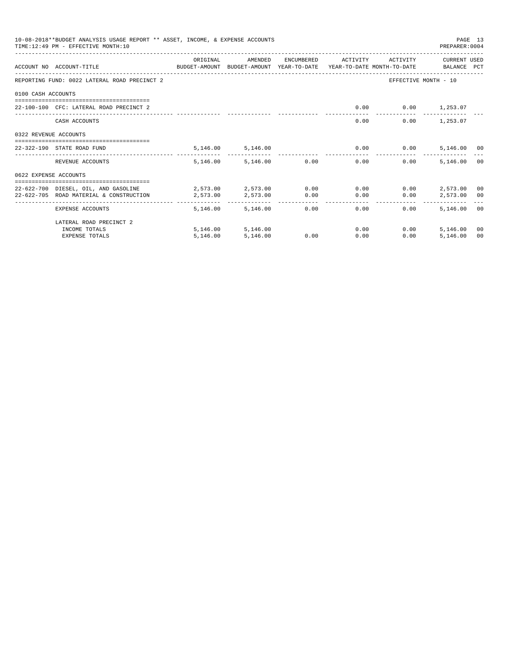|                       | 10-08-2018**BUDGET ANALYSIS USAGE REPORT ** ASSET, INCOME, & EXPENSE ACCOUNTS<br>TIME: 12:49 PM - EFFECTIVE MONTH: 10 |                               |                                     |              |              |              | PREPARER: 0004          | PAGE 13 |
|-----------------------|-----------------------------------------------------------------------------------------------------------------------|-------------------------------|-------------------------------------|--------------|--------------|--------------|-------------------------|---------|
|                       | ACCOUNT NO ACCOUNT-TITLE CONTROL SUDGET-AMOUNT BUDGET-AMOUNT YEAR-TO-DATE YEAR-TO-DATE MONTH-TO-DATE BALANCE PCT      | ORIGINAL                      | AMENDED                             | ENCUMBERED   | ACTIVITY     | ACTIVITY     | CURRENT USED            |         |
|                       | REPORTING FUND: 0022 LATERAL ROAD PRECINCT 2                                                                          |                               |                                     |              |              |              | EFFECTIVE MONTH - 10    |         |
| 0100 CASH ACCOUNTS    |                                                                                                                       |                               |                                     |              |              |              |                         |         |
|                       | 22-100-100 CFC: LATERAL ROAD PRECINCT 2                                                                               |                               |                                     |              | 0.00         |              | $0.00$ 1,253.07         |         |
|                       | CASH ACCOUNTS                                                                                                         |                               |                                     |              | 0.00         |              | 1,253.07<br>0.00        |         |
| 0322 REVENUE ACCOUNTS |                                                                                                                       |                               |                                     |              |              |              |                         |         |
|                       | ====================================<br>22-322-190 STATE ROAD FUND                                                    |                               | 5,146.00 5,146.00                   |              |              | $0.00$ 0.00  | 5,146.00 00             |         |
|                       | REVENUE ACCOUNTS                                                                                                      |                               | 5,146.00 5,146.00                   | 0.00         | 0.00         | 0.00         | 5,146.00                | 00      |
| 0622 EXPENSE ACCOUNTS |                                                                                                                       |                               |                                     |              |              |              |                         |         |
|                       | 22-622-700 DIESEL, OIL, AND GASOLINE<br>22-622-705 ROAD MATERIAL & CONSTRUCTION                                       | 2,573.00 2,573.00<br>2,573.00 | 2,573.00                            | 0.00<br>0.00 | 0.00<br>0.00 | 0.00<br>0.00 | 2,573.00<br>2,573.00 00 | 00      |
|                       | EXPENSE ACCOUNTS                                                                                                      | --------                      | . <u>.</u><br>5, 146, 00 5, 146, 00 | 0.00         | 0.00         | 0.00         | 5,146.00 00             |         |
|                       | LATERAL ROAD PRECINCT 2                                                                                               |                               |                                     |              |              |              |                         |         |
|                       | INCOME TOTALS                                                                                                         |                               | 5,146.00 5,146.00                   |              | 0.00         | 0.00         | 5,146.00                | 00      |
|                       | <b>EXPENSE TOTALS</b>                                                                                                 | 5,146.00                      | 5,146.00                            | 0.00         | 0.00         | 0.00         | 5.146.00                | 00      |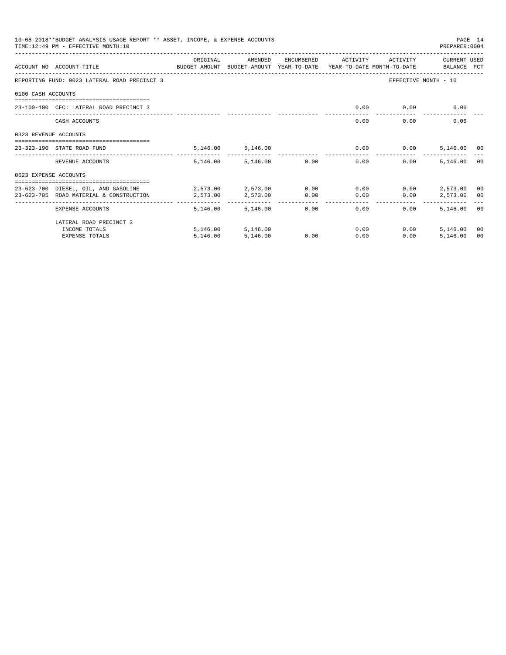|                       | 10-08-2018**BUDGET ANALYSIS USAGE REPORT ** ASSET, INCOME, & EXPENSE ACCOUNTS<br>TIME: 12:49 PM - EFFECTIVE MONTH: 10 |                                          |                   |               |                     |              | PAGE 14<br>PREPARER: 0004 |                |
|-----------------------|-----------------------------------------------------------------------------------------------------------------------|------------------------------------------|-------------------|---------------|---------------------|--------------|---------------------------|----------------|
|                       | ACCOUNT NO ACCOUNT-TITLE CONTROL SUDGET-AMOUNT BUDGET-AMOUNT YEAR-TO-DATE YEAR-TO-DATE MONTH-TO-DATE BALANCE PCT      | ORIGINAL                                 | AMENDED           |               | ENCUMBERED ACTIVITY | ACTIVITY     | CURRENT USED              |                |
|                       | REPORTING FUND: 0023 LATERAL ROAD PRECINCT 3                                                                          |                                          |                   |               |                     |              | EFFECTIVE MONTH - 10      |                |
| 0100 CASH ACCOUNTS    |                                                                                                                       |                                          |                   |               |                     |              |                           |                |
|                       | 23-100-100 CFC: LATERAL ROAD PRECINCT 3                                                                               |                                          |                   |               | 0.00                |              | 0.00<br>0.06              |                |
|                       | CASH ACCOUNTS                                                                                                         |                                          |                   |               | 0.00                | 0.00         | 0.06                      |                |
| 0323 REVENUE ACCOUNTS | ----------------------------------                                                                                    |                                          |                   |               |                     |              |                           |                |
|                       | 23-323-190 STATE ROAD FUND                                                                                            |                                          | 5,146.00 5,146.00 |               |                     | $0.00$ 0.00  | 5,146.00 00               |                |
|                       | REVENUE ACCOUNTS                                                                                                      | 5,146,00                                 |                   | 5,146.00 0.00 | 0.00                | $0.00 -$     | 5,146.00                  | 0 <sub>0</sub> |
| 0623 EXPENSE ACCOUNTS |                                                                                                                       |                                          |                   |               |                     |              |                           |                |
|                       | 23-623-700 DIESEL, OIL, AND GASOLINE<br>23-623-705 ROAD MATERIAL & CONSTRUCTION                                       | $2.573.00$ $2.573.00$ $0.00$<br>2,573.00 | 2,573.00          | 0.00          | 0.00<br>0.00        | 0.00<br>0.00 | 2,573.00<br>2,573.00 00   | 00             |
|                       | EXPENSE ACCOUNTS                                                                                                      | 5,146.00                                 | 5,146,00          | 0.00          | -------<br>$0.00 -$ | 0.00         | 5,146,00 00               |                |
|                       | LATERAL ROAD PRECINCT 3                                                                                               |                                          |                   |               |                     |              |                           |                |
|                       | INCOME TOTALS                                                                                                         |                                          | 5,146.00 5,146.00 |               | 0.00                | 0.00         | 5,146.00                  | 00             |
|                       | <b>EXPENSE TOTALS</b>                                                                                                 | 5,146.00                                 | 5.146.00          | 0.00          | 0.00                | 0.00         | 5,146.00                  | 00             |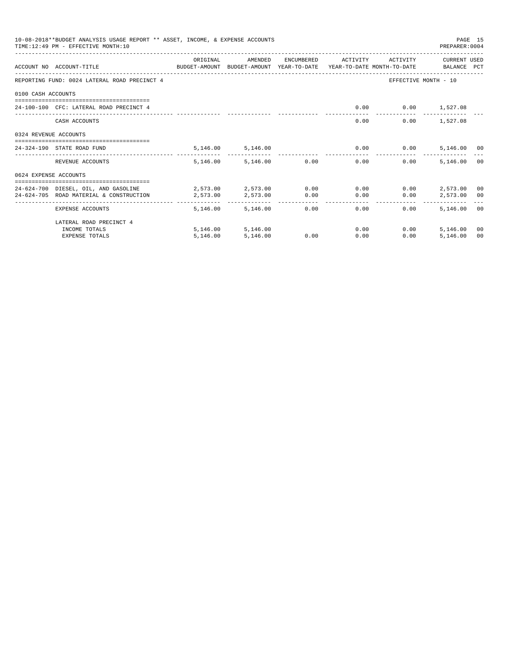|                       | 10-08-2018**BUDGET ANALYSIS USAGE REPORT ** ASSET, INCOME, & EXPENSE ACCOUNTS<br>TIME: 12:49 PM - EFFECTIVE MONTH: 10 |                               |                        |              |              |              | PREPARER: 0004          | PAGE 15 |
|-----------------------|-----------------------------------------------------------------------------------------------------------------------|-------------------------------|------------------------|--------------|--------------|--------------|-------------------------|---------|
|                       | ACCOUNT NO ACCOUNT-TITLE CONTROL SUDGET-AMOUNT BUDGET-AMOUNT YEAR-TO-DATE YEAR-TO-DATE MONTH-TO-DATE BALANCE PCT      | ORIGINAL                      | AMENDED                | ENCUMBERED   | ACTIVITY     | ACTIVITY     | CURRENT USED            |         |
|                       | REPORTING FUND: 0024 LATERAL ROAD PRECINCT 4                                                                          |                               |                        |              |              |              | EFFECTIVE MONTH - 10    |         |
| 0100 CASH ACCOUNTS    |                                                                                                                       |                               |                        |              |              |              |                         |         |
|                       | 24-100-100 CFC: LATERAL ROAD PRECINCT 4                                                                               |                               |                        |              | 0.00         |              | $0.00$ 1,527.08         |         |
|                       | CASH ACCOUNTS                                                                                                         |                               |                        |              | 0.00         |              | 1,527.08<br>0.00        |         |
| 0324 REVENUE ACCOUNTS |                                                                                                                       |                               |                        |              |              |              |                         |         |
|                       | ====================================<br>24-324-190 STATE ROAD FUND                                                    |                               | 5,146.00 5,146.00      |              | 0.00         | 0.00         | 5,146.00 00             |         |
|                       | REVENUE ACCOUNTS                                                                                                      |                               | 5,146.00 5,146.00      | 0.00         | 0.00         | 0.00         | 5,146.00                | 00      |
| 0624 EXPENSE ACCOUNTS |                                                                                                                       |                               |                        |              |              |              |                         |         |
|                       | 24-624-700 DIESEL, OIL, AND GASOLINE<br>24-624-705 ROAD MATERIAL & CONSTRUCTION                                       | 2,573.00 2,573.00<br>2,573.00 | 2,573.00               | 0.00<br>0.00 | 0.00<br>0.00 | 0.00<br>0.00 | 2,573.00<br>2,573.00 00 | 00      |
|                       | EXPENSE ACCOUNTS                                                                                                      | --------<br>5,146.00          | . <u>.</u><br>5,146.00 | 0.00         | 0.00         | 0.00         | 5,146.00 00             |         |
|                       | LATERAL ROAD PRECINCT 4                                                                                               |                               |                        |              |              |              |                         |         |
|                       | INCOME TOTALS                                                                                                         |                               | 5,146.00 5,146.00      |              | 0.00         | 0.00         | 5,146.00                | 00      |
|                       | <b>EXPENSE TOTALS</b>                                                                                                 | 5,146.00                      | 5,146.00               | 0.00         | 0.00         | 0.00         | 5.146.00                | 00      |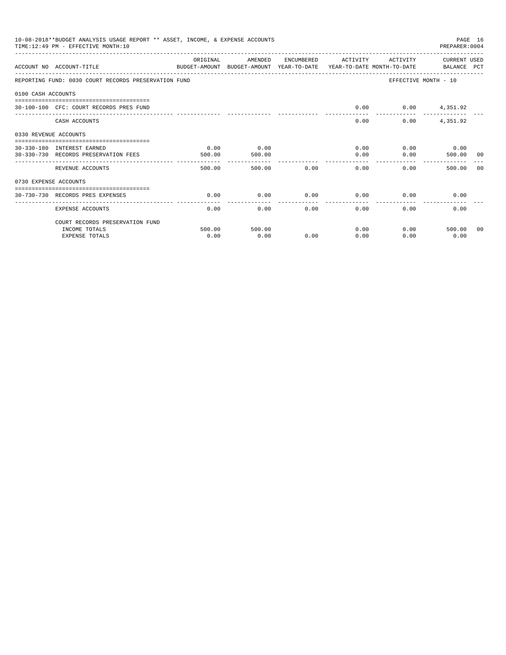|                       | 10-08-2018**BUDGET ANALYSIS USAGE REPORT ** ASSET, INCOME, & EXPENSE ACCOUNTS<br>TIME: 12:49 PM - EFFECTIVE MONTH: 10 |          |         |              |                      |                 | PREPARER: 0004        | PAGE 16 |
|-----------------------|-----------------------------------------------------------------------------------------------------------------------|----------|---------|--------------|----------------------|-----------------|-----------------------|---------|
|                       | ACCOUNT NO ACCOUNT-TITLE<br>BUDGET-AMOUNT BUDGET-AMOUNT YEAR-TO-DATE YEAR-TO-DATE MONTH-TO-DATE BALANCE PCT           | ORIGINAL | AMENDED |              | ENCUMBERED ACTIVITY  |                 | ACTIVITY CURRENT USED |         |
|                       | REPORTING FUND: 0030 COURT RECORDS PRESERVATION FUND                                                                  |          |         |              |                      |                 | EFFECTIVE MONTH - 10  |         |
| 0100 CASH ACCOUNTS    |                                                                                                                       |          |         |              |                      |                 |                       |         |
|                       | 30-100-100 CFC: COURT RECORDS PRES FUND                                                                               |          |         |              | 0.00                 | $0.00$ 4,351.92 |                       |         |
|                       | CASH ACCOUNTS                                                                                                         |          |         |              | 0.00                 | 0.00            | 4,351.92              |         |
| 0330 REVENUE ACCOUNTS |                                                                                                                       |          |         |              |                      |                 |                       |         |
|                       | 30-330-180 INTEREST EARNED                                                                                            | 0.00     | 0.00    |              |                      | 0.00            | $0.00$ 0.00           |         |
|                       | 30-330-730 RECORDS PRESERVATION FEES                                                                                  | 500.00   | 500.00  |              | 0.00<br>------------ | 0.00            | 500.00 00             |         |
|                       | REVENUE ACCOUNTS                                                                                                      | 500.00   | 500.00  | 0.00         | 0.00                 |                 | 0.00<br>500.00        | - 0.0   |
| 0730 EXPENSE ACCOUNTS |                                                                                                                       |          |         |              |                      |                 |                       |         |
|                       | ==============================<br>30-730-730 RECORDS PRES EXPENSES                                                    | 0.00     | 0.00    | 0.00         | 0.00                 |                 | 0.00<br>0.00          |         |
|                       | EXPENSE ACCOUNTS                                                                                                      | 0.00     | 0.00    | ------------ | ------------<br>0.00 | 0.00<br>0.00    | 0.00                  |         |
|                       | COURT RECORDS PRESERVATION FUND                                                                                       |          |         |              |                      |                 |                       |         |
|                       | INCOME TOTALS                                                                                                         | 500.00   | 500.00  |              | 0.00                 |                 | 0.00<br>500.00 00     |         |
|                       | <b>EXPENSE TOTALS</b>                                                                                                 | 0.00     | 0.00    | 0.00         | 0.00                 | 0.00            | 0.00                  |         |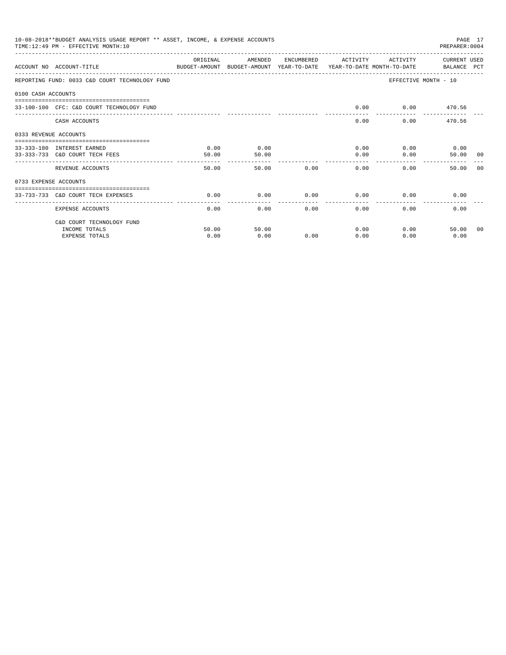|                       | 10-08-2018**BUDGET ANALYSIS USAGE REPORT ** ASSET, INCOME, & EXPENSE ACCOUNTS<br>TIME: 12:49 PM - EFFECTIVE MONTH: 10 |           |         |                      |                         |          | PAGE 17<br>PREPARER: 0004 |    |
|-----------------------|-----------------------------------------------------------------------------------------------------------------------|-----------|---------|----------------------|-------------------------|----------|---------------------------|----|
|                       | ACCOUNT NO ACCOUNT-TITLE<br>BUDGET-AMOUNT BUDGET-AMOUNT YEAR-TO-DATE YEAR-TO-DATE MONTH-TO-DATE BALANCE PCT           | OR TGTNAL | AMENDED | ENCUMBERED           | ACTIVITY                | ACTIVITY | CURRENT USED              |    |
|                       | REPORTING FUND: 0033 C&D COURT TECHNOLOGY FUND                                                                        |           |         |                      |                         |          | EFFECTIVE MONTH - 10      |    |
| 0100 CASH ACCOUNTS    |                                                                                                                       |           |         |                      |                         |          |                           |    |
|                       | 33-100-100 CFC: C&D COURT TECHNOLOGY FUND                                                                             |           |         |                      | 0.00                    |          | $0.00$ 470.56             |    |
|                       | CASH ACCOUNTS                                                                                                         |           |         |                      | 0.00                    |          | 0.00<br>470.56            |    |
| 0333 REVENUE ACCOUNTS |                                                                                                                       |           |         |                      |                         |          |                           |    |
|                       | 33-333-180 INTEREST EARNED                                                                                            | 0.00      | 0.00    |                      | 0.00                    |          | $0.00$ 0.00               |    |
|                       | 33-333-733 C&D COURT TECH FEES                                                                                        | 50.00     | 50.00   |                      | 0.00                    | 0.00     | 50.00 00                  |    |
|                       | REVENUE ACCOUNTS                                                                                                      | 50.00     | 50.00   | 0.00                 | ---------------<br>0.00 | $0.00 -$ | 50.00                     | 00 |
| 0733 EXPENSE ACCOUNTS |                                                                                                                       |           |         |                      |                         |          |                           |    |
|                       | ------------------------------------<br>33-733-733 C&D COURT TECH EXPENSES                                            | 0.00      | 0.00    | 0.00                 | 0.00                    | 0.00     | 0.00                      |    |
|                       | EXPENSE ACCOUNTS                                                                                                      | 0.00      | 0.00    | ------------<br>0.00 | -------<br>0.00         | 0.00     | 0.00                      |    |
|                       | C&D COURT TECHNOLOGY FUND                                                                                             |           |         |                      |                         |          |                           |    |
|                       | INCOME TOTALS                                                                                                         | 50.00     | 50.00   |                      | 0.00                    |          | 0.00<br>50.00 00          |    |
|                       | <b>EXPENSE TOTALS</b>                                                                                                 | 0.00      | 0.00    | 0.00                 | 0.00                    | 0.00     | 0.00                      |    |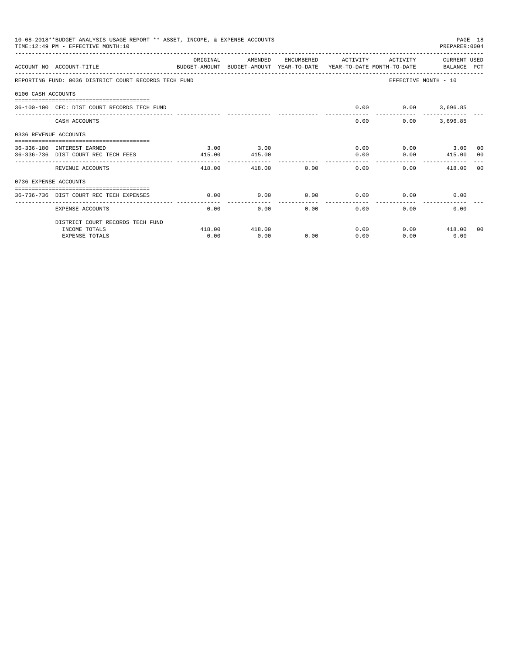|                       | 10-08-2018**BUDGET ANALYSIS USAGE REPORT ** ASSET, INCOME, & EXPENSE ACCOUNTS<br>TIME: 12:49 PM - EFFECTIVE MONTH: 10 |                       |         |                       |                       |                      | PAGE 18<br>PREPARER: 0004 |  |
|-----------------------|-----------------------------------------------------------------------------------------------------------------------|-----------------------|---------|-----------------------|-----------------------|----------------------|---------------------------|--|
|                       | ACCOUNT NO ACCOUNT-TITLE<br>BUDGET-AMOUNT BUDGET-AMOUNT YEAR-TO-DATE YEAR-TO-DATE MONTH-TO-DATE BALANCE PCT           | ORIGINAL              | AMENDED |                       | ENCUMBERED ACTIVITY   | ACTIVITY             | CURRENT USED              |  |
|                       | REPORTING FUND: 0036 DISTRICT COURT RECORDS TECH FUND                                                                 |                       |         |                       |                       | EFFECTIVE MONTH - 10 |                           |  |
| 0100 CASH ACCOUNTS    |                                                                                                                       |                       |         |                       |                       |                      |                           |  |
|                       | 36-100-100 CFC: DIST COURT RECORDS TECH FUND                                                                          |                       |         |                       | 0.00                  | $0.00$ 3,696.85      |                           |  |
|                       | CASH ACCOUNTS                                                                                                         |                       |         |                       |                       | 0.00<br>0.00         | 3,696.85                  |  |
| 0336 REVENUE ACCOUNTS |                                                                                                                       |                       |         |                       |                       |                      |                           |  |
|                       | 36-336-180 INTEREST EARNED                                                                                            | 3.00                  | 3.00    |                       |                       | 0.00                 | $0.00$ 3.00 00            |  |
|                       | 36-336-736 DIST COURT REC TECH FEES                                                                                   | 415.00                | 415.00  |                       | 0.00<br>. <u>.</u>    |                      | $0.00$ 415.00 00          |  |
|                       | REVENUE ACCOUNTS                                                                                                      | 418.00                |         | 0.00<br>418.00        | 0.00                  | 0.00                 | 418.00 00                 |  |
| 0736 EXPENSE ACCOUNTS |                                                                                                                       |                       |         |                       |                       |                      |                           |  |
|                       | 36-736-736 DIST COURT REC TECH EXPENSES                                                                               | 0.00                  | 0.00    | 0.00                  |                       | $0.00$ 0.00          | 0.00                      |  |
|                       | EXPENSE ACCOUNTS                                                                                                      | _____________<br>0.00 |         | -------------<br>0.00 | -------------<br>0.00 | 0.00                 | 0.00<br>0.00              |  |
|                       | DISTRICT COURT RECORDS TECH FUND                                                                                      |                       |         |                       |                       |                      |                           |  |
|                       | INCOME TOTALS                                                                                                         | 418.00                | 418.00  |                       |                       | 0.00                 | $0.00$ 418.00 00          |  |
|                       | <b>EXPENSE TOTALS</b>                                                                                                 | 0.00                  | 0.00    | 0.00                  | 0.00                  | 0.00                 | 0.00                      |  |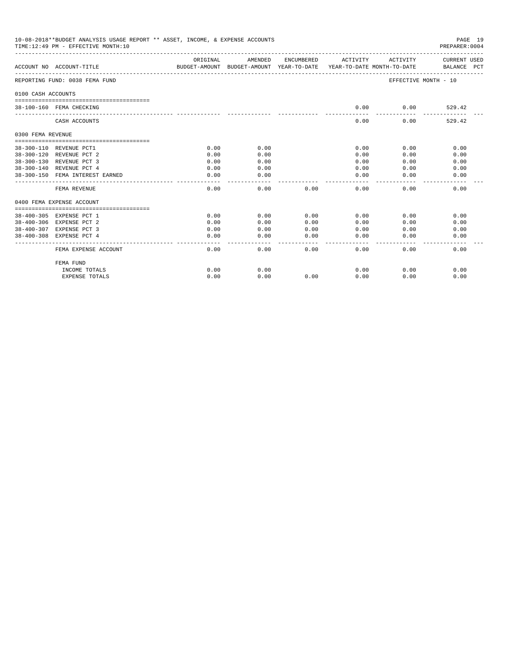|                         | 10-08-2018**BUDGET ANALYSIS USAGE REPORT ** ASSET, INCOME, & EXPENSE ACCOUNTS<br>TIME:12:49 PM - EFFECTIVE MONTH:10 |          |               |      |                |                              | PAGE 19<br>PREPARER: 0004   |
|-------------------------|---------------------------------------------------------------------------------------------------------------------|----------|---------------|------|----------------|------------------------------|-----------------------------|
|                         | ACCOUNT NO ACCOUNT-TITLE<br>BUDGET-AMOUNT BUDGET-AMOUNT YEAR-TO-DATE YEAR-TO-DATE MONTH-TO-DATE                     | ORIGINAL | AMENDED       |      |                | ENCUMBERED ACTIVITY ACTIVITY | CURRENT USED<br>BALANCE PCT |
|                         | REPORTING FUND: 0038 FEMA FUND                                                                                      |          |               |      |                | EFFECTIVE MONTH - 10         |                             |
| 0100 CASH ACCOUNTS      |                                                                                                                     |          |               |      |                |                              |                             |
|                         | 38-100-160 FEMA CHECKING                                                                                            |          |               |      | 0.00           | 0.00                         | 529.42                      |
|                         | CASH ACCOUNTS                                                                                                       |          |               |      | 0.00           | 0.00                         | 529.42                      |
| 0300 FEMA REVENUE       |                                                                                                                     |          |               |      |                |                              |                             |
| 38-300-110 REVENUE PCT1 |                                                                                                                     | 0.00     | 0.00          |      | 0.00           | 0.00                         | 0.00                        |
|                         | 38-300-120 REVENUE PCT 2                                                                                            | 0.00     | 0.00          |      | 0.00           | 0.00                         | 0.00                        |
|                         | 38-300-130 REVENUE PCT 3                                                                                            | 0.00     | 0.00          |      | 0.00           | 0.00                         | 0.00                        |
|                         | 38-300-140 REVENUE PCT 4                                                                                            | 0.00     | 0.00          |      | 0.00           | 0.00                         | 0.00                        |
|                         | 38-300-150 FEMA INTEREST EARNED                                                                                     | 0.00     | 0.00<br>----- |      | 0.00<br>------ | 0.00                         | 0.00                        |
|                         | FEMA REVENUE                                                                                                        | 0.00     | 0.00          | 0.00 | 0.00           | 0.00                         | 0.00                        |
|                         | 0400 FEMA EXPENSE ACCOUNT                                                                                           |          |               |      |                |                              |                             |
|                         | 38-400-305 EXPENSE PCT 1                                                                                            | 0.00     | 0.00          | 0.00 | 0.00           | 0.00                         | 0.00                        |
|                         | 38-400-306 EXPENSE PCT 2                                                                                            | 0.00     | 0.00          | 0.00 | 0.00           | 0.00                         | 0.00                        |
|                         | 38-400-307 EXPENSE PCT 3                                                                                            | 0.00     | 0.00          | 0.00 | 0.00           | 0.00                         | 0.00                        |
|                         | 38-400-308 EXPENSE PCT 4                                                                                            | 0.00     | 0.00          | 0.00 | 0.00           | 0.00                         | 0.00                        |
|                         | FEMA EXPENSE ACCOUNT                                                                                                | 0.00     | 0.00          | 0.00 | 0.00           | 0.00                         | 0.00                        |
|                         | FEMA FUND                                                                                                           |          |               |      |                |                              |                             |
|                         | INCOME TOTALS                                                                                                       | 0.00     | 0.00          |      | 0.00           | 0.00                         | 0.00                        |
|                         | <b>EXPENSE TOTALS</b>                                                                                               | 0.00     | 0.00          | 0.00 | 0.00           | 0.00                         | 0.00                        |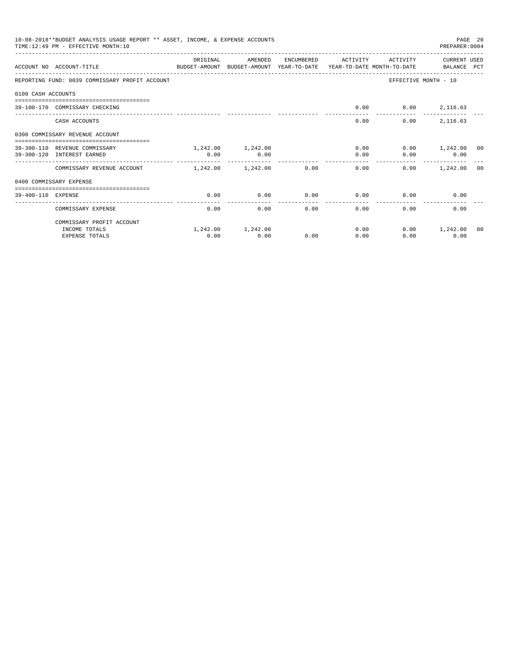|                    | 10-08-2018**BUDGET ANALYSIS USAGE REPORT ** ASSET, INCOME, & EXPENSE ACCOUNTS<br>TIME: 12:49 PM - EFFECTIVE MONTH: 10 |                       |                   |            |                       |                                         | PAGE 20<br>PREPARER: 0004 |  |
|--------------------|-----------------------------------------------------------------------------------------------------------------------|-----------------------|-------------------|------------|-----------------------|-----------------------------------------|---------------------------|--|
|                    | ACCOUNT NO ACCOUNT-TITLE CONTROL TO BUDGET-AMOUNT BUDGET-AMOUNT YEAR-TO-DATE YEAR-TO-DATE MONTH-TO-DATE BALANCE PCT   | ORIGINAL              | AMENDED           | ENCUMBERED | <b>ACTIVITY</b>       | ACTIVITY                                | CURRENT USED              |  |
|                    | REPORTING FUND: 0039 COMMISSARY PROFIT ACCOUNT                                                                        |                       |                   |            |                       | EFFECTIVE MONTH - 10                    |                           |  |
| 0100 CASH ACCOUNTS |                                                                                                                       |                       |                   |            |                       |                                         |                           |  |
|                    | 39-100-170 COMMISSARY CHECKING                                                                                        |                       |                   |            | 0.00                  |                                         | $0.00$ 2,116.63           |  |
|                    | CASH ACCOUNTS                                                                                                         |                       |                   |            | 0.00                  | 0.00                                    | 2,116.63                  |  |
|                    | 0300 COMMISSARY REVENUE ACCOUNT<br>==============================                                                     |                       |                   |            |                       |                                         |                           |  |
|                    | 39-300-110 REVENUE COMMISSARY                                                                                         |                       | 1,242.00 1,242.00 |            | 0.00                  |                                         | $0.00$ 1,242.00 00        |  |
|                    | 39-300-120 INTEREST EARNED                                                                                            | 0.00                  | 0.00              |            | 0.00                  | 0.00                                    | 0.00                      |  |
|                    | COMMISSARY REVENUE ACCOUNT                                                                                            | $1,242,00$ $1,242,00$ |                   | 0.00       | -------------<br>0.00 | _______________________________<br>0.00 | 1,242.00 00               |  |
|                    | 0400 COMMISSARY EXPENSE                                                                                               |                       |                   |            |                       |                                         |                           |  |
| 39-400-110 EXPENSE |                                                                                                                       | 0.00                  | 0.00              | 0.00       | 0.00                  | 0.00                                    | 0.00                      |  |
|                    | COMMISSARY EXPENSE                                                                                                    | 0.00                  | 0.00              | 0.00       | 0.00                  | 0.00                                    | 0.00                      |  |
|                    | COMMISSARY PROFIT ACCOUNT                                                                                             |                       |                   |            |                       |                                         |                           |  |
|                    | INCOME TOTALS                                                                                                         |                       | 1,242.00 1,242.00 |            | 0.00                  | 0.00                                    | 1,242.00 00               |  |
|                    | <b>EXPENSE TOTALS</b>                                                                                                 | 0.00                  | 0.00              | 0.00       | 0.00                  | 0.00                                    | 0.00                      |  |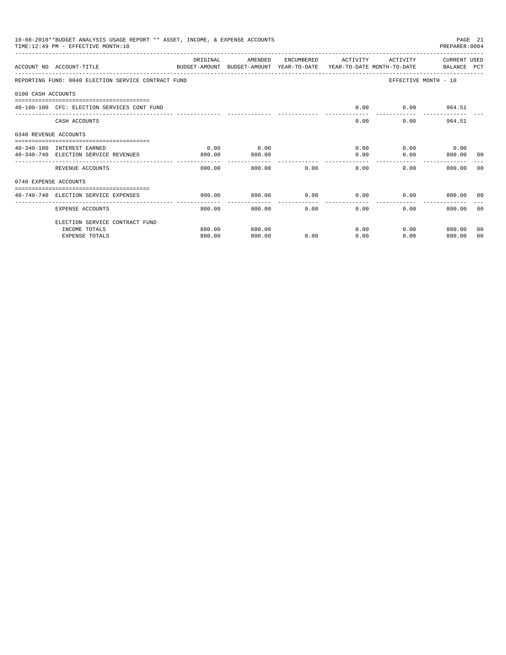|                       | 10-08-2018**BUDGET ANALYSIS USAGE REPORT ** ASSET, INCOME, & EXPENSE ACCOUNTS<br>TIME: 12:49 PM - EFFECTIVE MONTH: 10 |          |                        |              |                        |              | PREPARER: 0004       | PAGE 21        |
|-----------------------|-----------------------------------------------------------------------------------------------------------------------|----------|------------------------|--------------|------------------------|--------------|----------------------|----------------|
|                       | ACCOUNT NO ACCOUNT-TITLE<br>BUDGET-AMOUNT BUDGET-AMOUNT YEAR-TO-DATE YEAR-TO-DATE MONTH-TO-DATE BALANCE PCT           | ORIGINAL | AMENDED                | ENCUMBERED   | ACTIVITY               | ACTIVITY     | CURRENT USED         |                |
|                       | REPORTING FUND: 0040 ELECTION SERVICE CONTRACT FUND                                                                   |          |                        |              |                        |              | EFFECTIVE MONTH - 10 |                |
| 0100 CASH ACCOUNTS    |                                                                                                                       |          |                        |              |                        |              |                      |                |
|                       | 40-100-100 CFC: ELECTION SERVICES CONT FUND                                                                           |          |                        |              | 0.00                   |              | $0.00$ 964.51        |                |
|                       | CASH ACCOUNTS                                                                                                         |          |                        |              | 0.00                   |              | 964.51<br>0.00       |                |
| 0340 REVENUE ACCOUNTS |                                                                                                                       |          |                        |              |                        |              |                      |                |
|                       | 40-340-180 INTEREST EARNED                                                                                            | 0.00     | 0.00                   |              |                        | 0.00         | $0.00$ 0.00          |                |
|                       | 40-340-740 ELECTION SERVICE REVENUES                                                                                  | 800.00   | 800.00                 |              | 0.00                   | 0.00         | 800.00 00            |                |
|                       | REVENUE ACCOUNTS                                                                                                      | 800.00   | 800.00                 | 0.00         | 0.00                   |              | 0.00<br>800.00       | - 0.0          |
| 0740 EXPENSE ACCOUNTS |                                                                                                                       |          |                        |              |                        |              |                      |                |
|                       | 40-740-740 ELECTION SERVICE EXPENSES                                                                                  | 800.00   | 800.00                 | $0.00$ 0.00  |                        |              | 0.00<br>800.00 00    |                |
|                       | -------------------- --------------<br>EXPENSE ACCOUNTS                                                               | 800.00   | . <b>.</b> .<br>800.00 | ------------ | --------------<br>0.00 | 0.00<br>0.00 | 800.00 00            |                |
|                       | ELECTION SERVICE CONTRACT FUND                                                                                        |          |                        |              |                        |              |                      |                |
|                       | INCOME TOTALS                                                                                                         | 800.00   | 800.00                 |              | 0.00                   |              | $0.00$ 800.00        | 0 <sub>0</sub> |
|                       | <b>EXPENSE TOTALS</b>                                                                                                 | 800.00   | 800.00                 | 0.00         | 0.00                   | 0.00         | 800.00               | 00             |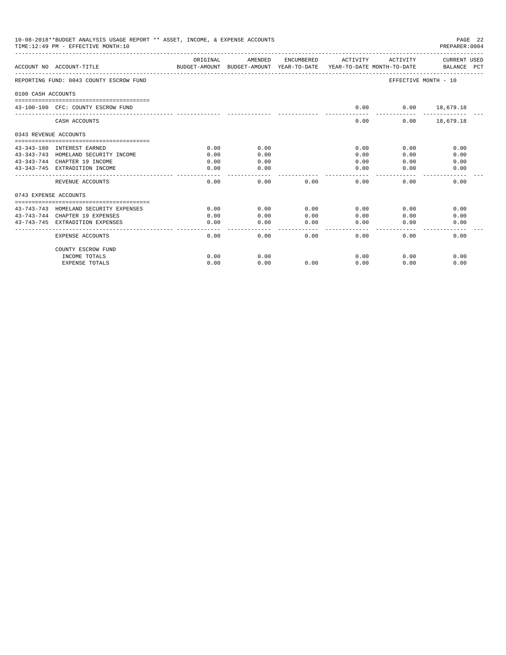|                       | 10-08-2018**BUDGET ANALYSIS USAGE REPORT ** ASSET, INCOME, & EXPENSE ACCOUNTS<br>TIME:12:49 PM - EFFECTIVE MONTH:10 |           |         |                       |                                                                                                                                                                                                                                                                                                                                                                                                      |                      | PAGE 22<br>PREPARER: 0004   |
|-----------------------|---------------------------------------------------------------------------------------------------------------------|-----------|---------|-----------------------|------------------------------------------------------------------------------------------------------------------------------------------------------------------------------------------------------------------------------------------------------------------------------------------------------------------------------------------------------------------------------------------------------|----------------------|-----------------------------|
|                       | ACCOUNT NO ACCOUNT-TITLE                                                                                            | OR TGTNAL | AMENDED | ENCUMBERED            | ACTIVITY<br>BUDGET-AMOUNT BUDGET-AMOUNT YEAR-TO-DATE YEAR-TO-DATE MONTH-TO-DATE                                                                                                                                                                                                                                                                                                                      | ACTIVITY             | CURRENT USED<br>BALANCE PCT |
|                       | REPORTING FUND: 0043 COUNTY ESCROW FUND                                                                             |           |         |                       |                                                                                                                                                                                                                                                                                                                                                                                                      | EFFECTIVE MONTH - 10 |                             |
| 0100 CASH ACCOUNTS    |                                                                                                                     |           |         |                       |                                                                                                                                                                                                                                                                                                                                                                                                      |                      |                             |
|                       | 43-100-100 CFC: COUNTY ESCROW FUND                                                                                  |           |         |                       | 0.00                                                                                                                                                                                                                                                                                                                                                                                                 | $0.00$ 18,679.18     | ------------                |
|                       | CASH ACCOUNTS                                                                                                       |           |         |                       | $- - - - -$<br>0.00                                                                                                                                                                                                                                                                                                                                                                                  |                      | $0.00$ 18,679.18            |
| 0343 REVENUE ACCOUNTS |                                                                                                                     |           |         |                       |                                                                                                                                                                                                                                                                                                                                                                                                      |                      |                             |
|                       | 43-343-180 INTEREST EARNED                                                                                          | 0.00      | 0.00    |                       | 0.00                                                                                                                                                                                                                                                                                                                                                                                                 | 0.00                 | 0.00                        |
|                       | 43-343-743 HOMELAND SECURITY INCOME                                                                                 | 0.00      | 0.00    |                       | 0.00                                                                                                                                                                                                                                                                                                                                                                                                 | 0.00                 | 0.00                        |
|                       | 43-343-744 CHAPTER 19 INCOME                                                                                        | 0.00      | 0.00    |                       | 0.00                                                                                                                                                                                                                                                                                                                                                                                                 | 0.00                 | 0.00                        |
|                       | 43-343-745 EXTRADITION INCOME                                                                                       | 0.00      | 0.00    |                       | 0.00<br>$\frac{1}{2} \frac{1}{2} \frac{1}{2} \frac{1}{2} \frac{1}{2} \frac{1}{2} \frac{1}{2} \frac{1}{2} \frac{1}{2} \frac{1}{2} \frac{1}{2} \frac{1}{2} \frac{1}{2} \frac{1}{2} \frac{1}{2} \frac{1}{2} \frac{1}{2} \frac{1}{2} \frac{1}{2} \frac{1}{2} \frac{1}{2} \frac{1}{2} \frac{1}{2} \frac{1}{2} \frac{1}{2} \frac{1}{2} \frac{1}{2} \frac{1}{2} \frac{1}{2} \frac{1}{2} \frac{1}{2} \frac{$ | 0.00                 | 0.00                        |
|                       | REVENUE ACCOUNTS                                                                                                    | 0.00      | 0.00    | 0.00                  | 0.00                                                                                                                                                                                                                                                                                                                                                                                                 | 0.00                 | 0.00                        |
| 0743 EXPENSE ACCOUNTS |                                                                                                                     |           |         |                       |                                                                                                                                                                                                                                                                                                                                                                                                      |                      |                             |
|                       | 43-743-743 HOMELAND SECURITY EXPENSES                                                                               | 0.00      | 0.00    | 0.00                  | 0.00                                                                                                                                                                                                                                                                                                                                                                                                 | 0.00                 | 0.00                        |
|                       | 43-743-744 CHAPTER 19 EXPENSES                                                                                      | 0.00      | 0.00    | 0.00                  | 0.00                                                                                                                                                                                                                                                                                                                                                                                                 | 0.00                 | 0.00                        |
|                       | 43-743-745 EXTRADITION EXPENSES                                                                                     | 0.00      | 0.00    | 0.00                  | 0.00                                                                                                                                                                                                                                                                                                                                                                                                 | 0.00                 | 0.00                        |
|                       | EXPENSE ACCOUNTS                                                                                                    | 0.00      | 0.00    | $- - - - - -$<br>0.00 | $- - - - - -$<br>0.00                                                                                                                                                                                                                                                                                                                                                                                | 0.00                 | 0.00                        |
|                       | COUNTY ESCROW FUND                                                                                                  |           |         |                       |                                                                                                                                                                                                                                                                                                                                                                                                      |                      |                             |
|                       | INCOME TOTALS                                                                                                       | 0.00      | 0.00    |                       | 0.00                                                                                                                                                                                                                                                                                                                                                                                                 | 0.00                 | 0.00                        |
|                       | <b>EXPENSE TOTALS</b>                                                                                               | 0.00      | 0.00    | 0.00                  | 0.00                                                                                                                                                                                                                                                                                                                                                                                                 | 0.00                 | 0.00                        |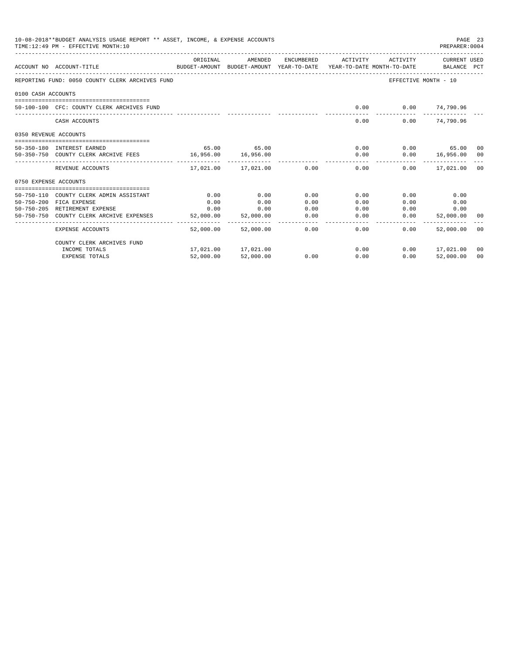|                       | 10-08-2018**BUDGET ANALYSIS USAGE REPORT ** ASSET, INCOME, & EXPENSE ACCOUNTS<br>TIME: 12:49 PM - EFFECTIVE MONTH: 10 |           |                              |      |                                           |                           | PAGE 23<br>PREPARER: 0004 |                |
|-----------------------|-----------------------------------------------------------------------------------------------------------------------|-----------|------------------------------|------|-------------------------------------------|---------------------------|---------------------------|----------------|
|                       | ACCOUNT NO ACCOUNT-TITLE<br>BUDGET-AMOUNT BUDGET-AMOUNT YEAR-TO-DATE YEAR-TO-DATE MONTH-TO-DATE BALANCE PCT           | ORIGINAL  | AMENDED                      |      | ENCUMBERED ACTIVITY ACTIVITY CURRENT USED |                           |                           |                |
|                       | REPORTING FUND: 0050 COUNTY CLERK ARCHIVES FUND                                                                       |           |                              |      |                                           | EFFECTIVE MONTH - 10      |                           |                |
| 0100 CASH ACCOUNTS    |                                                                                                                       |           |                              |      |                                           |                           |                           |                |
|                       | 50-100-100 CFC: COUNTY CLERK ARCHIVES FUND                                                                            |           |                              |      |                                           | $0.00$ $0.00$ $74,790.96$ |                           |                |
|                       | CASH ACCOUNTS                                                                                                         |           |                              |      | 0.00                                      |                           | $0.00$ $74,790.96$        |                |
| 0350 REVENUE ACCOUNTS |                                                                                                                       |           |                              |      |                                           |                           |                           |                |
|                       | 50-350-180 INTEREST EARNED                                                                                            |           | 65.00 65.00                  |      |                                           | 0.00                      | $0.00$ 65.00 00           |                |
|                       | 50-350-750 COUNTY CLERK ARCHIVE FEES 16,956.00 16,956.00                                                              |           |                              |      |                                           | 0.00                      | $0.00$ 16,956.00 00       |                |
|                       | REVENUE ACCOUNTS                                                                                                      |           | $17.021.00$ $17.021.00$ 0.00 |      | 0.00                                      |                           | $0.00$ $17.021.00$ 00     |                |
| 0750 EXPENSE ACCOUNTS |                                                                                                                       |           |                              |      |                                           |                           |                           |                |
|                       | 50-750-110 COUNTY CLERK ADMIN ASSISTANT                                                                               | 0.00      | 0.00                         | 0.00 | 0.00                                      | 0.00                      | 0.00                      |                |
|                       | 50-750-200 FICA EXPENSE                                                                                               | 0.00      | 0.00                         | 0.00 | 0.00                                      | 0.00                      | 0.00                      |                |
|                       | 50-750-205 RETIREMENT EXPENSE                                                                                         | 0.00      | 0.00                         | 0.00 | 0.00                                      | 0.00                      | 0.00                      |                |
|                       | 50-750-750 COUNTY CLERK ARCHIVE EXPENSES                                                                              | 52,000.00 | 52,000.00                    | 0.00 | 0.00                                      | 0.00                      | 52,000.00                 | 00             |
|                       | EXPENSE ACCOUNTS                                                                                                      | 52,000.00 | 52,000.00                    | 0.00 | ______________________________<br>0.00    | $0.00 -$                  | 52,000.00 00              |                |
|                       | COUNTY CLERK ARCHIVES FUND                                                                                            |           |                              |      |                                           |                           |                           |                |
|                       | INCOME TOTALS                                                                                                         |           | 17,021.00 17,021.00          |      | 0.00                                      |                           | $0.00$ 17,021.00          | 00             |
|                       | <b>EXPENSE TOTALS</b>                                                                                                 | 52,000.00 | 52,000.00                    | 0.00 | 0.00                                      | 0.00                      | 52,000.00                 | 0 <sup>0</sup> |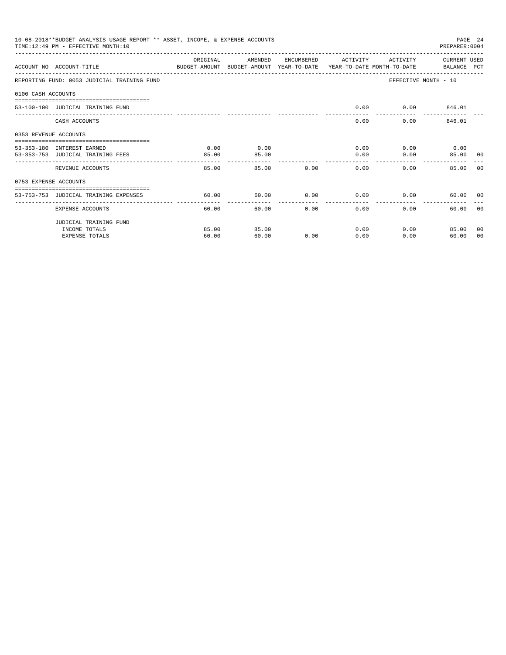|                       | 10-08-2018**BUDGET ANALYSIS USAGE REPORT ** ASSET, INCOME, & EXPENSE ACCOUNTS<br>TIME: 12:49 PM - EFFECTIVE MONTH: 10 |          |                        |      |                     |                      | PREPARER: 0004             | PAGE 24 |
|-----------------------|-----------------------------------------------------------------------------------------------------------------------|----------|------------------------|------|---------------------|----------------------|----------------------------|---------|
|                       | ACCOUNT NO ACCOUNT-TITLE CONTROL BUDGET-AMOUNT BUDGET-AMOUNT YEAR-TO-DATE YEAR-TO-DATE MONTH-TO-DATE BALANCE PCT      | ORIGINAL | AMENDED                |      | ENCUMBERED ACTIVITY | ACTIVITY             | CURRENT USED               |         |
|                       | REPORTING FUND: 0053 JUDICIAL TRAINING FUND                                                                           |          |                        |      |                     | EFFECTIVE MONTH - 10 |                            |         |
| 0100 CASH ACCOUNTS    |                                                                                                                       |          |                        |      |                     |                      |                            |         |
|                       | 53-100-100 JUDICIAL TRAINING FUND                                                                                     |          |                        |      | 0.00                |                      | $0.00$ 846.01              |         |
|                       | CASH ACCOUNTS                                                                                                         |          |                        |      | 0.00                | $0.00$ and $0.00$    | 846.01                     |         |
| 0353 REVENUE ACCOUNTS | . =============================                                                                                       |          |                        |      |                     |                      |                            |         |
|                       | 53-353-180 INTEREST EARNED                                                                                            | 0.00     | 0.00                   |      | 0.00                |                      | $0.00$ 0.00                |         |
|                       | 53-353-753 JUDICIAL TRAINING FEES                                                                                     | 85.00    | 85.00                  |      | 0.00                | 0.00                 | 85.00                      | 00      |
|                       | REVENUE ACCOUNTS                                                                                                      | 85.00    | -------------<br>85.00 | 0.00 | 0.00                | 0.00                 | 85.00                      | n n     |
| 0753 EXPENSE ACCOUNTS |                                                                                                                       |          |                        |      |                     |                      |                            |         |
|                       | --------------------------------------<br>53-753-753 JUDICIAL TRAINING EXPENSES                                       | 60.00    | 60.00                  | 0.00 | 0.00                | 0.00                 | 60.00 00                   |         |
|                       | EXPENSE ACCOUNTS                                                                                                      | 60.00    | 60.00                  | 0.00 | 0.00                | $0.00 -$             | 60.00 00                   |         |
|                       | JUDICIAL TRAINING FUND                                                                                                |          |                        |      |                     |                      |                            |         |
|                       | INCOME TOTALS                                                                                                         | 85.00    | 85.00                  |      | 0.00                |                      | $0.00$ and $0.00$<br>85.00 | 00      |
|                       | <b>EXPENSE TOTALS</b>                                                                                                 | 60.00    | 60.00                  | 0.00 | 0.00                | 0.00                 | 60.00                      | 00      |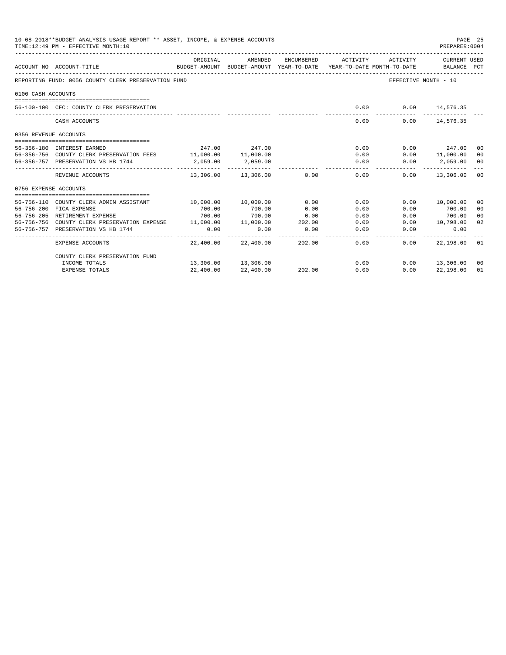|                       | 10-08-2018**BUDGET ANALYSIS USAGE REPORT ** ASSET, INCOME, & EXPENSE ACCOUNTS<br>TIME: 12:49 PM - EFFECTIVE MONTH: 10 |           |                          |            |                                                                                 |                      | PAGE 25<br>PREPARER: 0004   |                |
|-----------------------|-----------------------------------------------------------------------------------------------------------------------|-----------|--------------------------|------------|---------------------------------------------------------------------------------|----------------------|-----------------------------|----------------|
|                       | ACCOUNT NO ACCOUNT-TITLE                                                                                              | ORIGINAL  | AMENDED                  | ENCUMBERED | ACTIVITY<br>BUDGET-AMOUNT BUDGET-AMOUNT YEAR-TO-DATE YEAR-TO-DATE MONTH-TO-DATE | ACTIVITY             | CURRENT USED<br>BALANCE PCT |                |
|                       | REPORTING FUND: 0056 COUNTY CLERK PRESERVATION FUND                                                                   |           |                          |            |                                                                                 | EFFECTIVE MONTH - 10 |                             |                |
| 0100 CASH ACCOUNTS    |                                                                                                                       |           |                          |            |                                                                                 |                      |                             |                |
|                       |                                                                                                                       |           |                          |            |                                                                                 |                      |                             |                |
|                       | 56-100-100 CFC: COUNTY CLERK PRESERVATION                                                                             |           |                          |            | 0.00                                                                            |                      | $0.00$ 14,576.35            |                |
|                       | CASH ACCOUNTS                                                                                                         |           |                          |            | 0.00                                                                            |                      | $0.00$ 14,576.35            |                |
| 0356 REVENUE ACCOUNTS |                                                                                                                       |           |                          |            |                                                                                 |                      |                             |                |
|                       |                                                                                                                       |           |                          |            |                                                                                 |                      |                             |                |
|                       | 56-356-180 INTEREST EARNED                                                                                            |           | 247.00 247.00            |            | 0.00                                                                            |                      | $0.00$ 247.00               | 00             |
|                       | 56-356-756 COUNTY CLERK PRESERVATION FEES 11,000.00 11,000.00                                                         |           |                          |            |                                                                                 | 0.00                 | 0.00 11,000.00              | 00             |
|                       | 56-356-757 PRESERVATION VS HB 1744                                                                                    | 2,059.00  | 2,059.00                 |            | 0.00<br>-----------                                                             | 0.00                 | 2,059.00 00                 | $- - -$        |
|                       | REVENUE ACCOUNTS                                                                                                      |           | 13,306.00 13,306.00 0.00 |            | 0.00                                                                            | 0.00                 | 13,306.00 00                |                |
| 0756 EXPENSE ACCOUNTS |                                                                                                                       |           |                          |            |                                                                                 |                      |                             |                |
|                       | 56-756-110 COUNTY CLERK ADMIN ASSISTANT                                                                               | 10,000.00 | 10,000.00                | 0.00       | 0.00                                                                            |                      | 0.00 10,000.00              | 00             |
|                       | 56-756-200 FICA EXPENSE                                                                                               | 700.00    | 700.00                   | 0.00       | 0.00                                                                            | 0.00                 | 700.00                      | 0 <sup>0</sup> |
|                       | 56-756-205 RETIREMENT EXPENSE                                                                                         | 700.00    | 700.00                   | 0.00       | 0.00                                                                            | 0.00                 | 700.00                      | 00             |
|                       | 56-756-756 COUNTY CLERK PRESERVATION EXPENSE 11,000.00                                                                |           | 11,000.00                | 202.00     | 0.00                                                                            | 0.00                 | 10,798.00                   | 02             |
|                       | 56-756-757 PRESERVATION VS HB 1744                                                                                    | 0.00      | 0.00                     | 0.00       | 0.00                                                                            | 0.00                 | 0.00                        |                |
|                       | <b>EXPENSE ACCOUNTS</b>                                                                                               | 22,400.00 | 22,400.00                | 202.00     | 0.00                                                                            | 0.00                 | 22,198.00 01                |                |
|                       | COUNTY CLERK PRESERVATION FUND                                                                                        |           |                          |            |                                                                                 |                      |                             |                |
|                       | INCOME TOTALS                                                                                                         |           | 13,306.00 13,306.00      |            | 0.00                                                                            |                      | $0.00$ 13,306.00 00         |                |
|                       | <b>EXPENSE TOTALS</b>                                                                                                 | 22,400.00 | 22,400.00                | 202.00     | 0.00                                                                            | 0.00                 | 22,198.00                   | 01             |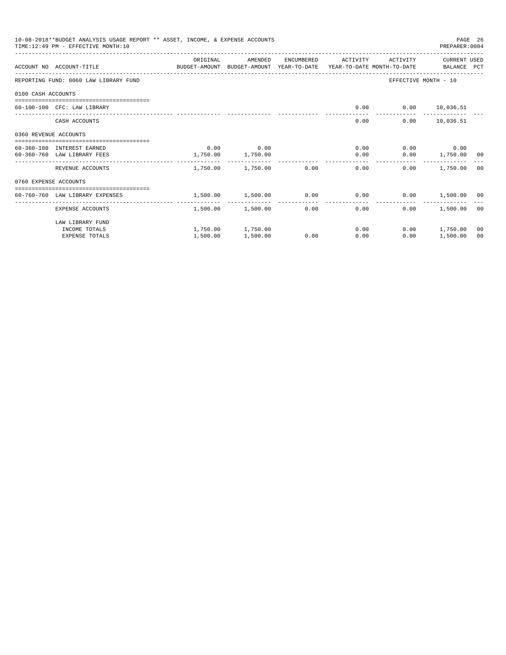|                       | 10-08-2018**BUDGET ANALYSIS USAGE REPORT ** ASSET, INCOME, & EXPENSE ACCOUNTS<br>PAGE 26<br>TIME: 12:49 PM - EFFECTIVE MONTH: 10<br>PREPARER: 0004 |          |                          |            |                    |          |                      |    |  |  |
|-----------------------|----------------------------------------------------------------------------------------------------------------------------------------------------|----------|--------------------------|------------|--------------------|----------|----------------------|----|--|--|
|                       | ACCOUNT NO ACCOUNT-TITLE CONTROL SUDGET-AMOUNT BUDGET-AMOUNT YEAR-TO-DATE YEAR-TO-DATE MONTH-TO-DATE BALANCE PCT                                   | ORIGINAL | AMENDED                  | ENCUMBERED | ACTIVITY           | ACTIVITY | CURRENT USED         |    |  |  |
|                       | REPORTING FUND: 0060 LAW LIBRARY FUND                                                                                                              |          |                          |            |                    |          | EFFECTIVE MONTH - 10 |    |  |  |
| 0100 CASH ACCOUNTS    |                                                                                                                                                    |          |                          |            |                    |          |                      |    |  |  |
|                       | 60-100-100 CFC: LAW LIBRARY                                                                                                                        |          |                          |            | 0.00               |          | $0.00$ 10,036.51     |    |  |  |
|                       | CASH ACCOUNTS                                                                                                                                      |          |                          |            | 0.00               |          | $0.00$ 10,036.51     |    |  |  |
| 0360 REVENUE ACCOUNTS |                                                                                                                                                    |          |                          |            |                    |          |                      |    |  |  |
|                       | 60-360-180 INTEREST EARNED                                                                                                                         | 0.00     | 0.00                     |            | 0.00               |          | $0.00$ 0.00          |    |  |  |
|                       | 60-360-760 LAW LIBRARY FEES                                                                                                                        | 1,750.00 | 1,750.00                 |            | 0.00               |          | $0.00$ 1,750.00 00   |    |  |  |
|                       | REVENUE ACCOUNTS                                                                                                                                   |          | 1,750.00 1,750.00 0.00   |            | 0.00               | 0.00     | 1,750.00 00          |    |  |  |
| 0760 EXPENSE ACCOUNTS |                                                                                                                                                    |          |                          |            |                    |          |                      |    |  |  |
|                       | 60-760-760 LAW LIBRARY EXPENSES                                                                                                                    |          | 1,500.00  1,500.00  0.00 |            | 0.00               |          | $0.00$ 1,500.00 00   |    |  |  |
|                       | --------------------- -<br>EXPENSE ACCOUNTS                                                                                                        | -------- | 1,500.00 1,500.00        | 0.00       | . <u>.</u><br>0.00 | 0.00     | 1,500.00 00          |    |  |  |
|                       | LAW LIBRARY FUND                                                                                                                                   |          |                          |            |                    |          |                      |    |  |  |
|                       | INCOME TOTALS                                                                                                                                      |          | 1,750.00 1,750.00        |            | 0.00               |          | $0.00$ 1,750.00      | 00 |  |  |
|                       | <b>EXPENSE TOTALS</b>                                                                                                                              | 1,500.00 | 1,500.00                 | 0.00       | 0.00               | 0.00     | 1,500.00             | 00 |  |  |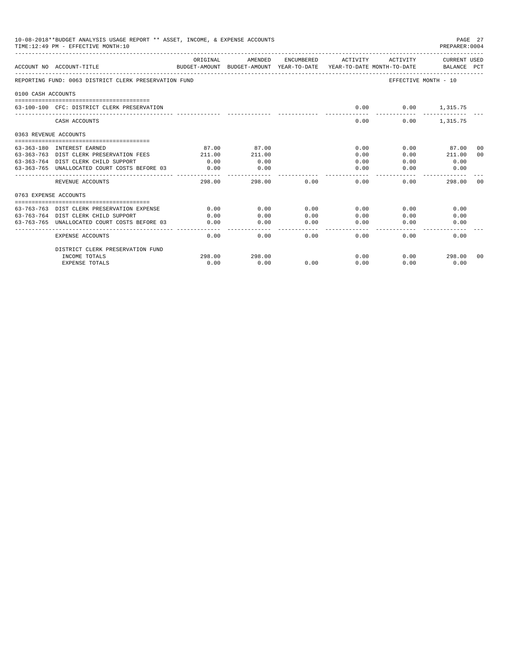|                       | 10-08-2018**BUDGET ANALYSIS USAGE REPORT ** ASSET, INCOME, & EXPENSE ACCOUNTS<br>TIME: 12:49 PM - EFFECTIVE MONTH: 10 |          |              |              |                                                                                 |                      | PAGE 27<br>PREPARER: 0004   |       |
|-----------------------|-----------------------------------------------------------------------------------------------------------------------|----------|--------------|--------------|---------------------------------------------------------------------------------|----------------------|-----------------------------|-------|
|                       | ACCOUNT NO ACCOUNT-TITLE                                                                                              | ORIGINAL | AMENDED      | ENCUMBERED   | ACTIVITY<br>BUDGET-AMOUNT BUDGET-AMOUNT YEAR-TO-DATE YEAR-TO-DATE MONTH-TO-DATE | ACTIVITY             | CURRENT USED<br>BALANCE PCT |       |
|                       | REPORTING FUND: 0063 DISTRICT CLERK PRESERVATION FUND                                                                 |          |              |              |                                                                                 | EFFECTIVE MONTH - 10 |                             |       |
| 0100 CASH ACCOUNTS    |                                                                                                                       |          |              |              |                                                                                 |                      |                             |       |
|                       | 63-100-100 CFC: DISTRICT CLERK PRESERVATION                                                                           |          |              |              | 0.00                                                                            |                      | $0.00$ 1,315.75             |       |
|                       | CASH ACCOUNTS                                                                                                         |          |              |              | 0.00                                                                            | 0.00                 | 1,315.75                    |       |
| 0363 REVENUE ACCOUNTS |                                                                                                                       |          |              |              |                                                                                 |                      |                             |       |
|                       | 63-363-180 INTEREST EARNED                                                                                            | 87.00    | 87.00        |              | 0.00                                                                            | 0.00                 | 87.00                       | 00    |
|                       | 63-363-763 DIST CLERK PRESERVATION FEES                                                                               | 211.00   | 211.00       |              | 0.00                                                                            | 0.00                 | 211.00                      | 00    |
|                       | 63-363-764 DIST CLERK CHILD SUPPORT                                                                                   | 0.00     | 0.00         |              | 0.00                                                                            | 0.00                 | 0.00                        |       |
|                       | 63-363-765 UNALLOCATED COURT COSTS BEFORE 03                                                                          | 0.00     | 0.00         |              | 0.00                                                                            | 0.00                 | 0.00                        |       |
|                       | REVENUE ACCOUNTS                                                                                                      | 298.00   | 298.00       | 0.00         | 0.00                                                                            | 0.00                 | 298.00                      | - 0.0 |
| 0763 EXPENSE ACCOUNTS |                                                                                                                       |          |              |              |                                                                                 |                      |                             |       |
|                       |                                                                                                                       |          |              |              |                                                                                 |                      |                             |       |
|                       | 63-763-763 DIST CLERK PRESERVATION EXPENSE                                                                            | 0.00     | 0.00         | 0.00         | 0.00                                                                            | 0.00                 | 0.00                        |       |
|                       | 63-763-764 DIST CLERK CHILD SUPPORT<br>63-763-765 UNALLOCATED COURT COSTS BEFORE 03                                   | 0.00     | 0.00<br>0.00 | 0.00<br>0.00 | 0.00<br>0.00                                                                    | 0.00<br>0.00         | 0.00<br>0.00                |       |
|                       |                                                                                                                       | 0.00     |              |              | $- - - - - -$                                                                   |                      |                             |       |
|                       | <b>EXPENSE ACCOUNTS</b>                                                                                               | 0.00     | 0.00         | 0.00         | 0.00                                                                            | 0.00                 | 0.00                        |       |
|                       | DISTRICT CLERK PRESERVATION FUND                                                                                      |          |              |              |                                                                                 |                      |                             |       |
|                       | INCOME TOTALS                                                                                                         | 298.00   | 298.00       |              | 0.00                                                                            | 0.00                 | 298.00                      | - 00  |
|                       | <b>EXPENSE TOTALS</b>                                                                                                 | 0.00     | 0.00         | 0.00         | 0.00                                                                            | 0.00                 | 0.00                        |       |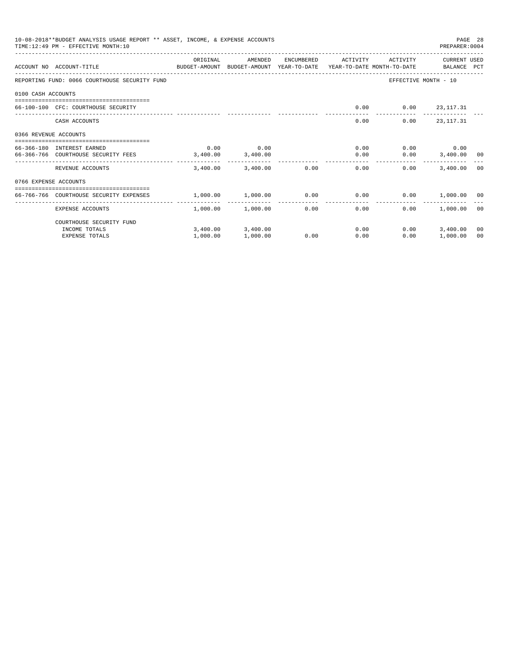|                       | 10-08-2018**BUDGET ANALYSIS USAGE REPORT ** ASSET, INCOME, & EXPENSE ACCOUNTS<br>TIME: 12:49 PM - EFFECTIVE MONTH: 10 |                          |                        |            |                        |          | PREPARER: 0004       | PAGE 28        |
|-----------------------|-----------------------------------------------------------------------------------------------------------------------|--------------------------|------------------------|------------|------------------------|----------|----------------------|----------------|
|                       | BUDGET-AMOUNT BUDGET-AMOUNT YEAR-TO-DATE YEAR-TO-DATE MONTH-TO-DATE BALANCE PCT<br>ACCOUNT NO ACCOUNT-TITLE           | ORIGINAL                 | AMENDED                | ENCUMBERED | ACTIVITY               | ACTIVITY | CURRENT USED         |                |
|                       | REPORTING FUND: 0066 COURTHOUSE SECURITY FUND                                                                         |                          |                        |            |                        |          | EFFECTIVE MONTH - 10 |                |
| 0100 CASH ACCOUNTS    |                                                                                                                       |                          |                        |            |                        |          |                      |                |
|                       | 66-100-100 CFC: COURTHOUSE SECURITY                                                                                   |                          |                        |            | 0.00                   |          | $0.00$ 23, 117.31    |                |
|                       | CASH ACCOUNTS                                                                                                         |                          |                        |            | 0.00                   | 0.00     | 23, 117. 31          |                |
| 0366 REVENUE ACCOUNTS |                                                                                                                       |                          |                        |            |                        |          |                      |                |
|                       | 66-366-180 INTEREST EARNED                                                                                            | 0.00                     | 0.00                   |            | 0.00                   |          | $0.00$ 0.00          |                |
|                       | 66-366-766 COURTHOUSE SECURITY FEES                                                                                   | 3,400.00                 | 3,400.00               |            | 0.00                   |          | $0.00$ $3,400.00$ 00 |                |
|                       | REVENUE ACCOUNTS                                                                                                      |                          | 3,400.00 3,400.00 0.00 |            | --------------<br>0.00 | 0.00     | 3,400.00 00          |                |
| 0766 EXPENSE ACCOUNTS |                                                                                                                       |                          |                        |            |                        |          |                      |                |
|                       | 66-766-766 COURTHOUSE SECURITY EXPENSES                                                                               | 1,000.00                 | $1.000.00$ 0.00        |            | 0.00                   |          | $0.00$ 1,000.00 00   |                |
|                       | EXPENSE ACCOUNTS                                                                                                      | . <u>.</u> .<br>1,000.00 | 1,000.00               | 0.00       | ------------<br>0.00   | 0.00     | 1,000.00 00          |                |
|                       | COURTHOUSE SECURITY FUND                                                                                              |                          |                        |            |                        |          |                      |                |
|                       | INCOME TOTALS                                                                                                         |                          | 3,400.00 3,400.00      |            | 0.00                   | 0.00     | 3,400.00             | 0 <sup>0</sup> |
|                       | <b>EXPENSE TOTALS</b>                                                                                                 | 1,000.00                 | 1,000.00               | 0.00       | 0.00                   | 0.00     | 1,000.00             | 00             |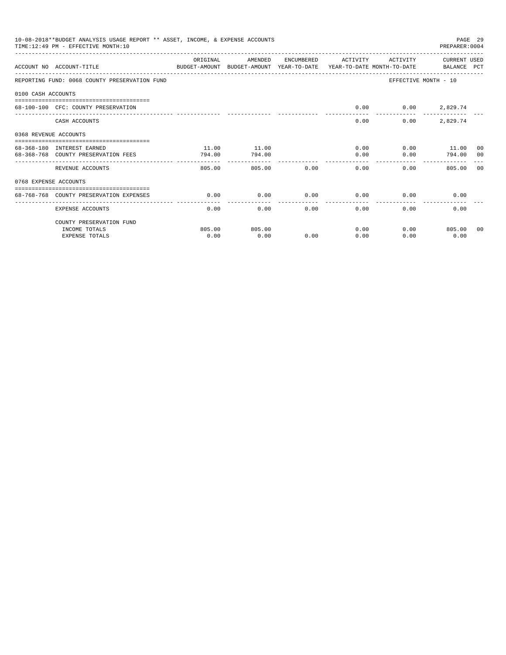|                       | 10-08-2018**BUDGET ANALYSIS USAGE REPORT ** ASSET, INCOME, & EXPENSE ACCOUNTS<br>TIME:12:49 PM - EFFECTIVE MONTH:10 |          |         |                     |                      |          | PAGE 29<br>PREPARER: 0004                                                                                                                                                                                                           |         |
|-----------------------|---------------------------------------------------------------------------------------------------------------------|----------|---------|---------------------|----------------------|----------|-------------------------------------------------------------------------------------------------------------------------------------------------------------------------------------------------------------------------------------|---------|
|                       | ACCOUNT NO ACCOUNT-TITLE<br>BUDGET-AMOUNT BUDGET-AMOUNT YEAR-TO-DATE  YEAR-TO-DATE MONTH-TO-DATE      BALANCE PCT   | ORIGINAL | AMENDED |                     | ENCUMBERED ACTIVITY  | ACTIVITY | CURRENT USED                                                                                                                                                                                                                        |         |
|                       | REPORTING FUND: 0068 COUNTY PRESERVATION FUND                                                                       |          |         |                     |                      |          | EFFECTIVE MONTH - 10                                                                                                                                                                                                                |         |
| 0100 CASH ACCOUNTS    |                                                                                                                     |          |         |                     |                      |          |                                                                                                                                                                                                                                     |         |
|                       | 68-100-100 CFC: COUNTY PRESERVATION                                                                                 |          |         |                     | 0.00                 |          | $0.00$ 2,829.74                                                                                                                                                                                                                     |         |
|                       | CASH ACCOUNTS                                                                                                       |          |         |                     | 0.00                 | 0.00     | 2,829.74                                                                                                                                                                                                                            |         |
| 0368 REVENUE ACCOUNTS |                                                                                                                     |          |         |                     |                      |          |                                                                                                                                                                                                                                     |         |
|                       | 68-368-180 INTEREST EARNED                                                                                          | 11.00    | 11.00   |                     |                      | 0.00     | $0.00$ 11.00 00                                                                                                                                                                                                                     |         |
|                       | 68-368-768 COUNTY PRESERVATION FEES                                                                                 | 794.00   | 794.00  |                     | 0.00                 | 0.00     | 794.00                                                                                                                                                                                                                              | $_{00}$ |
|                       | REVENUE ACCOUNTS                                                                                                    | 805.00   | 805.00  | 0.00                | ------------<br>0.00 | 0.00     | 805.00                                                                                                                                                                                                                              | 00      |
| 0768 EXPENSE ACCOUNTS |                                                                                                                     |          |         |                     |                      |          |                                                                                                                                                                                                                                     |         |
|                       | 68-768-768 COUNTY PRESERVATION EXPENSES                                                                             | 0.00     | 0.00    | 0.00                | 0.00                 |          | 0.00<br>$0.00$ and $0.00$ and $0.00$ and $0.00$ and $0.00$ and $0.00$ and $0.00$ and $0.00$ and $0.00$ and $0.00$ and $0.00$ and $0.00$ and $0.00$ and $0.00$ and $0.00$ and $0.00$ and $0.00$ and $0.00$ and $0.00$ and $0.00$ and |         |
|                       | EXPENSE ACCOUNTS                                                                                                    | 0.00     | 0.00    | -----------<br>0.00 | ------------<br>0.00 | 0.00     | 0.00                                                                                                                                                                                                                                |         |
|                       | COUNTY PRESERVATION FUND                                                                                            |          |         |                     |                      |          |                                                                                                                                                                                                                                     |         |
|                       | INCOME TOTALS                                                                                                       | 805.00   | 805.00  |                     | 0.00                 |          | $0.00$ 805.00 00                                                                                                                                                                                                                    |         |
|                       | <b>EXPENSE TOTALS</b>                                                                                               | 0.00     | 0.00    | 0.00                | 0.00                 | 0.00     | 0.00                                                                                                                                                                                                                                |         |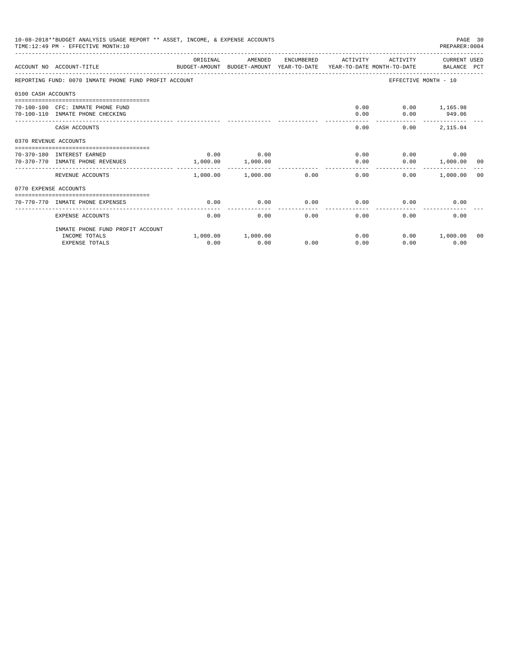|                       | 10-08-2018**BUDGET ANALYSIS USAGE REPORT ** ASSET, INCOME, & EXPENSE ACCOUNTS<br>TIME: 12:49 PM - EFFECTIVE MONTH: 10 |          |                       |            |          |          | PREPARER: 0004              | PAGE 30 |
|-----------------------|-----------------------------------------------------------------------------------------------------------------------|----------|-----------------------|------------|----------|----------|-----------------------------|---------|
|                       | ACCOUNT NO ACCOUNT-TITLE<br>BUDGET-AMOUNT BUDGET-AMOUNT YEAR-TO-DATE YEAR-TO-DATE MONTH-TO-DATE                       | ORIGINAL | AMENDED               | ENCUMBERED | ACTIVITY | ACTIVITY | CURRENT USED<br>BALANCE PCT |         |
|                       | REPORTING FUND: 0070 INMATE PHONE FUND PROFIT ACCOUNT                                                                 |          |                       |            |          |          | EFFECTIVE MONTH - 10        |         |
| 0100 CASH ACCOUNTS    |                                                                                                                       |          |                       |            |          |          |                             |         |
|                       | 70-100-100 CFC: INMATE PHONE FUND                                                                                     |          |                       |            | 0.00     |          | $0.00$ 1,165.98             |         |
|                       | 70-100-110 INMATE PHONE CHECKING                                                                                      |          |                       |            | 0.00     | 0.00     | 949.06                      |         |
|                       | CASH ACCOUNTS                                                                                                         |          |                       |            | 0.00     |          | 0.00<br>2,115.04            |         |
| 0370 REVENUE ACCOUNTS |                                                                                                                       |          |                       |            |          |          |                             |         |
|                       | 70-370-180 INTEREST EARNED                                                                                            | 0.00     | 0.00                  |            | 0.00     |          | 0.00<br>0.00                |         |
|                       | 70-370-770 INMATE PHONE REVENUES                                                                                      | 1,000.00 | 1,000.00              |            | 0.00     |          | $0.00$ 1,000.00 00          |         |
|                       | REVENUE ACCOUNTS                                                                                                      |          | $1.000.00$ $1.000.00$ | 0.00       | 0.00     | 0.00     | 1,000.00 00                 |         |
| 0770 EXPENSE ACCOUNTS |                                                                                                                       |          |                       |            |          |          |                             |         |
|                       | 70-770-770 INMATE PHONE EXPENSES                                                                                      | 0.00     | 0.00                  | 0.00       | 0.00     | 0.00     | 0.00                        |         |
|                       |                                                                                                                       |          |                       |            |          |          |                             |         |
|                       | EXPENSE ACCOUNTS                                                                                                      | 0.00     | 0.00                  | 0.00       | 0.00     | 0.00     | 0.00                        |         |
|                       | INMATE PHONE FUND PROFIT ACCOUNT                                                                                      |          |                       |            |          |          |                             |         |
|                       | INCOME TOTALS                                                                                                         |          | 1,000.00 1,000.00     |            | 0.00     |          | $0.00$ 1,000.00             | 00      |
|                       | <b>EXPENSE TOTALS</b>                                                                                                 | 0.00     | 0.00                  | 0.00       | 0.00     | 0.00     | 0.00                        |         |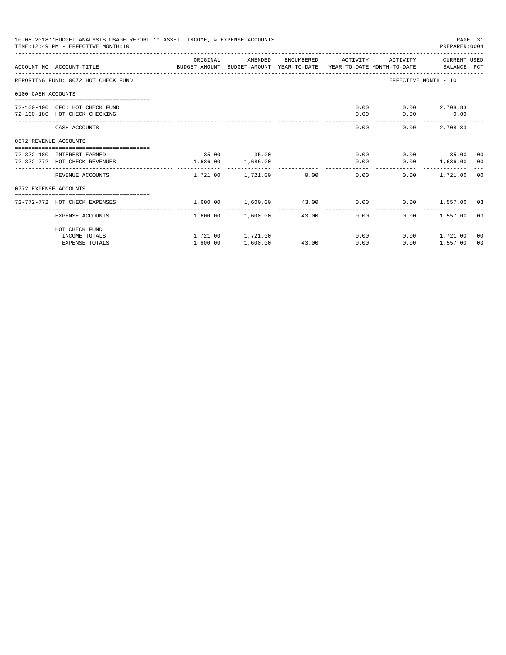|                       | 10-08-2018**BUDGET ANALYSIS USAGE REPORT ** ASSET, INCOME, & EXPENSE ACCOUNTS<br>TIME: 12:49 PM - EFFECTIVE MONTH: 10 |          |                                                |       |                                                              |                          | PAGE 31<br>PREPARER: 0004 |    |
|-----------------------|-----------------------------------------------------------------------------------------------------------------------|----------|------------------------------------------------|-------|--------------------------------------------------------------|--------------------------|---------------------------|----|
|                       | ACCOUNT NO ACCOUNT-TITLE COMPUTER ANOUNT BUDGET-AMOUNT HEAR-TO-DATE YEAR-TO-DATE MONTH-TO-DATE BALANCE PCT            | ORIGINAL | AMENDED                                        |       | ENCUMBERED ACTIVITY                                          |                          | ACTIVITY CURRENT USED     |    |
|                       | REPORTING FUND: 0072 HOT CHECK FUND                                                                                   |          |                                                |       |                                                              | EFFECTIVE MONTH - 10     |                           |    |
| 0100 CASH ACCOUNTS    |                                                                                                                       |          |                                                |       |                                                              |                          |                           |    |
|                       | 72-100-100 CFC: HOT CHECK FUND                                                                                        |          |                                                |       |                                                              | $0.00$ $0.00$ $2,708.83$ |                           |    |
|                       | 72-100-180 HOT CHECK CHECKING                                                                                         |          |                                                |       | 0.00                                                         |                          | $0.00$ 0.00               |    |
|                       | CASH ACCOUNTS                                                                                                         |          |                                                |       | 0.00                                                         | 0.00                     | 2,708.83                  |    |
| 0372 REVENUE ACCOUNTS |                                                                                                                       |          |                                                |       |                                                              |                          |                           |    |
|                       | 72-372-180 INTEREST EARNED                                                                                            |          | 35.00 35.00                                    |       |                                                              | $0.00$ $0.00$ $35.00$ 00 |                           |    |
|                       | 72-372-772 HOT CHECK REVENUES                                                                                         |          | 1,686.00 1,686.00                              |       | 0.00                                                         |                          | $0.00$ 1,686.00 00        |    |
|                       | REVENUE ACCOUNTS                                                                                                      |          | _________________________<br>1,721.00 1,721.00 | 0.00  | 0.00                                                         |                          | $0.00$ 1,721.00 00        |    |
| 0772 EXPENSE ACCOUNTS |                                                                                                                       |          |                                                |       |                                                              |                          |                           |    |
|                       | 72-772-772 HOT CHECK EXPENSES                                                                                         |          |                                                |       | $1,600.00$ $1,600.00$ $43.00$ $0.00$ $0.00$ $1,557.00$ $0.3$ |                          |                           |    |
|                       |                                                                                                                       |          |                                                |       |                                                              |                          |                           |    |
|                       | EXPENSE ACCOUNTS                                                                                                      |          | 1,600.00 1,600.00                              | 43.00 | 0.00                                                         | 0.00                     | 1,557.00 03               |    |
|                       | HOT CHECK FUND                                                                                                        |          |                                                |       |                                                              |                          |                           |    |
|                       | INCOME TOTALS                                                                                                         |          | 1,721.00 1,721.00                              |       | $0.00$ and $0.00$                                            |                          | $0.00$ 1,721.00           | 00 |
|                       | <b>EXPENSE TOTALS</b>                                                                                                 | 1,600.00 | 1,600.00                                       | 43.00 | 0.00                                                         | 0.00                     | 1,557.00                  | 03 |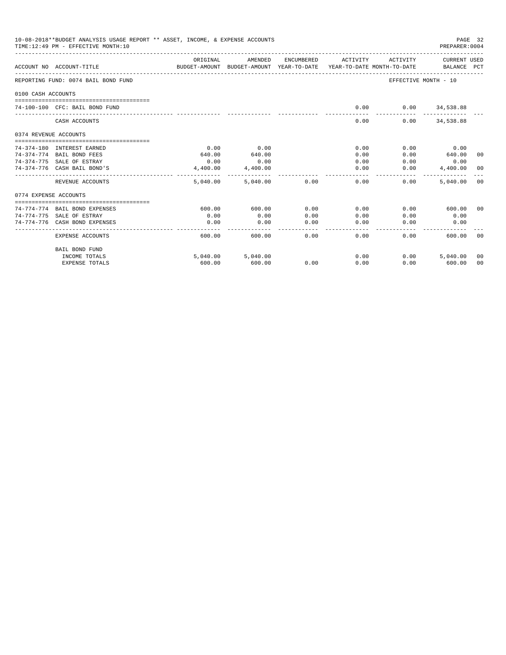|                       | 10-08-2018**BUDGET ANALYSIS USAGE REPORT ** ASSET, INCOME, & EXPENSE ACCOUNTS<br>TIME: 12:49 PM - EFFECTIVE MONTH: 10 |          |                                                                                |                 |                 |                  | PAGE 32<br>PREPARER: 0004   |                |
|-----------------------|-----------------------------------------------------------------------------------------------------------------------|----------|--------------------------------------------------------------------------------|-----------------|-----------------|------------------|-----------------------------|----------------|
|                       | ACCOUNT NO ACCOUNT-TITLE                                                                                              | ORIGINAL | AMENDED<br>BUDGET-AMOUNT BUDGET-AMOUNT YEAR-TO-DATE YEAR-TO-DATE MONTH-TO-DATE | ENCUMBERED      | ACTIVITY        | ACTIVITY         | CURRENT USED<br>BALANCE PCT |                |
|                       | REPORTING FUND: 0074 BAIL BOND FUND                                                                                   |          |                                                                                |                 |                 |                  | EFFECTIVE MONTH - 10        |                |
| 0100 CASH ACCOUNTS    |                                                                                                                       |          |                                                                                |                 |                 |                  |                             |                |
|                       | 74-100-100 CFC: BAIL BOND FUND                                                                                        |          |                                                                                |                 | 0.00            | $0.00$ 34,538.88 |                             |                |
|                       | CASH ACCOUNTS                                                                                                         |          |                                                                                |                 | 0.00            |                  | $0.00$ $34,538.88$          |                |
| 0374 REVENUE ACCOUNTS |                                                                                                                       |          |                                                                                |                 |                 |                  |                             |                |
|                       | 74-374-180 INTEREST EARNED                                                                                            | 0.00     | 0.00                                                                           |                 | 0.00            | 0.00             | 0.00                        |                |
|                       | 74-374-774 BAIL BOND FEES                                                                                             | 640.00   | 640.00                                                                         |                 | 0.00            | 0.00             | 640.00                      | 00             |
|                       | 74-374-775 SALE OF ESTRAY                                                                                             | 0.00     | 0.00                                                                           |                 | 0.00            | 0.00             | 0.00                        |                |
|                       | 74-374-776 CASH BAIL BOND'S                                                                                           | 4,400.00 | 4,400.00                                                                       |                 | 0.00            | 0.00             | 4,400.00 00                 |                |
|                       | REVENUE ACCOUNTS                                                                                                      | 5.040.00 | 5.040.00                                                                       | 0.00            | 0.00            | 0.00             | 5,040.00                    | - 0.0          |
| 0774 EXPENSE ACCOUNTS |                                                                                                                       |          |                                                                                |                 |                 |                  |                             |                |
|                       | 74-774-774 BAIL BOND EXPENSES                                                                                         | 600.00   | 600.00                                                                         | 0.00            | 0.00            | 0.00             | 600.00                      | ററ             |
|                       | 74-774-775 SALE OF ESTRAY                                                                                             | 0.00     | 0.00                                                                           | 0.00            | 0.00            | 0.00             | 0.00                        |                |
|                       | 74-774-776 CASH BOND EXPENSES                                                                                         | 0.00     | 0.00                                                                           | 0.00<br>------- | 0.00<br>------- | 0.00             | 0.00                        |                |
|                       | <b>EXPENSE ACCOUNTS</b>                                                                                               | 600.00   | 600.00                                                                         | 0.00            | 0.00            | 0.00             | 600.00                      | ററ             |
|                       | <b>BAIL BOND FUND</b>                                                                                                 |          |                                                                                |                 |                 |                  |                             |                |
|                       | INCOME TOTALS                                                                                                         |          | 5,040.00 5,040.00                                                              |                 | 0.00            | 0.00             | 5,040.00                    | 00             |
|                       | <b>EXPENSE TOTALS</b>                                                                                                 | 600.00   | 600.00                                                                         | 0.00            | 0.00            | 0.00             | 600.00                      | 0 <sup>0</sup> |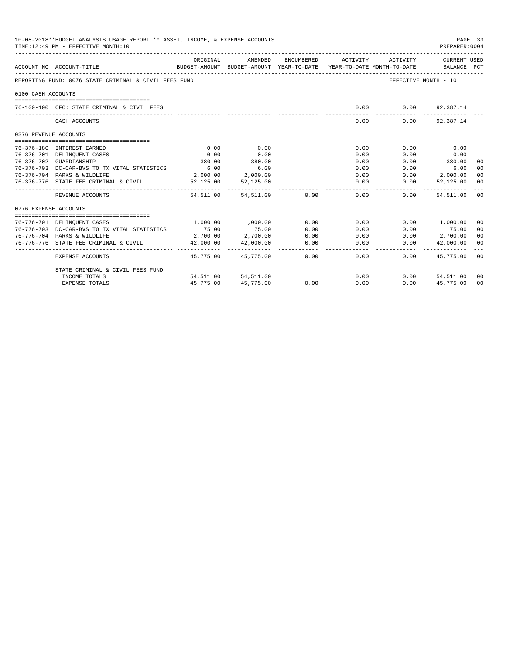|                       | 10-08-2018**BUDGET ANALYSIS USAGE REPORT ** ASSET, INCOME, & EXPENSE ACCOUNTS<br>PAGE 33<br>TIME: 12:49 PM - EFFECTIVE MONTH: 10<br>PREPARER: 0004 |               |                           |                |                                                                                             |                             |                         |                |  |  |
|-----------------------|----------------------------------------------------------------------------------------------------------------------------------------------------|---------------|---------------------------|----------------|---------------------------------------------------------------------------------------------|-----------------------------|-------------------------|----------------|--|--|
|                       | ACCOUNT NO ACCOUNT-TITLE                                                                                                                           | ORIGINAL      | AMENDED                   | ENCUMBERED     | ACTIVITY<br>BUDGET-AMOUNT BUDGET-AMOUNT YEAR-TO-DATE YEAR-TO-DATE MONTH-TO-DATE BALANCE PCT | ACTIVITY                    | CURRENT USED            |                |  |  |
|                       | REPORTING FUND: 0076 STATE CRIMINAL & CIVIL FEES FUND                                                                                              |               |                           |                |                                                                                             | EFFECTIVE MONTH - 10        |                         |                |  |  |
| 0100 CASH ACCOUNTS    |                                                                                                                                                    |               |                           |                |                                                                                             |                             |                         |                |  |  |
|                       | 76-100-100 CFC: STATE CRIMINAL & CIVIL FEES                                                                                                        |               |                           |                | 0.00                                                                                        |                             | $0.00$ 92,387.14        |                |  |  |
|                       | CASH ACCOUNTS                                                                                                                                      |               |                           |                | 0.00                                                                                        | . _ _ _ _ _ _ _ _ _<br>0.00 | 92,387.14               |                |  |  |
| 0376 REVENUE ACCOUNTS |                                                                                                                                                    |               |                           |                |                                                                                             |                             |                         |                |  |  |
|                       |                                                                                                                                                    |               |                           |                |                                                                                             |                             |                         |                |  |  |
|                       | 76-376-180 INTEREST EARNED                                                                                                                         | 0.00          | 0.00                      |                | 0.00                                                                                        | 0.00                        | 0.00                    |                |  |  |
|                       | 76-376-701 DELINQUENT CASES                                                                                                                        | 0.00          | 0.00<br>380.00            |                | 0.00                                                                                        | 0.00                        | 0.00                    |                |  |  |
|                       | 76-376-702 GUARDIANSHIP                                                                                                                            | 380.00        |                           |                | 0.00                                                                                        | 0.00                        | 380.00                  | 0 <sup>0</sup> |  |  |
|                       | 76-376-703 DC-CAR-BVS TO TX VITAL STATISTICS                                                                                                       | 6.00          | 6.00<br>2,000.00 2,000.00 |                | 0.00<br>0.00                                                                                | 0.00                        | 6.00<br>$0.00$ 2,000.00 | 0 <sup>0</sup> |  |  |
|                       | 76-376-704 PARKS & WILDLIFE<br>76-376-776 STATE FEE CRIMINAL & CIVIL                                                                               | 52,125.00     | 52,125.00                 |                | 0.00                                                                                        | 0.00                        | 52,125.00               | 0 <sup>0</sup> |  |  |
|                       |                                                                                                                                                    | -----------   |                           |                |                                                                                             |                             |                         | 00             |  |  |
|                       | REVENUE ACCOUNTS                                                                                                                                   | 54, 511, 00   | 54,511.00                 | 0.00           | 0.00                                                                                        | 0.00                        | 54,511.00 00            |                |  |  |
| 0776 EXPENSE ACCOUNTS |                                                                                                                                                    |               |                           |                |                                                                                             |                             |                         |                |  |  |
|                       | 76-776-701 DELINQUENT CASES                                                                                                                        | 1,000.00      | 1,000.00                  | 0.00           | 0.00                                                                                        |                             | 0.00 1,000.00           | 00             |  |  |
|                       | 76-776-703 DC-CAR-BVS TO TX VITAL STATISTICS                                                                                                       | 75.00         | 75.00                     | 0.00           | 0.00                                                                                        | 0.00                        | 75.00                   | 0 <sup>0</sup> |  |  |
|                       | 76-776-704 PARKS & WILDLIFE                                                                                                                        | 2,700.00      | 2,700.00                  | 0.00           | 0.00                                                                                        | 0.00                        | 2,700.00 00             |                |  |  |
|                       | 76-776-776 STATE FEE CRIMINAL & CIVIL                                                                                                              | 42,000.00     | 42,000.00                 | 0.00           | 0.00                                                                                        | 0.00                        | 42,000.00 00            |                |  |  |
|                       | EXPENSE ACCOUNTS                                                                                                                                   | ------------- | 45,775,00 45,775,00       | ------<br>0.00 | $- - - - - -$<br>0.00                                                                       | 0.00                        | 45,775,00 00            |                |  |  |
|                       | STATE CRIMINAL & CIVIL FEES FUND                                                                                                                   |               |                           |                |                                                                                             |                             |                         |                |  |  |
|                       | INCOME TOTALS                                                                                                                                      |               | 54,511.00 54,511.00       |                | 0.00                                                                                        | 0.00                        | 54,511.00 00            |                |  |  |
|                       | <b>EXPENSE TOTALS</b>                                                                                                                              | 45,775.00     | 45,775.00                 | 0.00           | 0.00                                                                                        | 0.00                        | 45,775.00               | 0 <sup>0</sup> |  |  |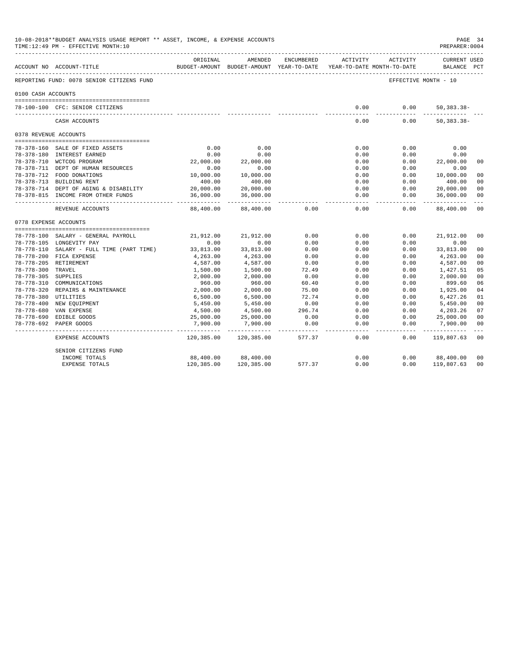|                       | 10-08-2018**BUDGET ANALYSIS USAGE REPORT ** ASSET, INCOME, & EXPENSE ACCOUNTS<br>TIME:12:49 PM - EFFECTIVE MONTH:10 |                        |                                                     |            |                   |                                        | PAGE 34<br>PREPARER: 0004          |                |
|-----------------------|---------------------------------------------------------------------------------------------------------------------|------------------------|-----------------------------------------------------|------------|-------------------|----------------------------------------|------------------------------------|----------------|
|                       | ___________________________<br>ACCOUNT NO ACCOUNT-TITLE                                                             | ORIGINAL               | AMENDED<br>BUDGET-AMOUNT BUDGET-AMOUNT YEAR-TO-DATE | ENCUMBERED | ACTIVITY          | ACTIVITY<br>YEAR-TO-DATE MONTH-TO-DATE | <b>CURRENT USED</b><br>BALANCE PCT |                |
|                       | REPORTING FUND: 0078 SENIOR CITIZENS FUND                                                                           |                        |                                                     |            |                   | EFFECTIVE MONTH - 10                   |                                    |                |
| 0100 CASH ACCOUNTS    |                                                                                                                     |                        |                                                     |            |                   |                                        |                                    |                |
|                       |                                                                                                                     |                        |                                                     |            |                   |                                        |                                    |                |
|                       | 78-100-100 CFC: SENIOR CITIZENS                                                                                     |                        |                                                     |            | 0.00              | 0.00                                   | $50, 383.38 -$                     |                |
|                       | CASH ACCOUNTS                                                                                                       |                        |                                                     |            | 0.00              | 0.00                                   | $50, 383.38 -$                     |                |
| 0378 REVENUE ACCOUNTS |                                                                                                                     |                        |                                                     |            |                   |                                        |                                    |                |
|                       |                                                                                                                     |                        |                                                     |            |                   |                                        |                                    |                |
|                       | 78-378-160 SALE OF FIXED ASSETS                                                                                     | 0.00                   | 0.00                                                |            | 0.00              | 0.00                                   | 0.00                               |                |
|                       | 78-378-180 INTEREST EARNED                                                                                          | 0.00                   | 0.00                                                |            | 0.00              | 0.00                                   | 0.00                               |                |
|                       | 78-378-710 WCTCOG PROGRAM                                                                                           | 22,000.00              | 22,000.00                                           |            | 0.00              | 0.00                                   | 22,000.00                          | 0 <sup>0</sup> |
|                       | 78-378-711 DEPT OF HUMAN RESOURCES                                                                                  | 0.00                   | 0.00                                                |            | 0.00              | 0.00                                   | 0.00                               |                |
|                       | 78-378-712 FOOD DONATIONS                                                                                           | 10,000.00              | 10,000.00                                           |            | 0.00              | 0.00                                   | 10,000.00                          | 0 <sub>0</sub> |
|                       | 78-378-713 BUILDING RENT                                                                                            | 400.00                 | 400.00                                              |            | 0.00              | 0.00                                   | 400.00                             | 00             |
|                       | 78-378-714 DEPT OF AGING & DISABILITY                                                                               | 20,000.00              | 20,000.00                                           |            | 0.00              | 0.00                                   | 20,000.00                          | 0 <sup>0</sup> |
|                       | 78-378-815 INCOME FROM OTHER FUNDS                                                                                  | 36,000.00<br>--------  | 36,000.00<br>-----------                            |            | 0.00              | 0.00                                   | 36,000.00                          | 0 <sup>0</sup> |
|                       | REVENUE ACCOUNTS                                                                                                    | 88,400.00              | 88,400.00                                           | 0.00       | 0.00              | 0.00                                   | 88,400.00                          | 0 <sub>0</sub> |
| 0778 EXPENSE ACCOUNTS |                                                                                                                     |                        |                                                     |            |                   |                                        |                                    |                |
|                       |                                                                                                                     |                        |                                                     |            |                   |                                        |                                    |                |
|                       | 78-778-100 SALARY - GENERAL PAYROLL                                                                                 | 21,912.00              | 21,912.00                                           | 0.00       | 0.00              | 0.00                                   | 21,912.00                          | 00             |
|                       | 78-778-105 LONGEVITY PAY                                                                                            | 0.00                   | 0.00                                                | 0.00       | 0.00              | 0.00                                   | 0.00                               |                |
|                       | 78-778-110 SALARY - FULL TIME (PART TIME)                                                                           | 33,813.00              | 33,813.00                                           | 0.00       | 0.00              | 0.00                                   | 33,813.00                          | 0 <sup>0</sup> |
|                       | 78-778-200 FICA EXPENSE                                                                                             | 4,263.00               | 4,263.00                                            | 0.00       | 0.00              | 0.00                                   | 4,263.00                           | 0 <sup>0</sup> |
|                       | 78-778-205 RETIREMENT                                                                                               | 4,587.00               | 4,587.00                                            | 0.00       | 0.00              | 0.00                                   | 4,587.00                           | 0 <sup>0</sup> |
| 78-778-300 TRAVEL     |                                                                                                                     | 1,500.00               | 1,500.00                                            | 72.49      | 0.00              | 0.00                                   | 1,427.51                           | 05             |
| 78-778-305 SUPPLIES   |                                                                                                                     | 2,000.00               | 2,000.00                                            | 0.00       | 0.00              | 0.00                                   | 2,000.00                           | 0 <sup>0</sup> |
|                       | 78-778-310 COMMUNICATIONS                                                                                           | 960.00                 | 960.00                                              | 60.40      | 0.00              | 0.00                                   | 899.60                             | 06             |
|                       | 78-778-320 REPAIRS & MAINTENANCE                                                                                    | 2,000.00               | 2,000.00                                            | 75.00      | 0.00              | 0.00                                   | 1,925.00                           | 04             |
| 78-778-380 UTILITIES  |                                                                                                                     | 6,500.00               | 6,500.00                                            | 72.74      | 0.00              | 0.00                                   | 6,427.26                           | 01             |
|                       | 78-778-400 NEW EQUIPMENT                                                                                            | 5,450.00               | 5,450.00                                            | 0.00       | 0.00              | 0.00                                   | 5,450.00                           | 0 <sup>0</sup> |
|                       | 78-778-680 VAN EXPENSE                                                                                              | 4,500.00               | 4,500.00                                            | 296.74     | 0.00              | 0.00                                   | 4,203.26                           | 07             |
|                       | 78-778-690 EDIBLE GOODS                                                                                             | 25,000.00              | 25,000.00                                           | 0.00       | 0.00              | 0.00                                   | 25,000.00                          | 0 <sub>0</sub> |
|                       | 78-778-692 PAPER GOODS                                                                                              | 7,900.00<br>---------- | 7,900.00<br>.                                       | 0.00       | 0.00<br>$- - - -$ | 0.00<br>-----                          | 7,900.00<br>-----                  | 00<br>$- - -$  |
|                       | EXPENSE ACCOUNTS                                                                                                    | 120,385.00             | 120,385.00                                          | 577.37     | 0.00              | 0.00                                   | 119,807.63                         | 00             |
|                       | SENIOR CITIZENS FUND                                                                                                |                        |                                                     |            |                   |                                        |                                    |                |
|                       | INCOME TOTALS                                                                                                       | 88,400.00              | 88,400.00                                           |            | 0.00              | 0.00                                   | 88,400.00                          | 00             |
|                       | <b>EXPENSE TOTALS</b>                                                                                               | 120,385.00             | 120,385.00                                          | 577.37     | 0.00              | 0.00                                   | 119,807.63                         | 0 <sub>0</sub> |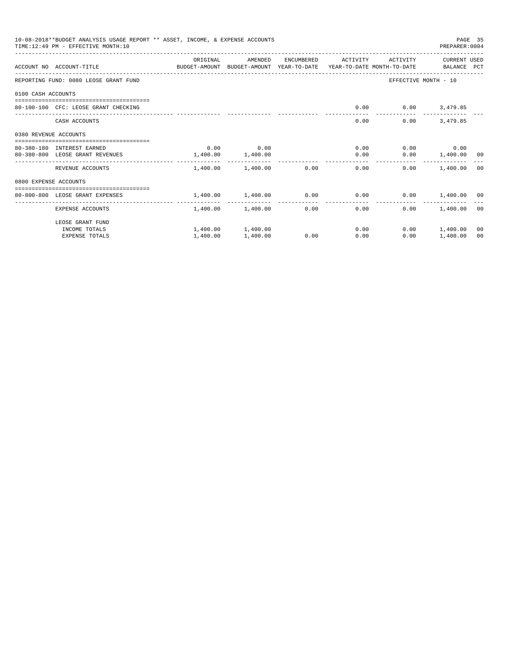| 10-08-2018**BUDGET ANALYSIS USAGE REPORT ** ASSET, INCOME, & EXPENSE ACCOUNTS<br>TIME: 12:49 PM - EFFECTIVE MONTH: 10<br>PREPARER: 0004 |                                                                                                                  |          |                        |            |                                 |          |                                                         |                |
|-----------------------------------------------------------------------------------------------------------------------------------------|------------------------------------------------------------------------------------------------------------------|----------|------------------------|------------|---------------------------------|----------|---------------------------------------------------------|----------------|
|                                                                                                                                         | ACCOUNT NO ACCOUNT-TITLE CONTROL SUDGET-AMOUNT BUDGET-AMOUNT YEAR-TO-DATE YEAR-TO-DATE MONTH-TO-DATE BALANCE PCT | ORIGINAL | AMENDED                | ENCUMBERED | ACTIVITY                        | ACTIVITY | CURRENT USED                                            |                |
|                                                                                                                                         | REPORTING FUND: 0080 LEOSE GRANT FUND                                                                            |          |                        |            |                                 |          | EFFECTIVE MONTH - 10                                    |                |
| 0100 CASH ACCOUNTS                                                                                                                      |                                                                                                                  |          |                        |            |                                 |          |                                                         |                |
|                                                                                                                                         | 80-100-100 CFC: LEOSE GRANT CHECKING                                                                             |          |                        |            | 0.00                            |          | $0.00$ 3,479.85                                         |                |
|                                                                                                                                         | CASH ACCOUNTS                                                                                                    |          |                        |            | 0.00                            | 0.00     | 3,479.85                                                |                |
| 0380 REVENUE ACCOUNTS                                                                                                                   |                                                                                                                  |          |                        |            |                                 |          |                                                         |                |
|                                                                                                                                         | 80-380-180 INTEREST EARNED                                                                                       | 0.00     | 0.00                   |            | 0.00                            |          | $0.00$ 0.00                                             |                |
|                                                                                                                                         | 80-380-800 LEOSE GRANT REVENUES                                                                                  | 1,400.00 | 1,400.00               |            | 0.00                            |          | $0.00$ 1,400.00 00<br>_________________________________ |                |
|                                                                                                                                         | REVENUE ACCOUNTS                                                                                                 |          | 1,400.00 1,400.00 0.00 |            | 0.00                            | 0.00     | 1,400.00 00                                             |                |
| 0800 EXPENSE ACCOUNTS                                                                                                                   |                                                                                                                  |          |                        |            |                                 |          |                                                         |                |
|                                                                                                                                         | 80-800-800 LEOSE GRANT EXPENSES                                                                                  |          | 1,400.00 1,400.00 0.00 |            | 0.00                            |          | $0.00$ 1,400.00 00                                      |                |
|                                                                                                                                         | -------------------- -<br>EXPENSE ACCOUNTS                                                                       | -------  | 1,400.00 1,400.00      | 0.00       | . _ _ _ _ _ _ _ _ _ _ _<br>0.00 | 0.00     | 1,400.00 00                                             |                |
|                                                                                                                                         | LEOSE GRANT FUND                                                                                                 |          |                        |            |                                 |          |                                                         |                |
|                                                                                                                                         | INCOME TOTALS                                                                                                    |          | 1,400.00 1,400.00      |            | 0.00                            |          | $0.00$ 1,400.00                                         | 0 <sup>0</sup> |
|                                                                                                                                         | <b>EXPENSE TOTALS</b>                                                                                            | 1,400.00 | 1,400.00               | 0.00       | 0.00                            | 0.00     | 1,400.00                                                | 00             |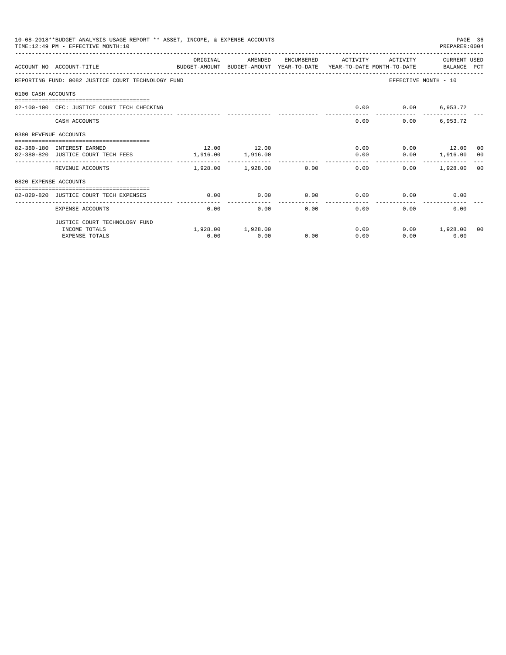| 10-08-2018**BUDGET ANALYSIS USAGE REPORT ** ASSET, INCOME, & EXPENSE ACCOUNTS<br>PAGE 36<br>TIME: 12:49 PM - EFFECTIVE MONTH: 10<br>PREPARER: 0004 |                                                                                                                   |                   |                            |                       |                       |              |                          |  |  |
|----------------------------------------------------------------------------------------------------------------------------------------------------|-------------------------------------------------------------------------------------------------------------------|-------------------|----------------------------|-----------------------|-----------------------|--------------|--------------------------|--|--|
|                                                                                                                                                    | BUDGET-AMOUNT BUDGET-AMOUNT YEAR-TO-DATE  YEAR-TO-DATE MONTH-TO-DATE      BALANCE PCT<br>ACCOUNT NO ACCOUNT-TITLE | ORIGINAL          | AMENDED                    |                       | ENCUMBERED ACTIVITY   |              | ACTIVITY CURRENT USED    |  |  |
|                                                                                                                                                    | REPORTING FUND: 0082 JUSTICE COURT TECHNOLOGY FUND                                                                |                   |                            |                       |                       |              | EFFECTIVE MONTH - 10     |  |  |
| 0100 CASH ACCOUNTS                                                                                                                                 |                                                                                                                   |                   |                            |                       |                       |              |                          |  |  |
|                                                                                                                                                    | 82-100-100 CFC: JUSTICE COURT TECH CHECKING                                                                       |                   |                            |                       | 0.00                  |              | $0.00$ 6,953.72          |  |  |
|                                                                                                                                                    | CASH ACCOUNTS                                                                                                     |                   |                            |                       |                       | 0.00         | 6,953.72<br>0.00         |  |  |
| 0380 REVENUE ACCOUNTS                                                                                                                              |                                                                                                                   |                   |                            |                       |                       |              |                          |  |  |
|                                                                                                                                                    |                                                                                                                   |                   |                            |                       |                       |              |                          |  |  |
|                                                                                                                                                    | 82-380-180 INTEREST EARNED                                                                                        |                   | 12.00 12.00                |                       |                       |              | $0.00$ $0.00$ $12.00$ 00 |  |  |
|                                                                                                                                                    | 82-380-820 JUSTICE COURT TECH FEES                                                                                | 1,916.00 1,916.00 |                            |                       | 0.00                  |              | $0.00$ 1,916.00 00       |  |  |
|                                                                                                                                                    | REVENUE ACCOUNTS                                                                                                  |                   | $1,928.00$ $1,928.00$ 0.00 |                       |                       | 0.00         | $0.00$ 1,928.00 00       |  |  |
| 0820 EXPENSE ACCOUNTS                                                                                                                              |                                                                                                                   |                   |                            |                       |                       |              |                          |  |  |
|                                                                                                                                                    |                                                                                                                   |                   |                            |                       |                       |              |                          |  |  |
|                                                                                                                                                    | 82-820-820 JUSTICE COURT TECH EXPENSES                                                                            | 0.00              | 0.00                       | 0.00<br>------------- | 0.00<br>------------- | 0.00         | 0.00                     |  |  |
|                                                                                                                                                    | EXPENSE ACCOUNTS                                                                                                  | 0.00              | 0.00                       | 0.00                  |                       | 0.00<br>0.00 | 0.00                     |  |  |
|                                                                                                                                                    | JUSTICE COURT TECHNOLOGY FUND                                                                                     |                   |                            |                       |                       |              |                          |  |  |
|                                                                                                                                                    | INCOME TOTALS                                                                                                     |                   | 1,928.00 1,928.00          |                       | 0.00                  |              | $0.00$ 1,928.00<br>00    |  |  |
|                                                                                                                                                    | <b>EXPENSE TOTALS</b>                                                                                             | 0.00              | 0.00                       | 0.00                  | 0.00                  | 0.00         | 0.00                     |  |  |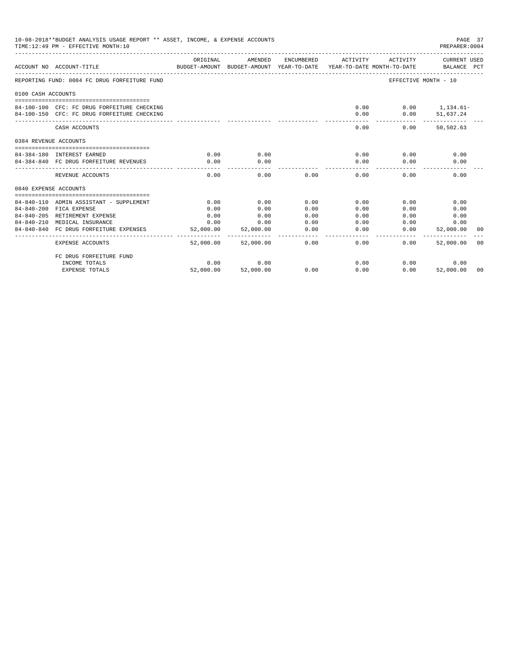| 10-08-2018**BUDGET ANALYSIS USAGE REPORT ** ASSET, INCOME, & EXPENSE ACCOUNTS<br>TIME: 12:49 PM - EFFECTIVE MONTH: 10 |                                                                                  |                       |                                                                                |                |                    |                      |                             | PAGE 37<br>PREPARER: 0004 |
|-----------------------------------------------------------------------------------------------------------------------|----------------------------------------------------------------------------------|-----------------------|--------------------------------------------------------------------------------|----------------|--------------------|----------------------|-----------------------------|---------------------------|
|                                                                                                                       | ACCOUNT NO ACCOUNT-TITLE                                                         | ORIGINAL              | AMENDED<br>BUDGET-AMOUNT BUDGET-AMOUNT YEAR-TO-DATE YEAR-TO-DATE MONTH-TO-DATE | ENCUMBERED     | ACTIVITY           | ACTIVITY             | CURRENT USED<br>BALANCE PCT |                           |
|                                                                                                                       | REPORTING FUND: 0084 FC DRUG FORFEITURE FUND                                     |                       |                                                                                |                |                    | EFFECTIVE MONTH - 10 |                             |                           |
| 0100 CASH ACCOUNTS                                                                                                    |                                                                                  |                       |                                                                                |                |                    |                      |                             |                           |
|                                                                                                                       |                                                                                  |                       |                                                                                |                |                    |                      |                             |                           |
|                                                                                                                       | 84-100-100 CFC: FC DRUG FORFEITURE CHECKING                                      |                       |                                                                                |                | 0.00               |                      | $0.00$ 1,134.61-            |                           |
|                                                                                                                       | 84-100-150 CFC: FC DRUG FORFEITURE CHECKING                                      |                       |                                                                                |                | 0.00               | 0.00                 | 51,637.24                   |                           |
|                                                                                                                       | CASH ACCOUNTS                                                                    |                       |                                                                                |                | 0.00               | 0.00                 | 50,502.63                   |                           |
| 0384 REVENUE ACCOUNTS                                                                                                 |                                                                                  |                       |                                                                                |                |                    |                      |                             |                           |
|                                                                                                                       |                                                                                  |                       |                                                                                |                |                    |                      |                             |                           |
|                                                                                                                       | 84-384-180 INTEREST EARNED                                                       | 0.00                  | 0.00                                                                           |                | 0.00               | 0.00                 | 0.00                        |                           |
|                                                                                                                       | 84-384-840 FC DRUG FORFEITURE REVENUES<br>-------------------------------------- | 0.00<br>. <u>.</u>    | 0.00                                                                           |                | 0.00<br>---------- | 0.00                 | 0.00                        |                           |
|                                                                                                                       | REVENUE ACCOUNTS                                                                 | 0.00                  | 0.00                                                                           | 0.00           | 0.00               | 0.00                 | 0.00                        |                           |
| 0840 EXPENSE ACCOUNTS                                                                                                 |                                                                                  |                       |                                                                                |                |                    |                      |                             |                           |
|                                                                                                                       | 84-840-110 ADMIN ASSISTANT - SUPPLEMENT                                          | 0.00                  | 0.00                                                                           | 0.00           | 0.00               | 0.00                 | 0.00                        |                           |
|                                                                                                                       | 84-840-200 FICA EXPENSE                                                          | 0.00                  | 0.00                                                                           | 0.00           | 0.00               | 0.00                 | 0.00                        |                           |
|                                                                                                                       | 84-840-205 RETIREMENT EXPENSE                                                    | 0.00                  | 0.00                                                                           | 0.00           | 0.00               | 0.00                 | 0.00                        |                           |
|                                                                                                                       | 84-840-210 MEDICAL INSURANCE                                                     | 0.00                  | 0.00                                                                           | 0.00           | 0.00               | 0.00                 | 0.00                        |                           |
|                                                                                                                       | 84-840-840 FC DRUG FORFEITURE EXPENSES                                           | 52,000.00             | 52,000.00                                                                      | 0.00           | 0.00               | 0.00                 | 52,000.00                   | 00                        |
|                                                                                                                       | <b>EXPENSE ACCOUNTS</b>                                                          | --------<br>52,000.00 | 52,000.00                                                                      | ------<br>0.00 | 0.00               | 0.00                 | 52,000.00                   | 0 <sub>0</sub>            |
|                                                                                                                       | FC DRUG FORFEITURE FUND                                                          |                       |                                                                                |                |                    |                      |                             |                           |
|                                                                                                                       | INCOME TOTALS                                                                    | 0.00                  | 0.00                                                                           |                | 0.00               |                      | 0.00<br>0.00                |                           |
|                                                                                                                       | <b>EXPENSE TOTALS</b>                                                            | 52,000.00             | 52,000.00                                                                      | 0.00           | 0.00               | 0.00                 | 52,000.00                   | 00                        |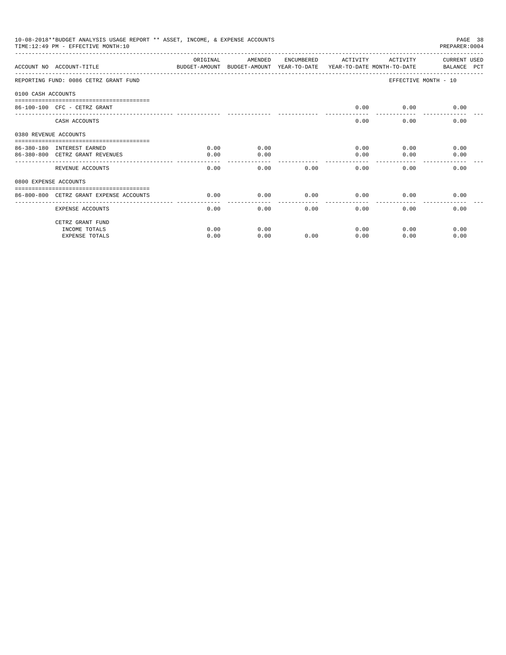|                       | 10-08-2018**BUDGET ANALYSIS USAGE REPORT ** ASSET, INCOME, & EXPENSE ACCOUNTS<br>TIME: 12:49 PM - EFFECTIVE MONTH: 10 |           |         |            |                 |          | PAGE 38<br>PREPARER: 0004 |
|-----------------------|-----------------------------------------------------------------------------------------------------------------------|-----------|---------|------------|-----------------|----------|---------------------------|
|                       | ACCOUNT NO ACCOUNT-TITLE CONTROL SUDGET-AMOUNT BUDGET-AMOUNT YEAR-TO-DATE YEAR-TO-DATE MONTH-TO-DATE BALANCE PCT      | OR TGTNAL | AMENDED | ENCUMBERED | ACTIVITY        | ACTIVITY | CURRENT USED              |
|                       | REPORTING FUND: 0086 CETRZ GRANT FUND                                                                                 |           |         |            |                 |          | EFFECTIVE MONTH - 10      |
| 0100 CASH ACCOUNTS    |                                                                                                                       |           |         |            |                 |          |                           |
|                       | 86-100-100 CFC - CETRZ GRANT                                                                                          |           |         |            | 0.00            | 0.00     | 0.00                      |
|                       | CASH ACCOUNTS                                                                                                         |           |         |            | 0.00            | 0.00     | 0.00                      |
| 0380 REVENUE ACCOUNTS |                                                                                                                       |           |         |            |                 |          |                           |
|                       | 86-380-180 INTEREST EARNED                                                                                            | 0.00      | 0.00    |            | 0.00            | 0.00     | 0.00                      |
|                       | 86-380-800 CETRZ GRANT REVENUES                                                                                       | 0.00      | 0.00    |            | 0.00<br>------- | 0.00     | 0.00                      |
|                       | REVENUE ACCOUNTS                                                                                                      | 0.00      | 0.00    | 0.00       | 0.00            | 0.00     | 0.00                      |
| 0800 EXPENSE ACCOUNTS |                                                                                                                       |           |         |            |                 |          |                           |
|                       | 86-800-800 CETRZ GRANT EXPENSE ACCOUNTS                                                                               | 0.00      | 0.00    | 0.00       | 0.00            | 0.00     | 0.00                      |
|                       | EXPENSE ACCOUNTS                                                                                                      | 0.00      | 0.00    | 0.00       | ------<br>0.00  | 0.00     | 0.00                      |
|                       | CETRZ GRANT FUND                                                                                                      |           |         |            |                 |          |                           |
|                       | INCOME TOTALS                                                                                                         | 0.00      | 0.00    |            | 0.00            | 0.00     | 0.00                      |
|                       | <b>EXPENSE TOTALS</b>                                                                                                 | 0.00      | 0.00    | 0.00       | 0.00            | 0.00     | 0.00                      |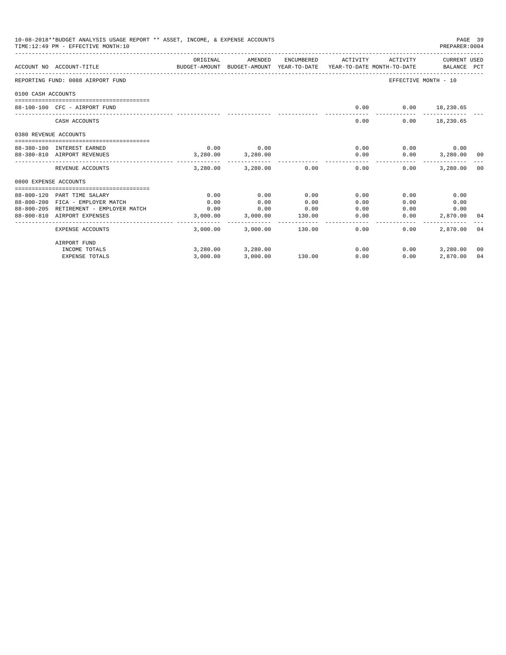| 10-08-2018**BUDGET ANALYSIS USAGE REPORT ** ASSET, INCOME, & EXPENSE ACCOUNTS<br>TIME:12:49 PM - EFFECTIVE MONTH:10<br>PREPARER: 0004 |                                        |                                                                                             |                            |                 |                      |                                       |                  |    |
|---------------------------------------------------------------------------------------------------------------------------------------|----------------------------------------|---------------------------------------------------------------------------------------------|----------------------------|-----------------|----------------------|---------------------------------------|------------------|----|
|                                                                                                                                       | ACCOUNT NO ACCOUNT-TITLE               | ORIGINAL<br>BUDGET-AMOUNT BUDGET-AMOUNT YEAR-TO-DATE YEAR-TO-DATE MONTH-TO-DATE BALANCE PCT | AMENDED                    | ENCUMBERED      | ACTIVITY             | ACTIVITY                              | CURRENT USED     |    |
|                                                                                                                                       | REPORTING FUND: 0088 AIRPORT FUND      |                                                                                             |                            |                 |                      | EFFECTIVE MONTH - 10                  |                  |    |
| 0100 CASH ACCOUNTS                                                                                                                    |                                        |                                                                                             |                            |                 |                      |                                       |                  |    |
|                                                                                                                                       | 88-100-100 CFC - AIRPORT FUND          |                                                                                             |                            |                 | 0.00                 | $0.00$ 18,230.65                      |                  |    |
|                                                                                                                                       | CASH ACCOUNTS                          |                                                                                             |                            |                 | 0.00                 |                                       | $0.00$ 18,230.65 |    |
| 0380 REVENUE ACCOUNTS                                                                                                                 |                                        |                                                                                             |                            |                 |                      |                                       |                  |    |
|                                                                                                                                       | 88-380-180 INTEREST EARNED             | 0.00                                                                                        | 0.00                       |                 | 0.00                 |                                       | $0.00$ 0.00      |    |
|                                                                                                                                       | 88-380-810 AIRPORT REVENUES            | 3,280.00                                                                                    | 3,280.00                   |                 | 0.00<br>------------ | 0.00<br>_____________________________ | 3,280.00 00      |    |
|                                                                                                                                       | REVENUE ACCOUNTS                       |                                                                                             | $3,280.00$ $3,280.00$ 0.00 |                 | 0.00                 | $0.00 -$                              | 3,280,00 00      |    |
| 0800 EXPENSE ACCOUNTS                                                                                                                 |                                        |                                                                                             |                            |                 |                      |                                       |                  |    |
|                                                                                                                                       | 88-800-120 PART TIME SALARY            | 0.00                                                                                        | 0.00                       | 0.00            | 0.00                 | 0.00                                  | 0.00             |    |
|                                                                                                                                       | 88-800-200 FICA - EMPLOYER MATCH       | 0.00                                                                                        | 0.00                       | 0.00            | 0.00                 | 0.00                                  | 0.00             |    |
|                                                                                                                                       | 88-800-205 RETIREMENT - EMPLOYER MATCH | 0.00                                                                                        | 0.00                       | 0.00            | 0.00                 | 0.00                                  | 0.00             |    |
|                                                                                                                                       | 88-800-810 AIRPORT EXPENSES            | 3,000.00                                                                                    | 3,000.00<br>-------------- | 130.00          | 0.00                 | 0.00                                  | 2,870.00 04      |    |
|                                                                                                                                       | EXPENSE ACCOUNTS                       | 3,000.00                                                                                    |                            | 3,000.00 130.00 | 0.00                 | 0.00                                  | 2,870,00 04      |    |
|                                                                                                                                       | AIRPORT FUND                           |                                                                                             |                            |                 |                      |                                       |                  |    |
|                                                                                                                                       | INCOME TOTALS                          |                                                                                             | 3,280.00 3,280.00          |                 | 0.00                 | 0.00                                  | 3,280.00 00      |    |
|                                                                                                                                       | <b>EXPENSE TOTALS</b>                  | 3,000.00                                                                                    | 3,000.00                   | 130.00          | 0.00                 | 0.00                                  | 2,870.00         | 04 |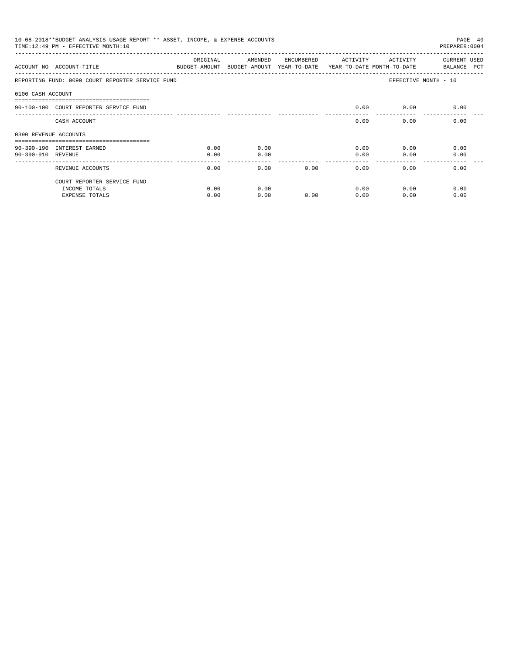|                       | 10-08-2018**BUDGET ANALYSIS USAGE REPORT ** ASSET, INCOME, & EXPENSE ACCOUNTS<br>TIME:12:49 PM - EFFECTIVE MONTH:10 |          |                                                                                |            |          |          | PAGE 40<br>PREPARER: 0004          |
|-----------------------|---------------------------------------------------------------------------------------------------------------------|----------|--------------------------------------------------------------------------------|------------|----------|----------|------------------------------------|
|                       | ACCOUNT NO ACCOUNT-TITLE                                                                                            | ORIGINAL | AMENDED<br>BUDGET-AMOUNT BUDGET-AMOUNT YEAR-TO-DATE YEAR-TO-DATE MONTH-TO-DATE | ENCUMBERED | ACTIVITY | ACTIVITY | <b>CURRENT USED</b><br>BALANCE PCT |
|                       | REPORTING FUND: 0090 COURT REPORTER SERVICE FUND                                                                    |          |                                                                                |            |          |          | EFFECTIVE MONTH - 10               |
| 0100 CASH ACCOUNT     |                                                                                                                     |          |                                                                                |            |          |          |                                    |
|                       | 90-100-100 COURT REPORTER SERVICE FUND                                                                              |          |                                                                                |            | 0.00     | 0.00     | 0.00                               |
|                       | CASH ACCOUNT                                                                                                        |          |                                                                                |            | 0.00     | 0.00     | 0.00                               |
| 0390 REVENUE ACCOUNTS |                                                                                                                     |          |                                                                                |            |          |          |                                    |
|                       | 90-390-190 INTEREST EARNED                                                                                          | 0.00     | 0.00                                                                           |            | 0.00     | 0.00     | 0.00                               |
| 90-390-910 REVENUE    |                                                                                                                     | 0.00     | 0.00                                                                           |            | 0.00     | 0.00     | 0.00                               |
|                       | REVENUE ACCOUNTS                                                                                                    | 0.00     | 0.00                                                                           | 0.00       | 0.00     | 0.00     | 0.00                               |
|                       | COURT REPORTER SERVICE FUND                                                                                         |          |                                                                                |            |          |          |                                    |
|                       | INCOME TOTALS                                                                                                       | 0.00     | 0.00                                                                           |            | 0.00     | 0.00     | 0.00                               |
|                       | <b>EXPENSE TOTALS</b>                                                                                               | 0.00     | 0.00                                                                           | 0.00       | 0.00     | 0.00     | 0.00                               |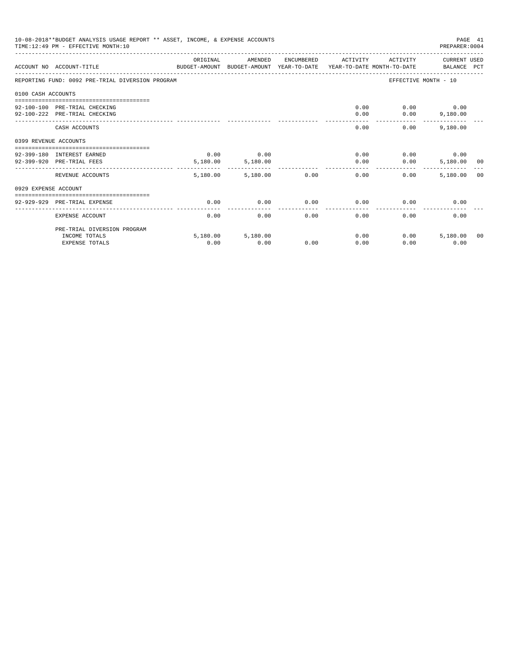|                       | 10-08-2018**BUDGET ANALYSIS USAGE REPORT ** ASSET, INCOME, & EXPENSE ACCOUNTS<br>TIME: 12:49 PM - EFFECTIVE MONTH: 10 |                      |                           |      |                     |                      | PAGE 41<br>PREPARER: 0004 |  |
|-----------------------|-----------------------------------------------------------------------------------------------------------------------|----------------------|---------------------------|------|---------------------|----------------------|---------------------------|--|
|                       | ACCOUNT NO ACCOUNT-TITLE COMPUTE SUDGET-AMOUNT BUDGET-AMOUNT YEAR-TO-DATE YEAR-TO-DATE MONTH-TO-DATE BALANCE PCT      | ORIGINAL             | AMENDED                   |      | ENCUMBERED ACTIVITY | ACTIVITY             | CURRENT USED              |  |
|                       | REPORTING FUND: 0092 PRE-TRIAL DIVERSION PROGRAM                                                                      |                      |                           |      |                     | EFFECTIVE MONTH - 10 |                           |  |
| 0100 CASH ACCOUNTS    |                                                                                                                       |                      |                           |      |                     |                      |                           |  |
|                       | 92-100-100 PRE-TRIAL CHECKING                                                                                         |                      |                           |      | 0.00                |                      | $0.00$ 0.00               |  |
|                       | 92-100-222 PRE-TRIAL CHECKING                                                                                         |                      |                           |      | 0.00                |                      | $0.00$ 9,180.00           |  |
|                       | CASH ACCOUNTS                                                                                                         |                      |                           |      | 0.00                | 0.00                 | 9,180.00                  |  |
| 0399 REVENUE ACCOUNTS |                                                                                                                       |                      |                           |      |                     |                      |                           |  |
|                       | 92-399-180 INTEREST EARNED                                                                                            | 0.00                 | 0.00                      |      | 0.00                |                      | $0.00$ 0.00               |  |
|                       | 92-399-920 PRE-TRIAL FEES                                                                                             | 5,180.00             | 5,180.00                  |      | 0.00                | 0.00                 | 5,180.00 00               |  |
|                       | REVENUE ACCOUNTS                                                                                                      | --------<br>5,180.00 | -------------<br>5,180.00 | 0.00 | 0.00                | $0.00 -$             | 5,180,00 00               |  |
| 0929 EXPENSE ACCOUNT  |                                                                                                                       |                      |                           |      |                     |                      |                           |  |
|                       | 92-929-929 PRE-TRIAL EXPENSE                                                                                          | 0.00                 | 0.00                      | 0.00 | 0.00                | 0.00                 | 0.00                      |  |
|                       | EXPENSE ACCOUNT                                                                                                       | 0.00                 | 0.00                      | 0.00 | 0.00                | 0.00                 | 0.00                      |  |
|                       | PRE-TRIAL DIVERSION PROGRAM                                                                                           |                      |                           |      |                     |                      |                           |  |
|                       | INCOME TOTALS                                                                                                         |                      | 5,180.00 5,180.00         |      | 0.00                | 0.00                 | 5,180,00 00               |  |
|                       | <b>EXPENSE TOTALS</b>                                                                                                 | 0.00                 | 0.00                      | 0.00 | 0.00                | 0.00                 | 0.00                      |  |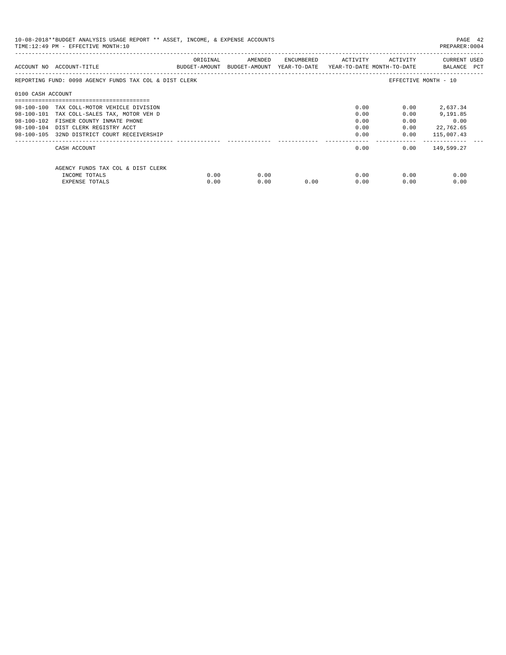| 10-08-2018**BUDGET ANALYSIS USAGE REPORT ** ASSET, INCOME, & EXPENSE ACCOUNTS<br>TIME:12:49 PM - EFFECTIVE MONTH:10<br>PREPARER: 0004 |                                                        |          |                                                                     |                             |      |              |                             |  |
|---------------------------------------------------------------------------------------------------------------------------------------|--------------------------------------------------------|----------|---------------------------------------------------------------------|-----------------------------|------|--------------|-----------------------------|--|
|                                                                                                                                       | ACCOUNT NO ACCOUNT-TITLE                               | ORIGINAL | BUDGET-AMOUNT BUDGET-AMOUNT YEAR-TO-DATE YEAR-TO-DATE MONTH-TO-DATE | AMENDED ENCUMBERED ACTIVITY |      | ACTIVITY     | CURRENT USED<br>BALANCE PCT |  |
|                                                                                                                                       | REPORTING FUND: 0098 AGENCY FUNDS TAX COL & DIST CLERK |          |                                                                     |                             |      |              | EFFECTIVE MONTH - 10        |  |
| 0100 CASH ACCOUNT                                                                                                                     |                                                        |          |                                                                     |                             |      |              |                             |  |
|                                                                                                                                       | 98-100-100 TAX COLL-MOTOR VEHICLE DIVISION             |          |                                                                     |                             | 0.00 | 0.00         | 2,637.34                    |  |
|                                                                                                                                       | 98-100-101 TAX COLL-SALES TAX, MOTOR VEH D             |          |                                                                     |                             | 0.00 | 0.00         | 9,191.85                    |  |
|                                                                                                                                       | 98-100-102 FISHER COUNTY INMATE PHONE                  |          |                                                                     |                             | 0.00 | 0.00         | 0.00                        |  |
|                                                                                                                                       | 98-100-104 DIST CLERK REGISTRY ACCT                    |          |                                                                     |                             | 0.00 | 0.00         | 22,762.65                   |  |
|                                                                                                                                       | 98-100-105 32ND DISTRICT COURT RECEIVERSHIP            |          |                                                                     |                             |      | 0.00<br>0.00 | 115,007.43                  |  |
|                                                                                                                                       | CASH ACCOUNT                                           |          |                                                                     |                             | 0.00 |              | $0.00$ 149,599.27           |  |
|                                                                                                                                       | AGENCY FUNDS TAX COL & DIST CLERK                      |          |                                                                     |                             |      |              |                             |  |
|                                                                                                                                       | INCOME TOTALS                                          | 0.00     | 0.00                                                                |                             | 0.00 | 0.00         | 0.00                        |  |
|                                                                                                                                       | EXPENSE TOTALS                                         | 0.00     | 0.00                                                                | 0.00                        | 0.00 | 0.00         | 0.00                        |  |